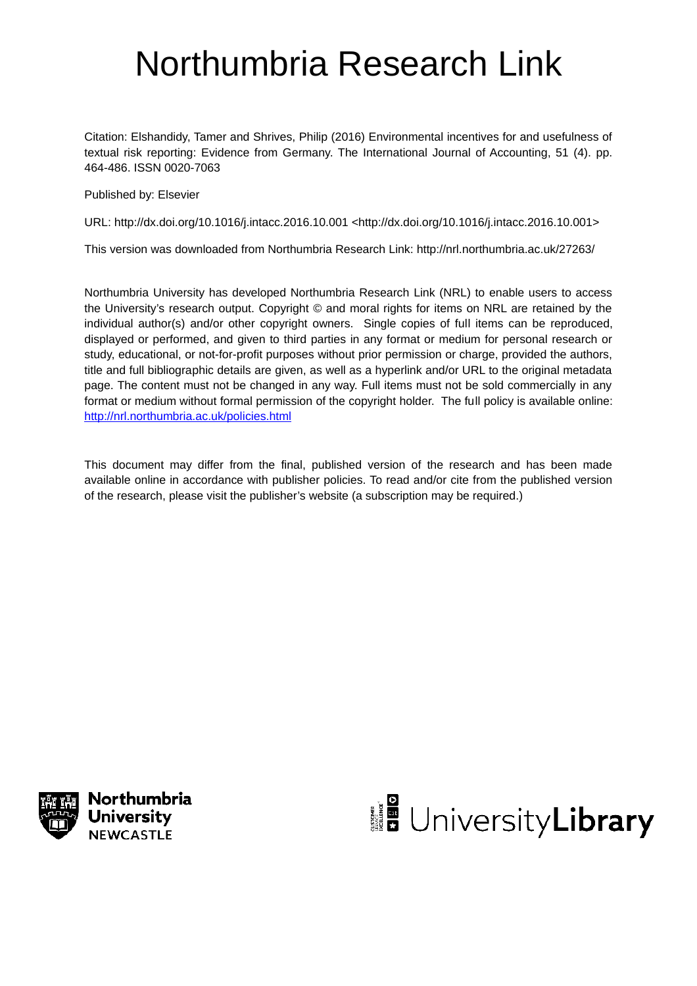# Northumbria Research Link

Citation: Elshandidy, Tamer and Shrives, Philip (2016) Environmental incentives for and usefulness of textual risk reporting: Evidence from Germany. The International Journal of Accounting, 51 (4). pp. 464-486. ISSN 0020-7063

Published by: Elsevier

URL: http://dx.doi.org/10.1016/j.intacc.2016.10.001 <http://dx.doi.org/10.1016/j.intacc.2016.10.001>

This version was downloaded from Northumbria Research Link: http://nrl.northumbria.ac.uk/27263/

Northumbria University has developed Northumbria Research Link (NRL) to enable users to access the University's research output. Copyright © and moral rights for items on NRL are retained by the individual author(s) and/or other copyright owners. Single copies of full items can be reproduced, displayed or performed, and given to third parties in any format or medium for personal research or study, educational, or not-for-profit purposes without prior permission or charge, provided the authors, title and full bibliographic details are given, as well as a hyperlink and/or URL to the original metadata page. The content must not be changed in any way. Full items must not be sold commercially in any format or medium without formal permission of the copyright holder. The full policy is available online: http://nrl.northumbria.ac.uk/policies.html

This document may differ from the final, published version of the research and has been made available online in accordance with publisher policies. To read and/or cite from the published version of the research, please visit the publisher's website (a subscription may be required.)



Northumbria **University NEWCASTLE** 

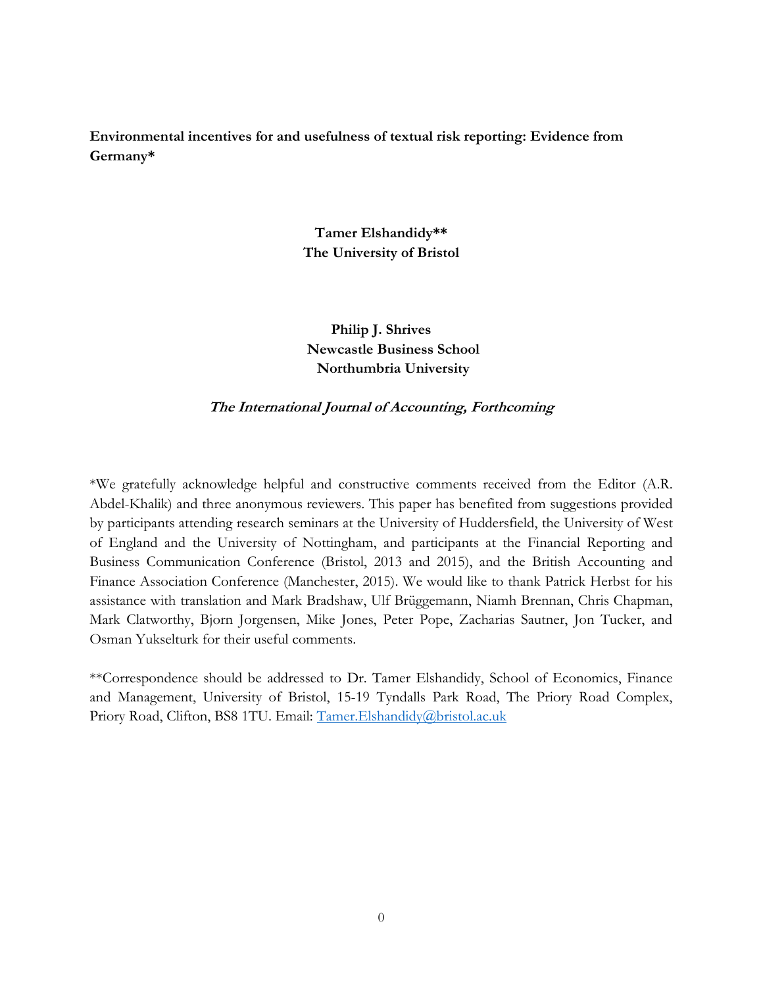## **Environmental incentives for and usefulness of textual risk reporting: Evidence from Germany\***

## **Tamer Elshandidy\*\* The University of Bristol**

**Philip J. Shrives Newcastle Business School Northumbria University** 

## **The International Journal of Accounting, Forthcoming**

\*We gratefully acknowledge helpful and constructive comments received from the Editor (A.R. Abdel-Khalik) and three anonymous reviewers. This paper has benefited from suggestions provided by participants attending research seminars at the University of Huddersfield, the University of West of England and the University of Nottingham, and participants at the Financial Reporting and Business Communication Conference (Bristol, 2013 and 2015), and the British Accounting and Finance Association Conference (Manchester, 2015). We would like to thank Patrick Herbst for his assistance with translation and Mark Bradshaw, Ulf Brüggemann, Niamh Brennan, Chris Chapman, Mark Clatworthy, Bjorn Jorgensen, Mike Jones, Peter Pope, Zacharias Sautner, Jon Tucker, and Osman Yukselturk for their useful comments.

\*\*Correspondence should be addressed to Dr. Tamer Elshandidy, School of Economics, Finance and Management, University of Bristol, 15-19 Tyndalls Park Road, The Priory Road Complex, Priory Road, Clifton, BS8 1TU. Email: Tamer. Elshandidy@bristol.ac.uk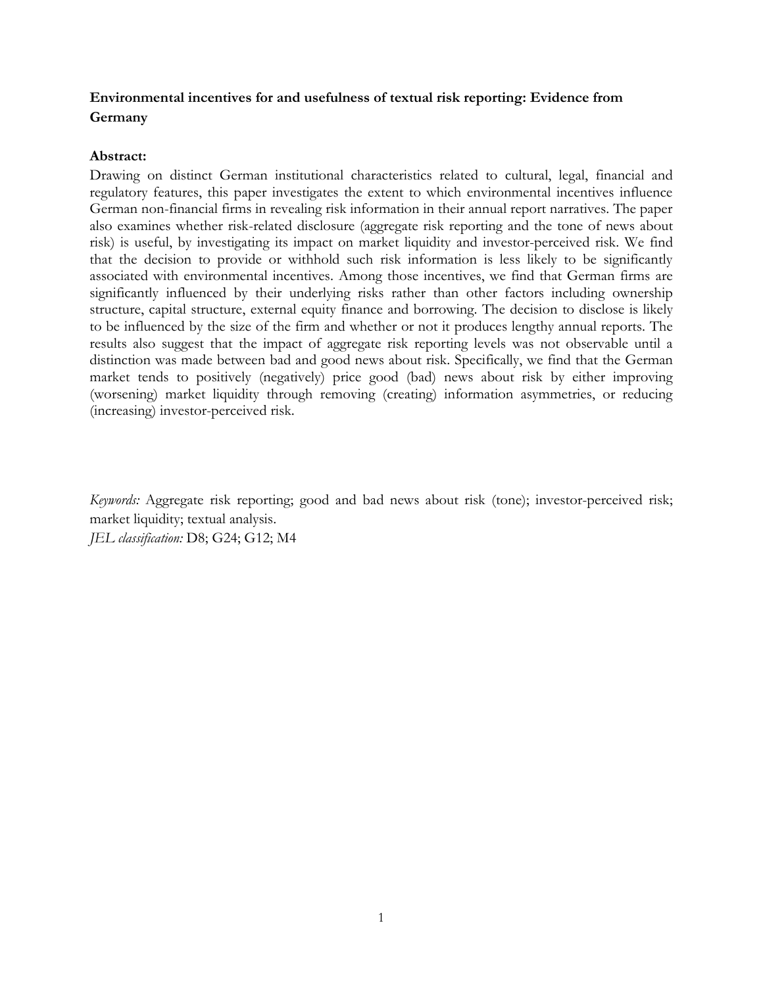## **Environmental incentives for and usefulness of textual risk reporting: Evidence from Germany**

## **Abstract:**

Drawing on distinct German institutional characteristics related to cultural, legal, financial and regulatory features, this paper investigates the extent to which environmental incentives influence German non-financial firms in revealing risk information in their annual report narratives. The paper also examines whether risk-related disclosure (aggregate risk reporting and the tone of news about risk) is useful, by investigating its impact on market liquidity and investor-perceived risk. We find that the decision to provide or withhold such risk information is less likely to be significantly associated with environmental incentives. Among those incentives, we find that German firms are significantly influenced by their underlying risks rather than other factors including ownership structure, capital structure, external equity finance and borrowing. The decision to disclose is likely to be influenced by the size of the firm and whether or not it produces lengthy annual reports. The results also suggest that the impact of aggregate risk reporting levels was not observable until a distinction was made between bad and good news about risk. Specifically, we find that the German market tends to positively (negatively) price good (bad) news about risk by either improving (worsening) market liquidity through removing (creating) information asymmetries, or reducing (increasing) investor-perceived risk.

*Keywords:* Aggregate risk reporting; good and bad news about risk (tone); investor-perceived risk; market liquidity; textual analysis.

*JEL classification:* D8; G24; G12; M4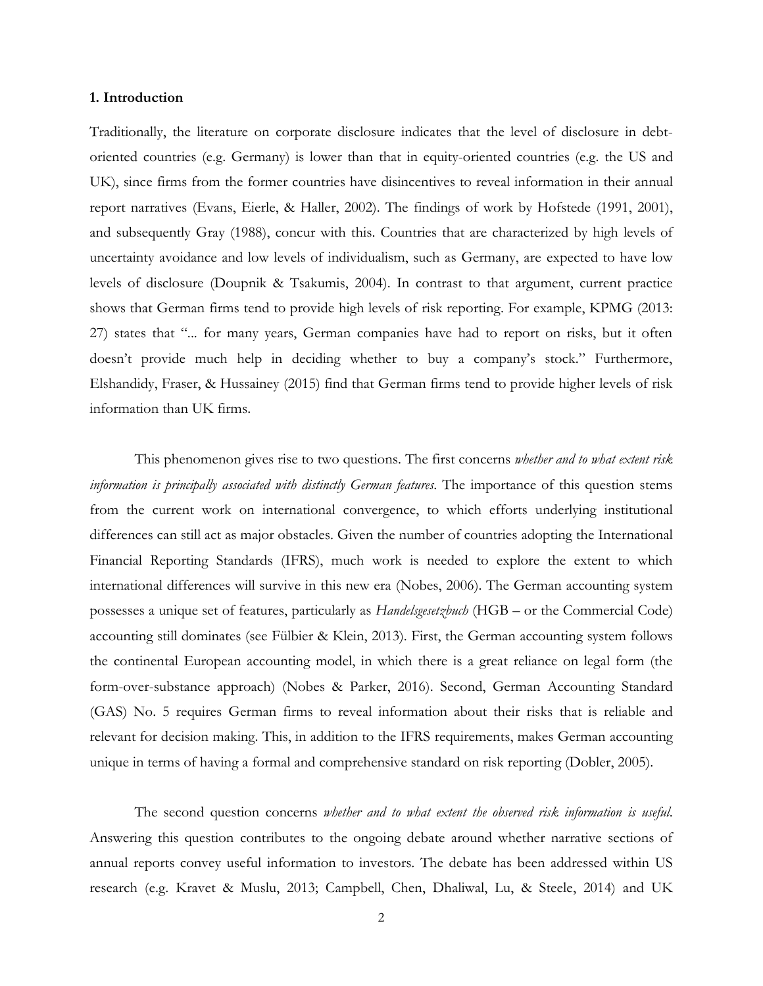## **1. Introduction**

Traditionally, the literature on corporate disclosure indicates that the level of disclosure in debtoriented countries (e.g. Germany) is lower than that in equity-oriented countries (e.g. the US and UK), since firms from the former countries have disincentives to reveal information in their annual report narratives (Evans, Eierle, & Haller, 2002). The findings of work by Hofstede (1991, 2001), and subsequently Gray (1988), concur with this. Countries that are characterized by high levels of uncertainty avoidance and low levels of individualism, such as Germany, are expected to have low levels of disclosure (Doupnik & Tsakumis, 2004). In contrast to that argument, current practice shows that German firms tend to provide high levels of risk reporting. For example, KPMG (2013: 27) states that "... for many years, German companies have had to report on risks, but it often doesn't provide much help in deciding whether to buy a company's stock." Furthermore, Elshandidy, Fraser, & Hussainey (2015) find that German firms tend to provide higher levels of risk information than UK firms.

This phenomenon gives rise to two questions. The first concerns *whether and to what extent risk information is principally associated with distinctly German features*. The importance of this question stems from the current work on international convergence, to which efforts underlying institutional differences can still act as major obstacles. Given the number of countries adopting the International Financial Reporting Standards (IFRS), much work is needed to explore the extent to which international differences will survive in this new era (Nobes, 2006). The German accounting system possesses a unique set of features, particularly as *Handelsgesetzbuch* (HGB – or the Commercial Code) accounting still dominates (see Fülbier & Klein, 2013). First, the German accounting system follows the continental European accounting model, in which there is a great reliance on legal form (the form-over-substance approach) (Nobes & Parker, 2016). Second, German Accounting Standard (GAS) No. 5 requires German firms to reveal information about their risks that is reliable and relevant for decision making. This, in addition to the IFRS requirements, makes German accounting unique in terms of having a formal and comprehensive standard on risk reporting (Dobler, 2005).

The second question concerns *whether and to what extent the observed risk information is useful*. Answering this question contributes to the ongoing debate around whether narrative sections of annual reports convey useful information to investors. The debate has been addressed within US research (e.g. Kravet & Muslu, 2013; Campbell, Chen, Dhaliwal, Lu, & Steele, 2014) and UK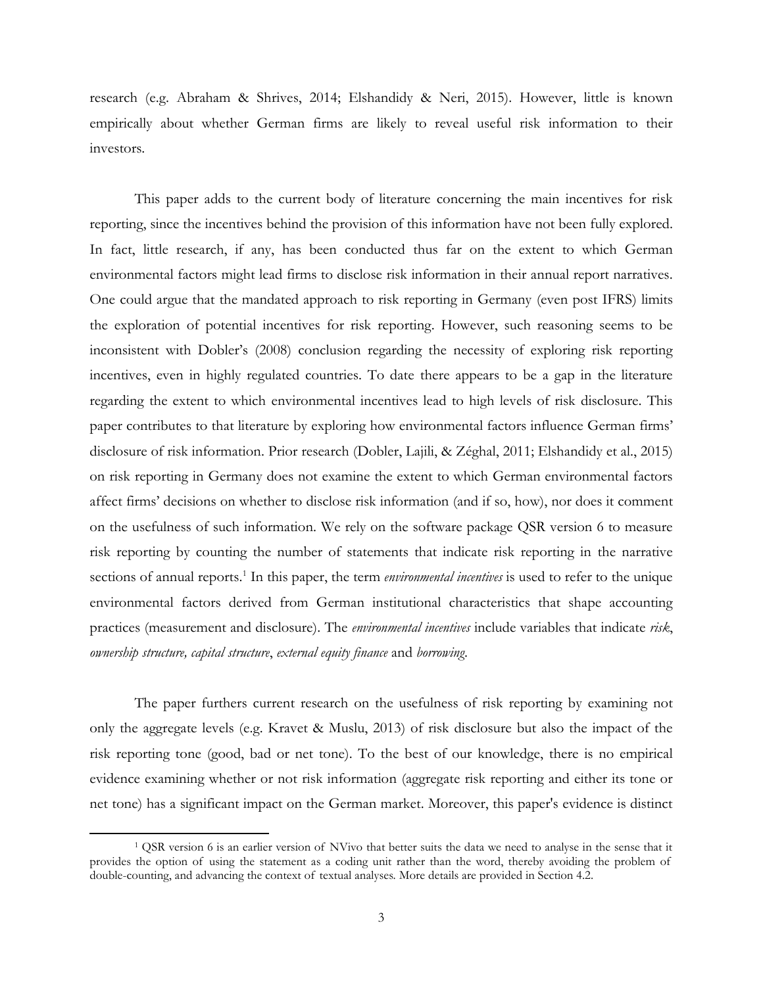research (e.g. Abraham & Shrives, 2014; Elshandidy & Neri, 2015). However, little is known empirically about whether German firms are likely to reveal useful risk information to their investors.

This paper adds to the current body of literature concerning the main incentives for risk reporting, since the incentives behind the provision of this information have not been fully explored. In fact, little research, if any, has been conducted thus far on the extent to which German environmental factors might lead firms to disclose risk information in their annual report narratives. One could argue that the mandated approach to risk reporting in Germany (even post IFRS) limits the exploration of potential incentives for risk reporting. However, such reasoning seems to be inconsistent with Dobler's (2008) conclusion regarding the necessity of exploring risk reporting incentives, even in highly regulated countries. To date there appears to be a gap in the literature regarding the extent to which environmental incentives lead to high levels of risk disclosure. This paper contributes to that literature by exploring how environmental factors influence German firms' disclosure of risk information. Prior research (Dobler, Lajili, & Zéghal, 2011; Elshandidy et al., 2015) on risk reporting in Germany does not examine the extent to which German environmental factors affect firms' decisions on whether to disclose risk information (and if so, how), nor does it comment on the usefulness of such information. We rely on the software package QSR version 6 to measure risk reporting by counting the number of statements that indicate risk reporting in the narrative sections of annual reports.<sup>1</sup> In this paper, the term *environmental incentives* is used to refer to the unique environmental factors derived from German institutional characteristics that shape accounting practices (measurement and disclosure). The *environmental incentives* include variables that indicate *risk*, *ownership structure, capital structure*, *external equity finance* and *borrowing*.

The paper furthers current research on the usefulness of risk reporting by examining not only the aggregate levels (e.g. Kravet & Muslu, 2013) of risk disclosure but also the impact of the risk reporting tone (good, bad or net tone). To the best of our knowledge, there is no empirical evidence examining whether or not risk information (aggregate risk reporting and either its tone or net tone) has a significant impact on the German market. Moreover, this paper's evidence is distinct

l

<sup>1</sup> QSR version 6 is an earlier version of NVivo that better suits the data we need to analyse in the sense that it provides the option of using the statement as a coding unit rather than the word, thereby avoiding the problem of double-counting, and advancing the context of textual analyses. More details are provided in Section 4.2.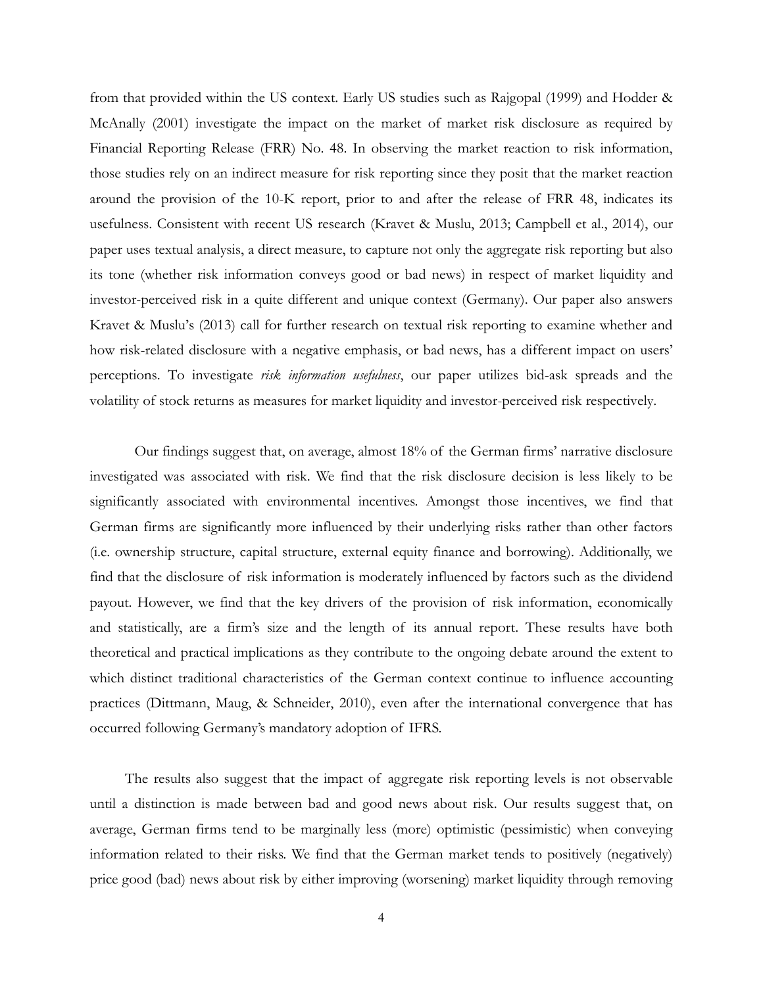from that provided within the US context. Early US studies such as Rajgopal (1999) and Hodder & McAnally (2001) investigate the impact on the market of market risk disclosure as required by Financial Reporting Release (FRR) No. 48. In observing the market reaction to risk information, those studies rely on an indirect measure for risk reporting since they posit that the market reaction around the provision of the 10-K report, prior to and after the release of FRR 48, indicates its usefulness. Consistent with recent US research (Kravet & Muslu, 2013; Campbell et al., 2014), our paper uses textual analysis, a direct measure, to capture not only the aggregate risk reporting but also its tone (whether risk information conveys good or bad news) in respect of market liquidity and investor-perceived risk in a quite different and unique context (Germany). Our paper also answers Kravet & Muslu's (2013) call for further research on textual risk reporting to examine whether and how risk-related disclosure with a negative emphasis, or bad news, has a different impact on users' perceptions. To investigate *risk information usefulness*, our paper utilizes bid-ask spreads and the volatility of stock returns as measures for market liquidity and investor-perceived risk respectively.

Our findings suggest that, on average, almost 18% of the German firms' narrative disclosure investigated was associated with risk. We find that the risk disclosure decision is less likely to be significantly associated with environmental incentives. Amongst those incentives, we find that German firms are significantly more influenced by their underlying risks rather than other factors (i.e. ownership structure, capital structure, external equity finance and borrowing). Additionally, we find that the disclosure of risk information is moderately influenced by factors such as the dividend payout. However, we find that the key drivers of the provision of risk information, economically and statistically, are a firm's size and the length of its annual report. These results have both theoretical and practical implications as they contribute to the ongoing debate around the extent to which distinct traditional characteristics of the German context continue to influence accounting practices (Dittmann, Maug, & Schneider, 2010), even after the international convergence that has occurred following Germany's mandatory adoption of IFRS.

The results also suggest that the impact of aggregate risk reporting levels is not observable until a distinction is made between bad and good news about risk. Our results suggest that, on average, German firms tend to be marginally less (more) optimistic (pessimistic) when conveying information related to their risks. We find that the German market tends to positively (negatively) price good (bad) news about risk by either improving (worsening) market liquidity through removing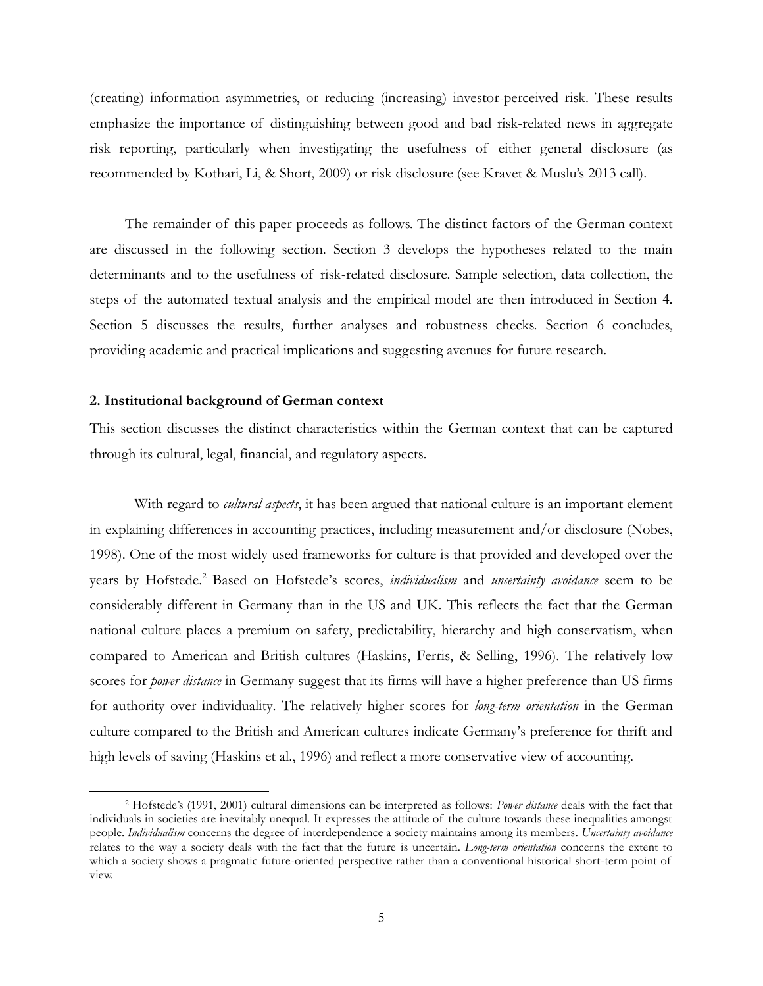(creating) information asymmetries, or reducing (increasing) investor-perceived risk. These results emphasize the importance of distinguishing between good and bad risk-related news in aggregate risk reporting, particularly when investigating the usefulness of either general disclosure (as recommended by Kothari, Li, & Short, 2009) or risk disclosure (see Kravet & Muslu's 2013 call).

The remainder of this paper proceeds as follows. The distinct factors of the German context are discussed in the following section. Section 3 develops the hypotheses related to the main determinants and to the usefulness of risk-related disclosure. Sample selection, data collection, the steps of the automated textual analysis and the empirical model are then introduced in Section 4. Section 5 discusses the results, further analyses and robustness checks. Section 6 concludes, providing academic and practical implications and suggesting avenues for future research.

#### **2. Institutional background of German context**

 $\overline{a}$ 

This section discusses the distinct characteristics within the German context that can be captured through its cultural, legal, financial, and regulatory aspects.

With regard to *cultural aspects*, it has been argued that national culture is an important element in explaining differences in accounting practices, including measurement and/or disclosure (Nobes, 1998). One of the most widely used frameworks for culture is that provided and developed over the years by Hofstede.<sup>2</sup> Based on Hofstede's scores, *individualism* and *uncertainty avoidance* seem to be considerably different in Germany than in the US and UK. This reflects the fact that the German national culture places a premium on safety, predictability, hierarchy and high conservatism, when compared to American and British cultures (Haskins, Ferris, & Selling, 1996). The relatively low scores for *power distance* in Germany suggest that its firms will have a higher preference than US firms for authority over individuality. The relatively higher scores for *long-term orientation* in the German culture compared to the British and American cultures indicate Germany's preference for thrift and high levels of saving (Haskins et al., 1996) and reflect a more conservative view of accounting.

<sup>2</sup> Hofstede's (1991, 2001) cultural dimensions can be interpreted as follows: *Power distance* deals with the fact that individuals in societies are inevitably unequal. It expresses the attitude of the culture towards these inequalities amongst people. *Individualism* concerns the degree of interdependence a society maintains among its members. *Uncertainty avoidance* relates to the way a society deals with the fact that the future is uncertain. *Long-term orientation* concerns the extent to which a society shows a pragmatic future-oriented perspective rather than a conventional historical short-term point of view.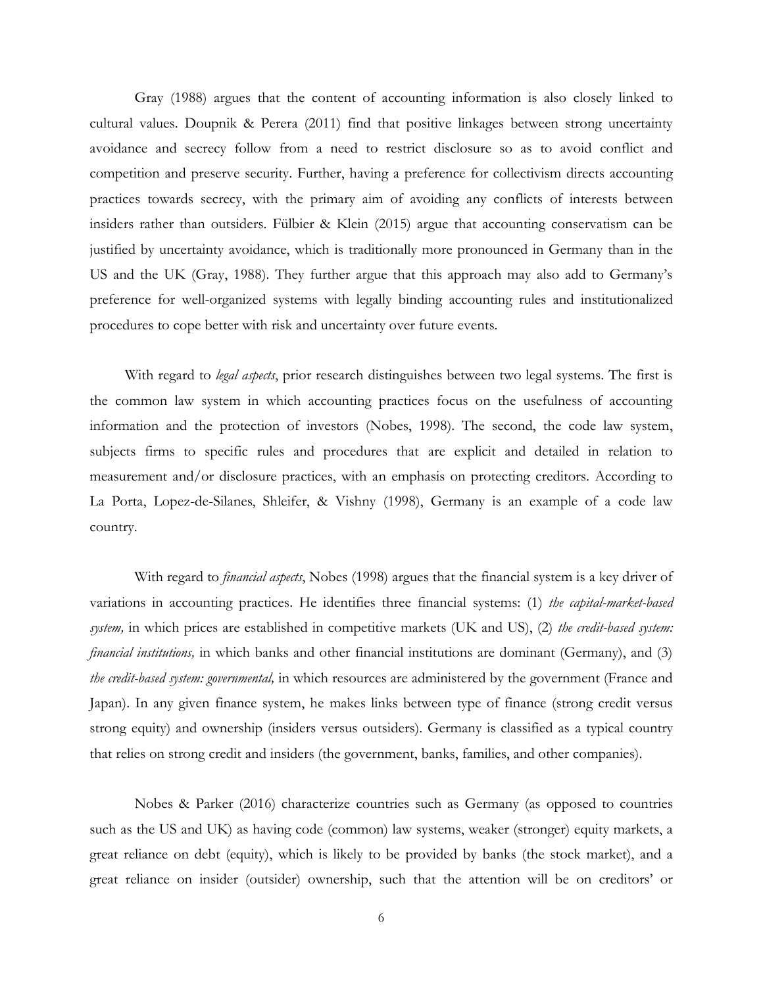Gray (1988) argues that the content of accounting information is also closely linked to cultural values. Doupnik & Perera (2011) find that positive linkages between strong uncertainty avoidance and secrecy follow from a need to restrict disclosure so as to avoid conflict and competition and preserve security. Further, having a preference for collectivism directs accounting practices towards secrecy, with the primary aim of avoiding any conflicts of interests between insiders rather than outsiders. Fülbier & Klein (2015) argue that accounting conservatism can be justified by uncertainty avoidance, which is traditionally more pronounced in Germany than in the US and the UK (Gray, 1988). They further argue that this approach may also add to Germany's preference for well-organized systems with legally binding accounting rules and institutionalized procedures to cope better with risk and uncertainty over future events.

With regard to *legal aspects*, prior research distinguishes between two legal systems. The first is the common law system in which accounting practices focus on the usefulness of accounting information and the protection of investors (Nobes, 1998). The second, the code law system, subjects firms to specific rules and procedures that are explicit and detailed in relation to measurement and/or disclosure practices, with an emphasis on protecting creditors. According to La Porta, Lopez-de-Silanes, Shleifer, & Vishny (1998), Germany is an example of a code law country.

With regard to *financial aspects*, Nobes (1998) argues that the financial system is a key driver of variations in accounting practices. He identifies three financial systems: (1) *the capital-market-based system,* in which prices are established in competitive markets (UK and US), (2) *the credit-based system: financial institutions,* in which banks and other financial institutions are dominant (Germany), and (3) *the credit-based system: governmental,* in which resources are administered by the government (France and Japan). In any given finance system, he makes links between type of finance (strong credit versus strong equity) and ownership (insiders versus outsiders). Germany is classified as a typical country that relies on strong credit and insiders (the government, banks, families, and other companies).

Nobes & Parker (2016) characterize countries such as Germany (as opposed to countries such as the US and UK) as having code (common) law systems, weaker (stronger) equity markets, a great reliance on debt (equity), which is likely to be provided by banks (the stock market), and a great reliance on insider (outsider) ownership, such that the attention will be on creditors' or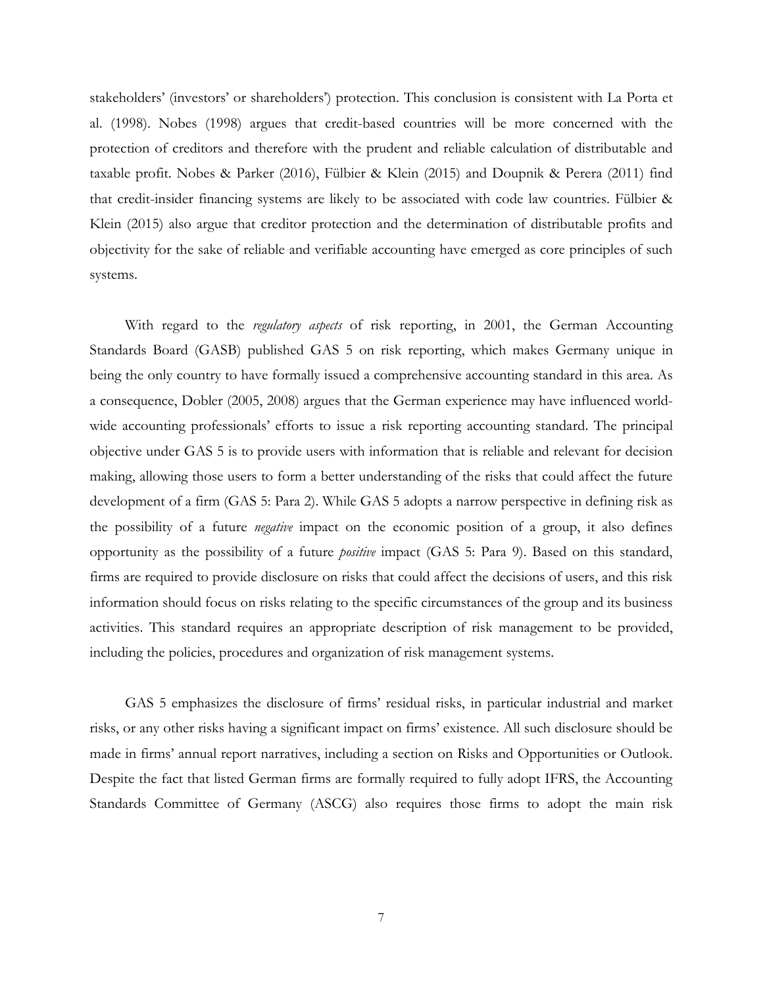stakeholders' (investors' or shareholders') protection. This conclusion is consistent with La Porta et al. (1998). Nobes (1998) argues that credit-based countries will be more concerned with the protection of creditors and therefore with the prudent and reliable calculation of distributable and taxable profit. Nobes & Parker (2016), Fülbier & Klein (2015) and Doupnik & Perera (2011) find that credit-insider financing systems are likely to be associated with code law countries. Fülbier & Klein (2015) also argue that creditor protection and the determination of distributable profits and objectivity for the sake of reliable and verifiable accounting have emerged as core principles of such systems.

With regard to the *regulatory aspects* of risk reporting, in 2001, the German Accounting Standards Board (GASB) published GAS 5 on risk reporting, which makes Germany unique in being the only country to have formally issued a comprehensive accounting standard in this area. As a consequence, Dobler (2005, 2008) argues that the German experience may have influenced worldwide accounting professionals' efforts to issue a risk reporting accounting standard. The principal objective under GAS 5 is to provide users with information that is reliable and relevant for decision making, allowing those users to form a better understanding of the risks that could affect the future development of a firm (GAS 5: Para 2). While GAS 5 adopts a narrow perspective in defining risk as the possibility of a future *negative* impact on the economic position of a group, it also defines opportunity as the possibility of a future *positive* impact (GAS 5: Para 9). Based on this standard, firms are required to provide disclosure on risks that could affect the decisions of users, and this risk information should focus on risks relating to the specific circumstances of the group and its business activities. This standard requires an appropriate description of risk management to be provided, including the policies, procedures and organization of risk management systems.

GAS 5 emphasizes the disclosure of firms' residual risks, in particular industrial and market risks, or any other risks having a significant impact on firms' existence. All such disclosure should be made in firms' annual report narratives, including a section on Risks and Opportunities or Outlook. Despite the fact that listed German firms are formally required to fully adopt IFRS, the Accounting Standards Committee of Germany (ASCG) also requires those firms to adopt the main risk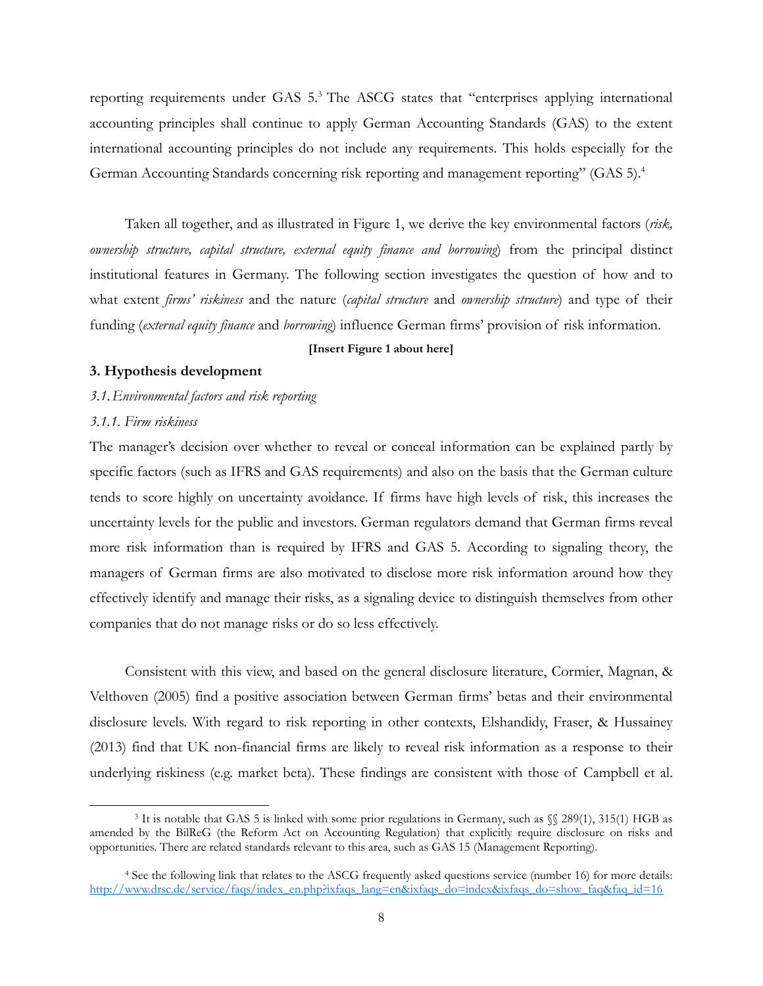reporting requirements under GAS 5.<sup>3</sup> The ASCG states that "enterprises applying international accounting principles shall continue to apply German Accounting Standards (GAS) to the extent international accounting principles do not include any requirements. This holds especially for the German Accounting Standards concerning risk reporting and management reporting" (GAS 5).<sup>4</sup>

Taken all together, and as illustrated in Figure 1, we derive the key environmental factors (*risk, ownership structure, capital structure, external equity finance and borrowing*) from the principal distinct institutional features in Germany. The following section investigates the question of how and to what extent *firms' riskiness* and the nature (*capital structure* and *ownership structure*) and type of their funding (*external equity finance* and *borrowing*) influence German firms' provision of risk information.

## **[Insert Figure 1 about here]**

## **3. Hypothesis development**

### *3.1.Environmental factors and risk reporting*

## *3.1.1. Firm riskiness*

 $\overline{a}$ 

The manager's decision over whether to reveal or conceal information can be explained partly by specific factors (such as IFRS and GAS requirements) and also on the basis that the German culture tends to score highly on uncertainty avoidance. If firms have high levels of risk, this increases the uncertainty levels for the public and investors. German regulators demand that German firms reveal more risk information than is required by IFRS and GAS 5. According to signaling theory, the managers of German firms are also motivated to disclose more risk information around how they effectively identify and manage their risks, as a signaling device to distinguish themselves from other companies that do not manage risks or do so less effectively.

Consistent with this view, and based on the general disclosure literature, Cormier, Magnan, & Velthoven (2005) find a positive association between German firms' betas and their environmental disclosure levels. With regard to risk reporting in other contexts, Elshandidy, Fraser, & Hussainey (2013) find that UK non-financial firms are likely to reveal risk information as a response to their underlying riskiness (e.g. market beta). These findings are consistent with those of Campbell et al.

<sup>3</sup> It is notable that GAS 5 is linked with some prior regulations in Germany, such as §§ 289(1), 315(1) HGB as amended by the BilReG (the Reform Act on Accounting Regulation) that explicitly require disclosure on risks and opportunities. There are related standards relevant to this area, such as GAS 15 (Management Reporting).

<sup>4</sup> See the following link that relates to the ASCG frequently asked questions service (number 16) for more details: [http://www.drsc.de/service/faqs/index\\_en.php?ixfaqs\\_lang=en&ixfaqs\\_do=index&ixfaqs\\_do=show\\_faq&faq\\_id=16](http://www.drsc.de/service/faqs/index_en.php?ixfaqs_lang=en&ixfaqs_do=index&ixfaqs_do=show_faq&faq_id=16)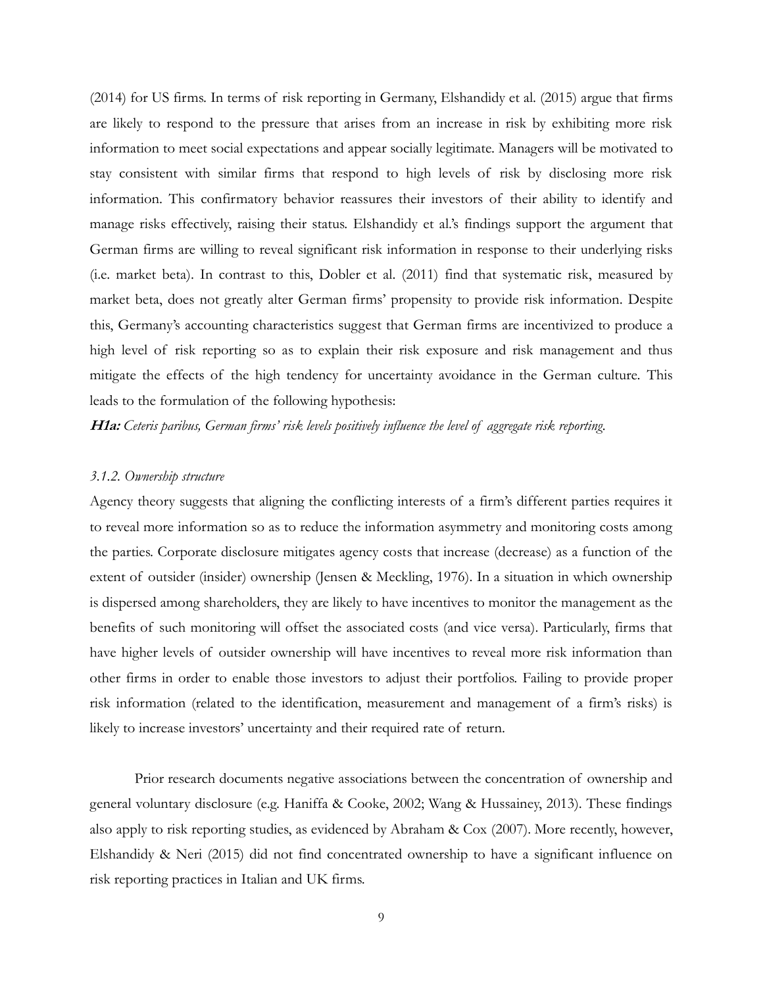(2014) for US firms. In terms of risk reporting in Germany, Elshandidy et al. (2015) argue that firms are likely to respond to the pressure that arises from an increase in risk by exhibiting more risk information to meet social expectations and appear socially legitimate. Managers will be motivated to stay consistent with similar firms that respond to high levels of risk by disclosing more risk information. This confirmatory behavior reassures their investors of their ability to identify and manage risks effectively, raising their status. Elshandidy et al.'s findings support the argument that German firms are willing to reveal significant risk information in response to their underlying risks (i.e. market beta). In contrast to this, Dobler et al. (2011) find that systematic risk, measured by market beta, does not greatly alter German firms' propensity to provide risk information. Despite this, Germany's accounting characteristics suggest that German firms are incentivized to produce a high level of risk reporting so as to explain their risk exposure and risk management and thus mitigate the effects of the high tendency for uncertainty avoidance in the German culture. This leads to the formulation of the following hypothesis:

**H1a:** *Ceteris paribus, German firms' risk levels positively influence the level of aggregate risk reporting.* 

## *3.1.2. Ownership structure*

Agency theory suggests that aligning the conflicting interests of a firm's different parties requires it to reveal more information so as to reduce the information asymmetry and monitoring costs among the parties. Corporate disclosure mitigates agency costs that increase (decrease) as a function of the extent of outsider (insider) ownership (Jensen & Meckling, 1976). In a situation in which ownership is dispersed among shareholders, they are likely to have incentives to monitor the management as the benefits of such monitoring will offset the associated costs (and vice versa). Particularly, firms that have higher levels of outsider ownership will have incentives to reveal more risk information than other firms in order to enable those investors to adjust their portfolios. Failing to provide proper risk information (related to the identification, measurement and management of a firm's risks) is likely to increase investors' uncertainty and their required rate of return.

Prior research documents negative associations between the concentration of ownership and general voluntary disclosure (e.g. Haniffa & Cooke, 2002; Wang & Hussainey, 2013). These findings also apply to risk reporting studies, as evidenced by Abraham & Cox (2007). More recently, however, Elshandidy & Neri (2015) did not find concentrated ownership to have a significant influence on risk reporting practices in Italian and UK firms.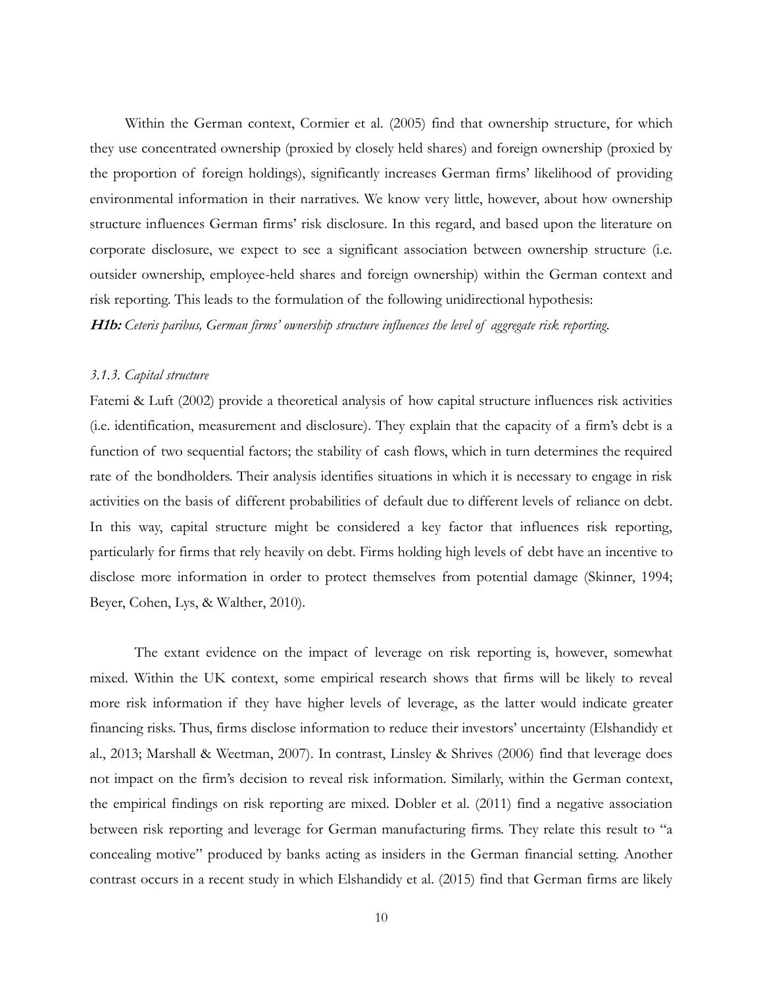Within the German context, Cormier et al. (2005) find that ownership structure, for which they use concentrated ownership (proxied by closely held shares) and foreign ownership (proxied by the proportion of foreign holdings), significantly increases German firms' likelihood of providing environmental information in their narratives. We know very little, however, about how ownership structure influences German firms' risk disclosure. In this regard, and based upon the literature on corporate disclosure, we expect to see a significant association between ownership structure (i.e. outsider ownership, employee-held shares and foreign ownership) within the German context and risk reporting. This leads to the formulation of the following unidirectional hypothesis:

**H1b:** *Ceteris paribus, German firms' ownership structure influences the level of aggregate risk reporting.* 

## *3.1.3. Capital structure*

Fatemi & Luft (2002) provide a theoretical analysis of how capital structure influences risk activities (i.e. identification, measurement and disclosure). They explain that the capacity of a firm's debt is a function of two sequential factors; the stability of cash flows, which in turn determines the required rate of the bondholders. Their analysis identifies situations in which it is necessary to engage in risk activities on the basis of different probabilities of default due to different levels of reliance on debt. In this way, capital structure might be considered a key factor that influences risk reporting, particularly for firms that rely heavily on debt. Firms holding high levels of debt have an incentive to disclose more information in order to protect themselves from potential damage (Skinner, 1994; Beyer, Cohen, Lys, & Walther, 2010).

The extant evidence on the impact of leverage on risk reporting is, however, somewhat mixed. Within the UK context, some empirical research shows that firms will be likely to reveal more risk information if they have higher levels of leverage, as the latter would indicate greater financing risks. Thus, firms disclose information to reduce their investors' uncertainty (Elshandidy et al., 2013; Marshall & Weetman, 2007). In contrast, Linsley & Shrives (2006) find that leverage does not impact on the firm's decision to reveal risk information. Similarly, within the German context, the empirical findings on risk reporting are mixed. Dobler et al. (2011) find a negative association between risk reporting and leverage for German manufacturing firms. They relate this result to "a concealing motive" produced by banks acting as insiders in the German financial setting. Another contrast occurs in a recent study in which Elshandidy et al. (2015) find that German firms are likely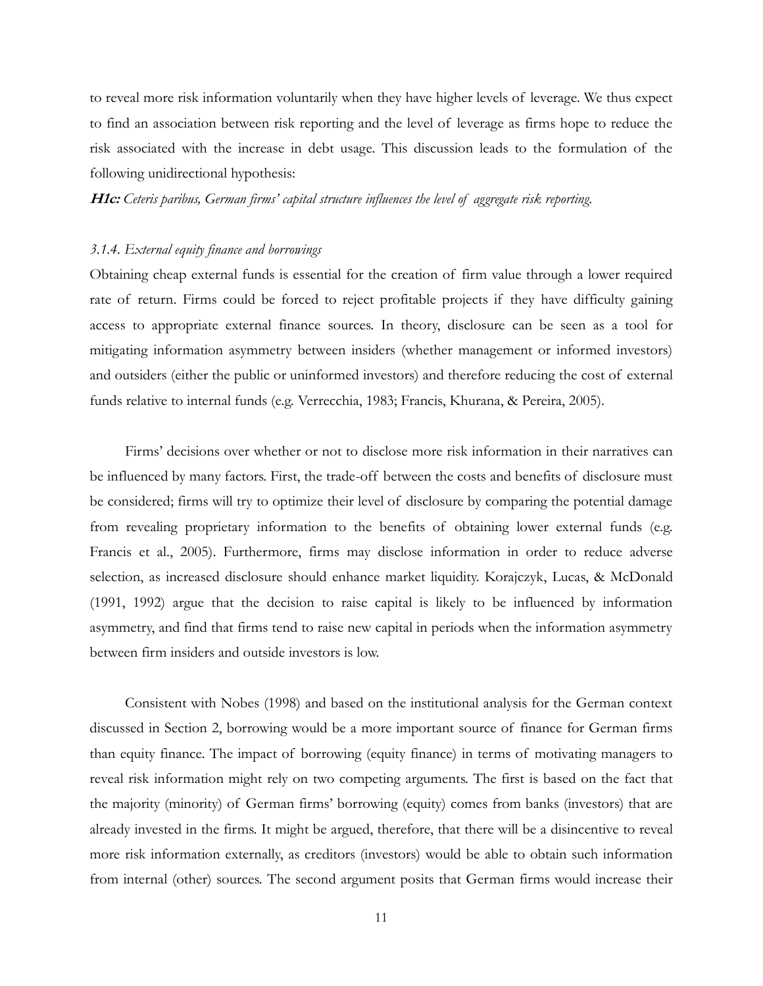to reveal more risk information voluntarily when they have higher levels of leverage. We thus expect to find an association between risk reporting and the level of leverage as firms hope to reduce the risk associated with the increase in debt usage. This discussion leads to the formulation of the following unidirectional hypothesis:

**H1c:** *Ceteris paribus, German firms' capital structure influences the level of aggregate risk reporting.* 

## *3.1.4. External equity finance and borrowings*

Obtaining cheap external funds is essential for the creation of firm value through a lower required rate of return. Firms could be forced to reject profitable projects if they have difficulty gaining access to appropriate external finance sources. In theory, disclosure can be seen as a tool for mitigating information asymmetry between insiders (whether management or informed investors) and outsiders (either the public or uninformed investors) and therefore reducing the cost of external funds relative to internal funds (e.g. Verrecchia, 1983; Francis, Khurana, & Pereira, 2005).

Firms' decisions over whether or not to disclose more risk information in their narratives can be influenced by many factors. First, the trade-off between the costs and benefits of disclosure must be considered; firms will try to optimize their level of disclosure by comparing the potential damage from revealing proprietary information to the benefits of obtaining lower external funds (e.g. Francis et al., 2005). Furthermore, firms may disclose information in order to reduce adverse selection, as increased disclosure should enhance market liquidity. Korajczyk, Lucas, & McDonald (1991, 1992) argue that the decision to raise capital is likely to be influenced by information asymmetry, and find that firms tend to raise new capital in periods when the information asymmetry between firm insiders and outside investors is low.

Consistent with Nobes (1998) and based on the institutional analysis for the German context discussed in Section 2, borrowing would be a more important source of finance for German firms than equity finance. The impact of borrowing (equity finance) in terms of motivating managers to reveal risk information might rely on two competing arguments. The first is based on the fact that the majority (minority) of German firms' borrowing (equity) comes from banks (investors) that are already invested in the firms. It might be argued, therefore, that there will be a disincentive to reveal more risk information externally, as creditors (investors) would be able to obtain such information from internal (other) sources. The second argument posits that German firms would increase their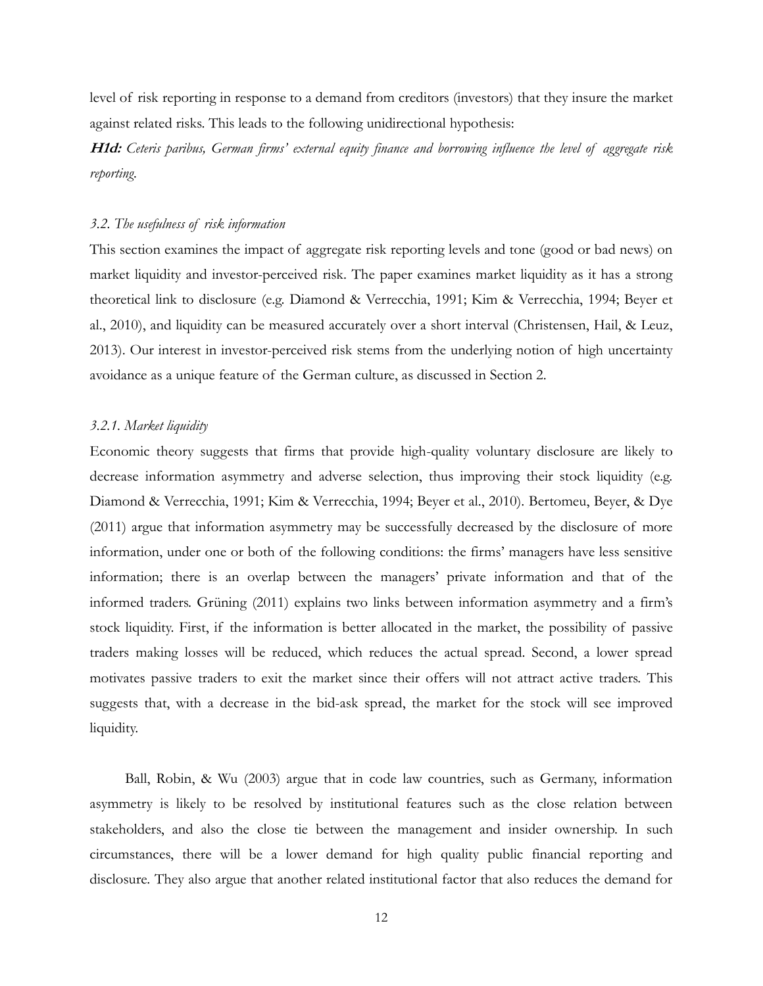level of risk reporting in response to a demand from creditors (investors) that they insure the market against related risks. This leads to the following unidirectional hypothesis:

**H1d:** *Ceteris paribus, German firms' external equity finance and borrowing influence the level of aggregate risk reporting.* 

## *3.2. The usefulness of risk information*

This section examines the impact of aggregate risk reporting levels and tone (good or bad news) on market liquidity and investor-perceived risk. The paper examines market liquidity as it has a strong theoretical link to disclosure (e.g. Diamond & Verrecchia, 1991; Kim & Verrecchia, 1994; Beyer et al., 2010), and liquidity can be measured accurately over a short interval (Christensen, Hail, & Leuz, 2013). Our interest in investor-perceived risk stems from the underlying notion of high uncertainty avoidance as a unique feature of the German culture, as discussed in Section 2.

## *3.2.1. Market liquidity*

Economic theory suggests that firms that provide high-quality voluntary disclosure are likely to decrease information asymmetry and adverse selection, thus improving their stock liquidity (e.g. Diamond & Verrecchia, 1991; Kim & Verrecchia, 1994; Beyer et al., 2010). Bertomeu, Beyer, & Dye (2011) argue that information asymmetry may be successfully decreased by the disclosure of more information, under one or both of the following conditions: the firms' managers have less sensitive information; there is an overlap between the managers' private information and that of the informed traders. Grüning (2011) explains two links between information asymmetry and a firm's stock liquidity. First, if the information is better allocated in the market, the possibility of passive traders making losses will be reduced, which reduces the actual spread. Second, a lower spread motivates passive traders to exit the market since their offers will not attract active traders. This suggests that, with a decrease in the bid-ask spread, the market for the stock will see improved liquidity.

Ball, Robin, & Wu (2003) argue that in code law countries, such as Germany, information asymmetry is likely to be resolved by institutional features such as the close relation between stakeholders, and also the close tie between the management and insider ownership. In such circumstances, there will be a lower demand for high quality public financial reporting and disclosure. They also argue that another related institutional factor that also reduces the demand for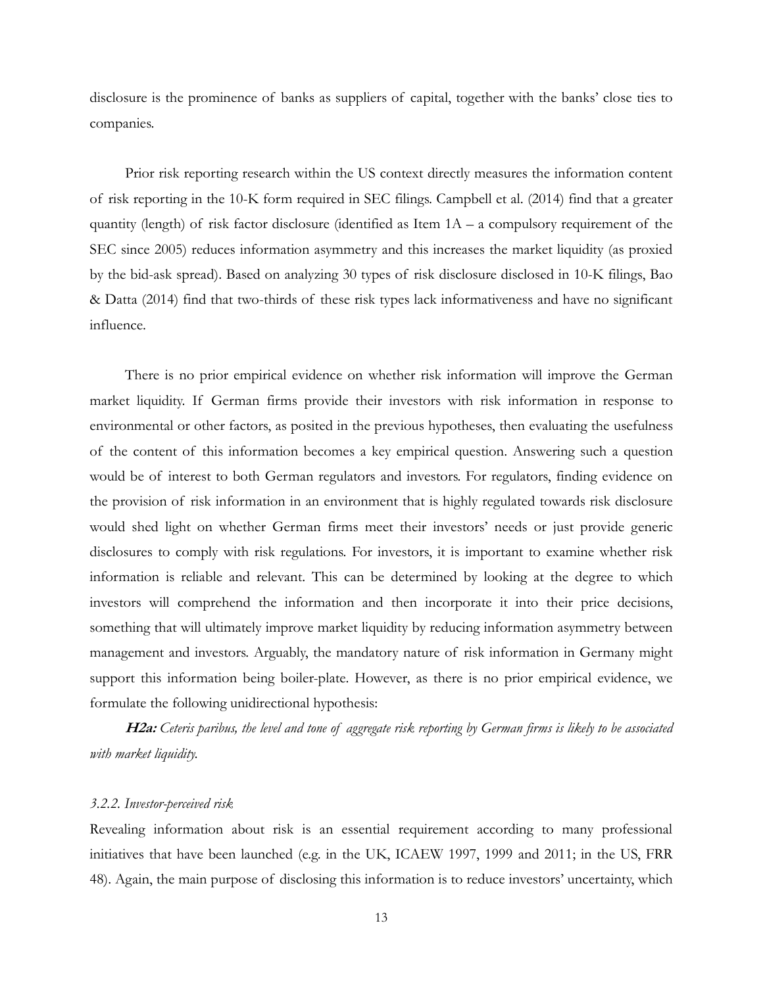disclosure is the prominence of banks as suppliers of capital, together with the banks' close ties to companies.

Prior risk reporting research within the US context directly measures the information content of risk reporting in the 10-K form required in SEC filings. Campbell et al. (2014) find that a greater quantity (length) of risk factor disclosure (identified as Item 1A – a compulsory requirement of the SEC since 2005) reduces information asymmetry and this increases the market liquidity (as proxied by the bid-ask spread). Based on analyzing 30 types of risk disclosure disclosed in 10-K filings, Bao & Datta (2014) find that two-thirds of these risk types lack informativeness and have no significant influence.

There is no prior empirical evidence on whether risk information will improve the German market liquidity. If German firms provide their investors with risk information in response to environmental or other factors, as posited in the previous hypotheses, then evaluating the usefulness of the content of this information becomes a key empirical question. Answering such a question would be of interest to both German regulators and investors. For regulators, finding evidence on the provision of risk information in an environment that is highly regulated towards risk disclosure would shed light on whether German firms meet their investors' needs or just provide generic disclosures to comply with risk regulations. For investors, it is important to examine whether risk information is reliable and relevant. This can be determined by looking at the degree to which investors will comprehend the information and then incorporate it into their price decisions, something that will ultimately improve market liquidity by reducing information asymmetry between management and investors. Arguably, the mandatory nature of risk information in Germany might support this information being boiler-plate. However, as there is no prior empirical evidence, we formulate the following unidirectional hypothesis:

**H2a:** *Ceteris paribus, the level and tone of aggregate risk reporting by German firms is likely to be associated with market liquidity.* 

## *3.2.2. Investor-perceived risk*

Revealing information about risk is an essential requirement according to many professional initiatives that have been launched (e.g. in the UK, ICAEW 1997, 1999 and 2011; in the US, FRR 48). Again, the main purpose of disclosing this information is to reduce investors' uncertainty, which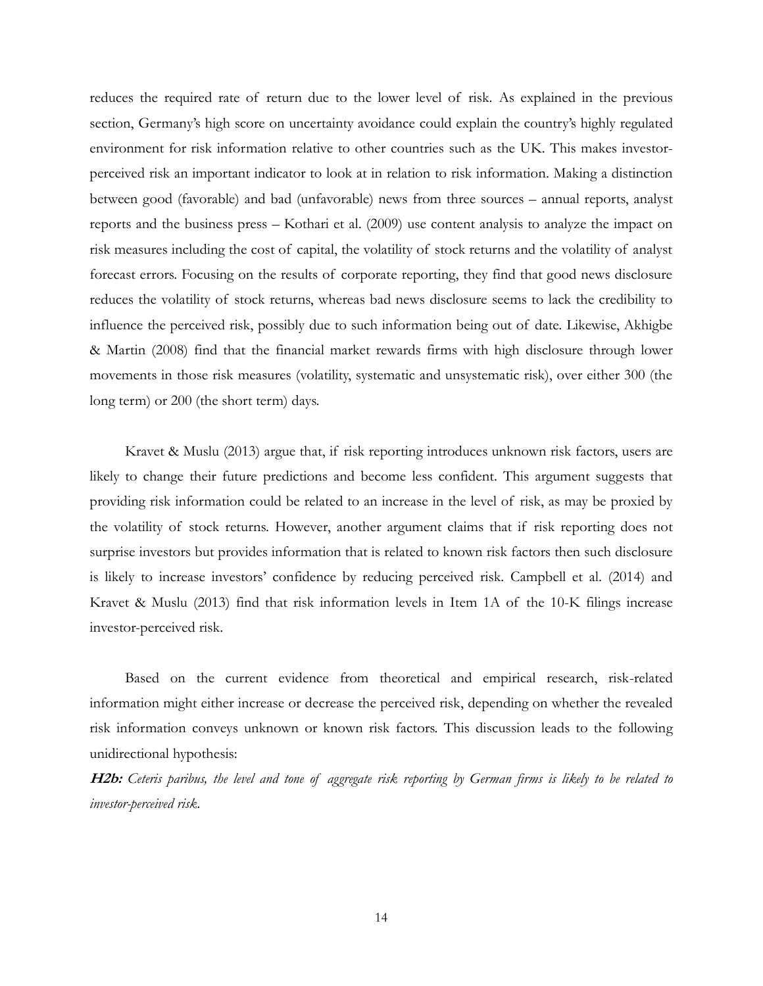reduces the required rate of return due to the lower level of risk. As explained in the previous section, Germany's high score on uncertainty avoidance could explain the country's highly regulated environment for risk information relative to other countries such as the UK. This makes investorperceived risk an important indicator to look at in relation to risk information. Making a distinction between good (favorable) and bad (unfavorable) news from three sources – annual reports, analyst reports and the business press – Kothari et al. (2009) use content analysis to analyze the impact on risk measures including the cost of capital, the volatility of stock returns and the volatility of analyst forecast errors. Focusing on the results of corporate reporting, they find that good news disclosure reduces the volatility of stock returns, whereas bad news disclosure seems to lack the credibility to influence the perceived risk, possibly due to such information being out of date. Likewise, Akhigbe & Martin (2008) find that the financial market rewards firms with high disclosure through lower movements in those risk measures (volatility, systematic and unsystematic risk), over either 300 (the long term) or 200 (the short term) days.

Kravet & Muslu (2013) argue that, if risk reporting introduces unknown risk factors, users are likely to change their future predictions and become less confident. This argument suggests that providing risk information could be related to an increase in the level of risk, as may be proxied by the volatility of stock returns. However, another argument claims that if risk reporting does not surprise investors but provides information that is related to known risk factors then such disclosure is likely to increase investors' confidence by reducing perceived risk. Campbell et al. (2014) and Kravet & Muslu (2013) find that risk information levels in Item 1A of the 10-K filings increase investor-perceived risk.

Based on the current evidence from theoretical and empirical research, risk-related information might either increase or decrease the perceived risk, depending on whether the revealed risk information conveys unknown or known risk factors. This discussion leads to the following unidirectional hypothesis:

**H2b:** *Ceteris paribus, the level and tone of aggregate risk reporting by German firms is likely to be related to investor-perceived risk.*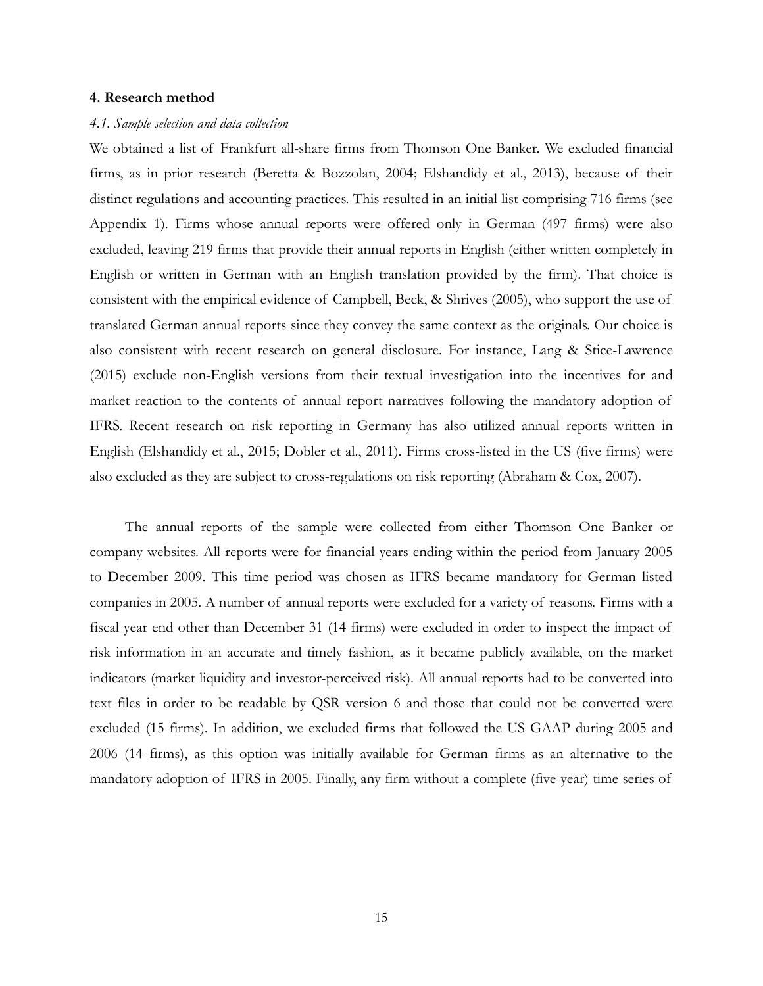## **4. Research method**

## *4.1. Sample selection and data collection*

We obtained a list of Frankfurt all-share firms from Thomson One Banker. We excluded financial firms, as in prior research (Beretta & Bozzolan, 2004; Elshandidy et al., 2013), because of their distinct regulations and accounting practices. This resulted in an initial list comprising 716 firms (see Appendix 1). Firms whose annual reports were offered only in German (497 firms) were also excluded, leaving 219 firms that provide their annual reports in English (either written completely in English or written in German with an English translation provided by the firm). That choice is consistent with the empirical evidence of Campbell, Beck, & Shrives (2005), who support the use of translated German annual reports since they convey the same context as the originals. Our choice is also consistent with recent research on general disclosure. For instance, Lang & Stice-Lawrence (2015) exclude non-English versions from their textual investigation into the incentives for and market reaction to the contents of annual report narratives following the mandatory adoption of IFRS. Recent research on risk reporting in Germany has also utilized annual reports written in English (Elshandidy et al., 2015; Dobler et al., 2011). Firms cross-listed in the US (five firms) were also excluded as they are subject to cross-regulations on risk reporting (Abraham & Cox, 2007).

The annual reports of the sample were collected from either Thomson One Banker or company websites. All reports were for financial years ending within the period from January 2005 to December 2009. This time period was chosen as IFRS became mandatory for German listed companies in 2005. A number of annual reports were excluded for a variety of reasons. Firms with a fiscal year end other than December 31 (14 firms) were excluded in order to inspect the impact of risk information in an accurate and timely fashion, as it became publicly available, on the market indicators (market liquidity and investor-perceived risk). All annual reports had to be converted into text files in order to be readable by QSR version 6 and those that could not be converted were excluded (15 firms). In addition, we excluded firms that followed the US GAAP during 2005 and 2006 (14 firms), as this option was initially available for German firms as an alternative to the mandatory adoption of IFRS in 2005. Finally, any firm without a complete (five-year) time series of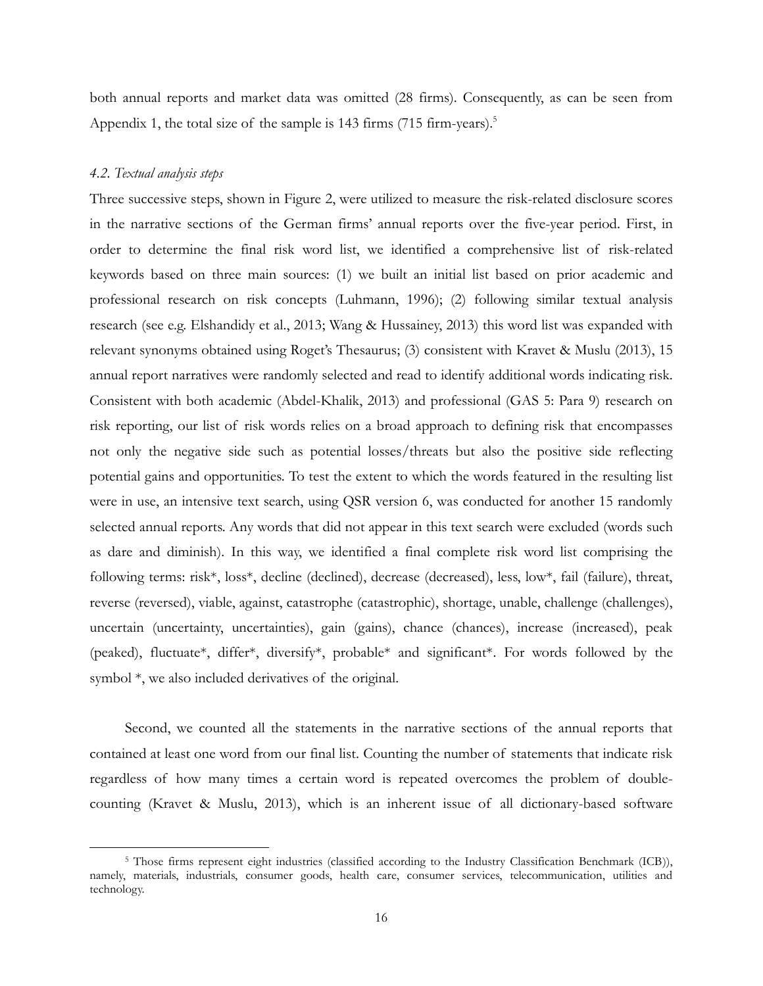both annual reports and market data was omitted (28 firms). Consequently, as can be seen from Appendix 1, the total size of the sample is 143 firms (715 firm-years).<sup>5</sup>

## *4.2. Textual analysis steps*

l

Three successive steps, shown in Figure 2, were utilized to measure the risk-related disclosure scores in the narrative sections of the German firms' annual reports over the five-year period. First, in order to determine the final risk word list, we identified a comprehensive list of risk-related keywords based on three main sources: (1) we built an initial list based on prior academic and professional research on risk concepts (Luhmann, 1996); (2) following similar textual analysis research (see e.g. Elshandidy et al., 2013; Wang & Hussainey, 2013) this word list was expanded with relevant synonyms obtained using Roget's Thesaurus; (3) consistent with Kravet & Muslu (2013), 15 annual report narratives were randomly selected and read to identify additional words indicating risk. Consistent with both academic (Abdel-Khalik, 2013) and professional (GAS 5: Para 9) research on risk reporting, our list of risk words relies on a broad approach to defining risk that encompasses not only the negative side such as potential losses/threats but also the positive side reflecting potential gains and opportunities. To test the extent to which the words featured in the resulting list were in use, an intensive text search, using QSR version 6, was conducted for another 15 randomly selected annual reports. Any words that did not appear in this text search were excluded (words such as dare and diminish). In this way, we identified a final complete risk word list comprising the following terms: risk\*, loss\*, decline (declined), decrease (decreased), less, low\*, fail (failure), threat, reverse (reversed), viable, against, catastrophe (catastrophic), shortage, unable, challenge (challenges), uncertain (uncertainty, uncertainties), gain (gains), chance (chances), increase (increased), peak (peaked), fluctuate\*, differ\*, diversify\*, probable\* and significant\*. For words followed by the symbol \*, we also included derivatives of the original.

Second, we counted all the statements in the narrative sections of the annual reports that contained at least one word from our final list. Counting the number of statements that indicate risk regardless of how many times a certain word is repeated overcomes the problem of doublecounting (Kravet & Muslu, 2013), which is an inherent issue of all dictionary-based software

<sup>&</sup>lt;sup>5</sup> Those firms represent eight industries (classified according to the Industry Classification Benchmark (ICB)), namely, materials, industrials, consumer goods, health care, consumer services, telecommunication, utilities and technology.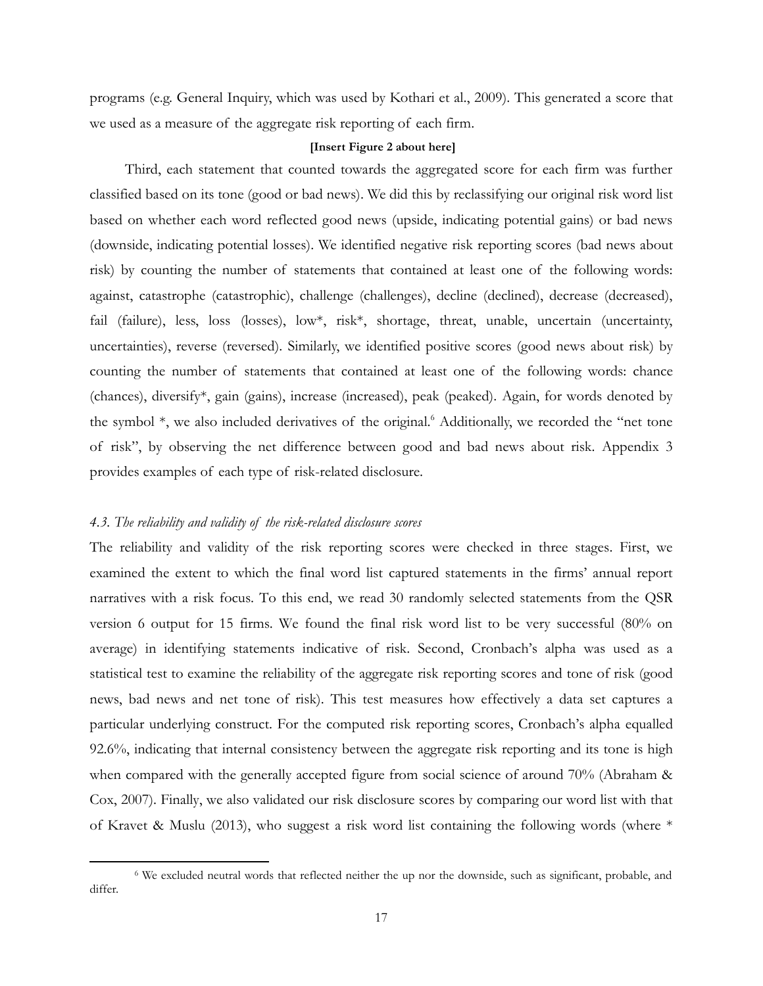programs (e.g. General Inquiry, which was used by Kothari et al., 2009). This generated a score that we used as a measure of the aggregate risk reporting of each firm.

## **[Insert Figure 2 about here]**

Third, each statement that counted towards the aggregated score for each firm was further classified based on its tone (good or bad news). We did this by reclassifying our original risk word list based on whether each word reflected good news (upside, indicating potential gains) or bad news (downside, indicating potential losses). We identified negative risk reporting scores (bad news about risk) by counting the number of statements that contained at least one of the following words: against, catastrophe (catastrophic), challenge (challenges), decline (declined), decrease (decreased), fail (failure), less, loss (losses), low\*, risk\*, shortage, threat, unable, uncertain (uncertainty, uncertainties), reverse (reversed). Similarly, we identified positive scores (good news about risk) by counting the number of statements that contained at least one of the following words: chance (chances), diversify\*, gain (gains), increase (increased), peak (peaked). Again, for words denoted by the symbol \*, we also included derivatives of the original.<sup>6</sup> Additionally, we recorded the "net tone of risk", by observing the net difference between good and bad news about risk. Appendix 3 provides examples of each type of risk-related disclosure.

## *4.3. The reliability and validity of the risk-related disclosure scores*

l

The reliability and validity of the risk reporting scores were checked in three stages. First, we examined the extent to which the final word list captured statements in the firms' annual report narratives with a risk focus. To this end, we read 30 randomly selected statements from the QSR version 6 output for 15 firms. We found the final risk word list to be very successful (80% on average) in identifying statements indicative of risk. Second, Cronbach's alpha was used as a statistical test to examine the reliability of the aggregate risk reporting scores and tone of risk (good news, bad news and net tone of risk). This test measures how effectively a data set captures a particular underlying construct. For the computed risk reporting scores, Cronbach's alpha equalled 92.6%, indicating that internal consistency between the aggregate risk reporting and its tone is high when compared with the generally accepted figure from social science of around 70% (Abraham & Cox, 2007). Finally, we also validated our risk disclosure scores by comparing our word list with that of Kravet & Muslu (2013), who suggest a risk word list containing the following words (where \*

<sup>6</sup> We excluded neutral words that reflected neither the up nor the downside, such as significant, probable, and differ.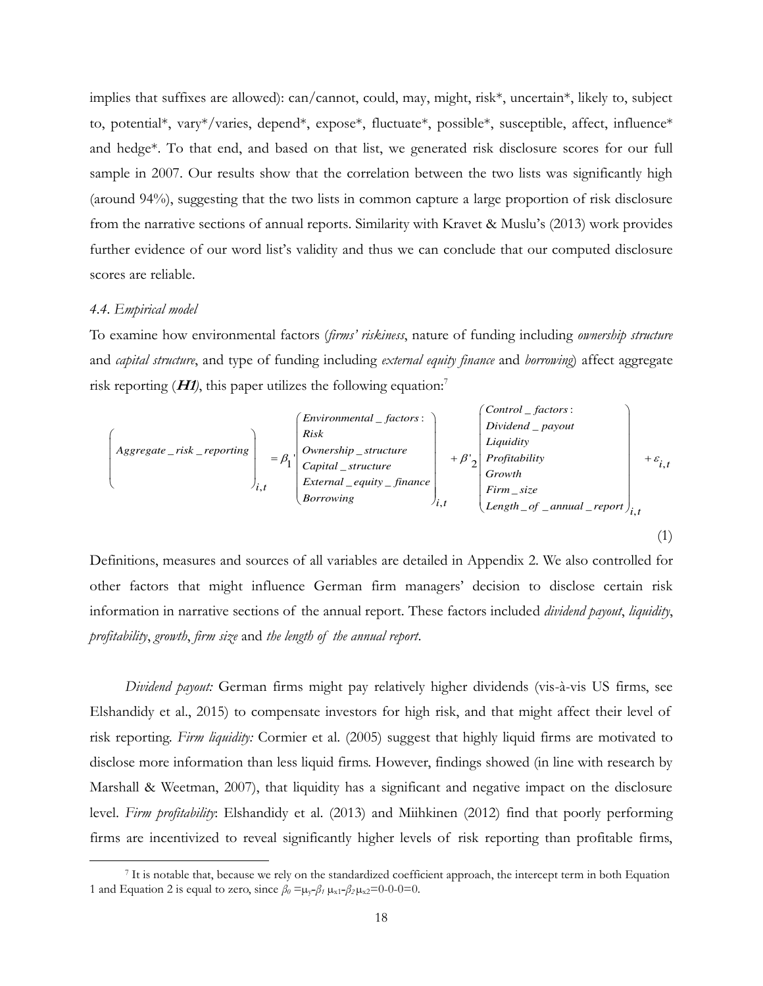implies that suffixes are allowed): can/cannot, could, may, might, risk\*, uncertain\*, likely to, subject to, potential\*, vary\*/varies, depend\*, expose\*, fluctuate\*, possible\*, susceptible, affect, influence\* and hedge\*. To that end, and based on that list, we generated risk disclosure scores for our full sample in 2007. Our results show that the correlation between the two lists was significantly high (around 94%), suggesting that the two lists in common capture a large proportion of risk disclosure from the narrative sections of annual reports. Similarity with Kravet & Muslu's (2013) work provides further evidence of our word list's validity and thus we can conclude that our computed disclosure scores are reliable.

## *4.4. Empirical model*

l

To examine how environmental factors (*firms' riskiness*, nature of funding including *ownership structure*  and *capital structure*, and type of funding including *external equity finance* and *borrowing*) affect aggregate risk reporting  $(H1)$ , this paper utilizes the following equation:<sup>7</sup>

$$
\begin{pmatrix}\n\text{Aggregate} - \text{risk} - \text{reporting} \\
\text{Aggregate} - \text{risk} - \text{reporting} \\
\end{pmatrix}_{i,t} = \beta_1 \begin{pmatrix}\n\text{Environmental} - \text{factors:} \\
\text{Risk} \\
\text{Owership} - \text{structure} \\
\text{Capital} - \text{structure} \\
\text{External} - \text{equity} - \text{finance} \\
\end{pmatrix}_{i,t} + \beta_2 \begin{pmatrix}\n\text{Control} - \text{factors:} \\
\text{Dividend} - \text{payout} \\
\text{Lightity} \\
\text{Growth} \\
\text{Firm} - \text{size} \\
\end{pmatrix}_{i,t} + \varepsilon_{i,t}
$$
\n(1)

Definitions, measures and sources of all variables are detailed in Appendix 2. We also controlled for other factors that might influence German firm managers' decision to disclose certain risk information in narrative sections of the annual report. These factors included *dividend payout*, *liquidity*, *profitability*, *growth*, *firm size* and *the length of the annual report*.

*Dividend payout:* German firms might pay relatively higher dividends (vis-à-vis US firms, see Elshandidy et al., 2015) to compensate investors for high risk, and that might affect their level of risk reporting. *Firm liquidity:* Cormier et al. (2005) suggest that highly liquid firms are motivated to disclose more information than less liquid firms. However, findings showed (in line with research by Marshall & Weetman, 2007), that liquidity has a significant and negative impact on the disclosure level. *Firm profitability*: Elshandidy et al. (2013) and Miihkinen (2012) find that poorly performing firms are incentivized to reveal significantly higher levels of risk reporting than profitable firms,

<sup>7</sup> It is notable that, because we rely on the standardized coefficient approach, the intercept term in both Equation 1 and Equation 2 is equal to zero, since  $\beta_0 = \mu_v - \beta_1 \mu_{x1} - \beta_2 \mu_{x2} = 0$ -0-0=0.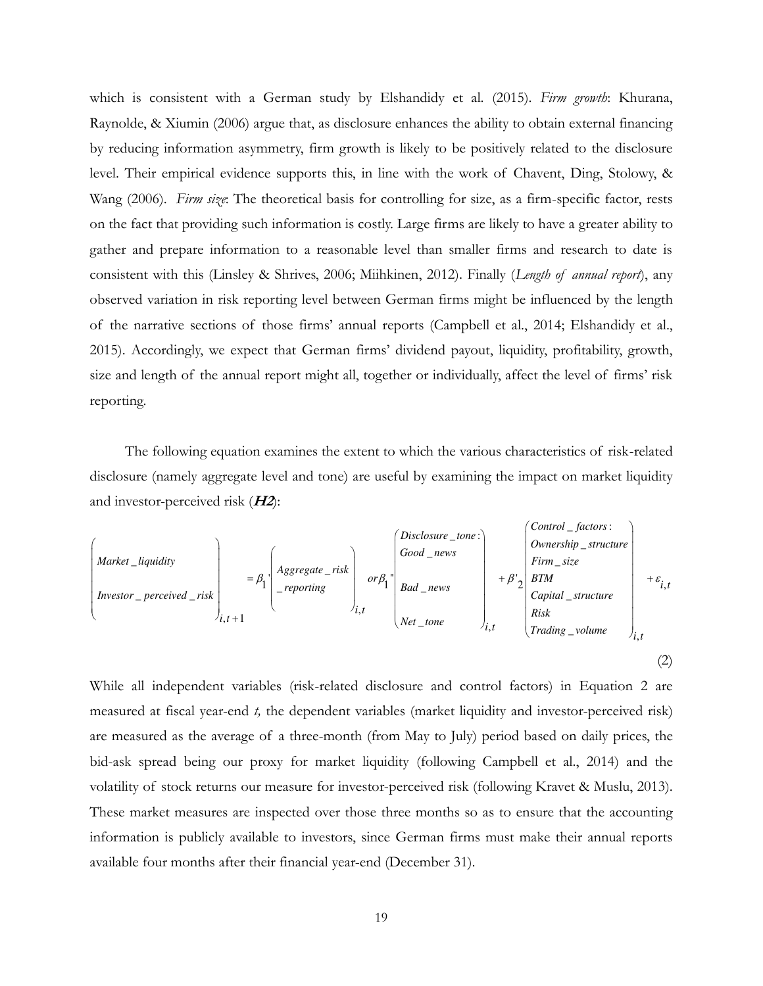which is consistent with a German study by Elshandidy et al. (2015). *Firm growth*: Khurana, Raynolde, & Xiumin (2006) argue that, as disclosure enhances the ability to obtain external financing by reducing information asymmetry, firm growth is likely to be positively related to the disclosure level. Their empirical evidence supports this, in line with the work of Chavent, Ding, Stolowy, & Wang (2006). *Firm size*: The theoretical basis for controlling for size, as a firm-specific factor, rests on the fact that providing such information is costly. Large firms are likely to have a greater ability to gather and prepare information to a reasonable level than smaller firms and research to date is consistent with this (Linsley & Shrives, 2006; Miihkinen, 2012). Finally (*Length of annual report*), any observed variation in risk reporting level between German firms might be influenced by the length of the narrative sections of those firms' annual reports (Campbell et al., 2014; Elshandidy et al., 2015). Accordingly, we expect that German firms' dividend payout, liquidity, profitability, growth, size and length of the annual report might all, together or individually, affect the level of firms' risk reporting.

The following equation examines the extent to which the various characteristics of risk-related disclosure (namely aggregate level and tone) are useful by examining the impact on market liquidity and investor-perceived risk (**H2**):

$$
\begin{pmatrix}\n\text{Market\_liquidity} \\
\text{Investor\_ perceived\_risk} \\
\text{Investor\_ perceived\_risk} \\
\text{first} \\
\text{first} \\
\text{first}\n\end{pmatrix}_{i,t+1} = \beta_1 \begin{pmatrix}\n\text{Aggregate\_risk} \\
\text{Aggregate\_risk} \\
\text{reporting} \\
\text{first} \\
\text{Net\_tone}\n\end{pmatrix}_{i,t} + \beta_2 \begin{pmatrix}\n\text{Control\_factors:} \\
\text{Owner} \\
\text{Firm\_size} \\
\text{Firm\_size} \\
\text{Capital\_structure} \\
\text{Risk} \\
\text{Trading\_volume}\n\end{pmatrix}_{i,t} + \varepsilon_{i,t}
$$
\n(2)

While all independent variables (risk-related disclosure and control factors) in Equation 2 are measured at fiscal year-end *t,* the dependent variables (market liquidity and investor-perceived risk) are measured as the average of a three-month (from May to July) period based on daily prices, the bid-ask spread being our proxy for market liquidity (following Campbell et al., 2014) and the volatility of stock returns our measure for investor-perceived risk (following Kravet & Muslu, 2013). These market measures are inspected over those three months so as to ensure that the accounting information is publicly available to investors, since German firms must make their annual reports available four months after their financial year-end (December 31).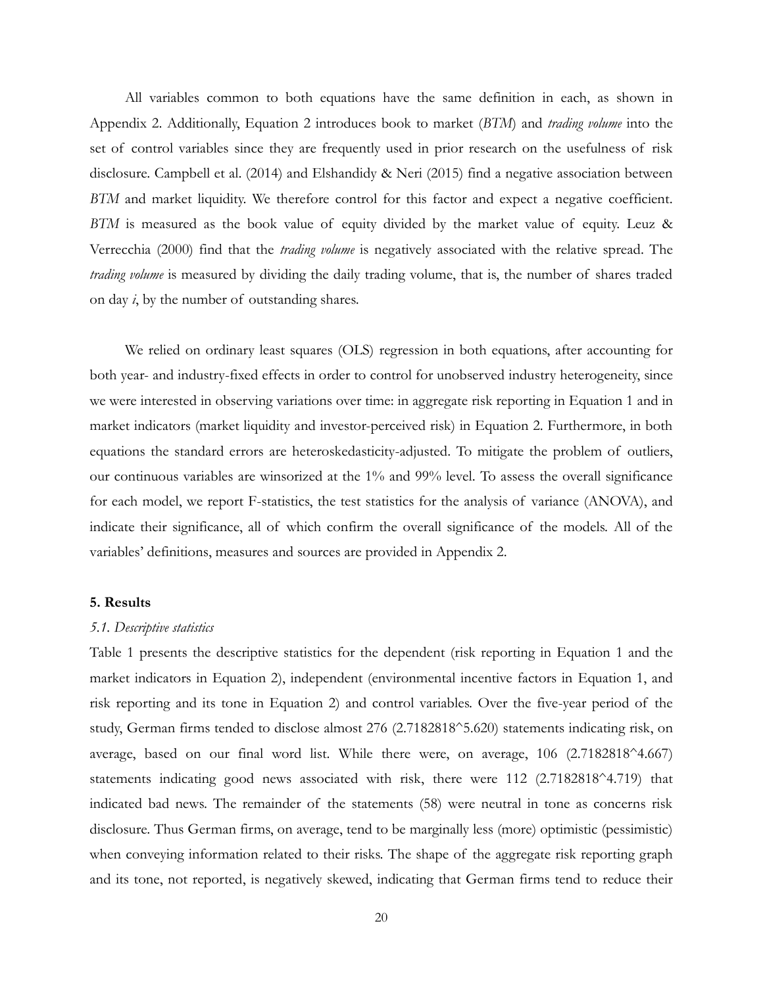All variables common to both equations have the same definition in each, as shown in Appendix 2. Additionally, Equation 2 introduces book to market (*BTM*) and *trading volume* into the set of control variables since they are frequently used in prior research on the usefulness of risk disclosure. Campbell et al. (2014) and Elshandidy & Neri (2015) find a negative association between *BTM* and market liquidity. We therefore control for this factor and expect a negative coefficient. *BTM* is measured as the book value of equity divided by the market value of equity. Leuz & Verrecchia (2000) find that the *trading volume* is negatively associated with the relative spread. The *trading volume* is measured by dividing the daily trading volume, that is, the number of shares traded on day *i*, by the number of outstanding shares.

We relied on ordinary least squares (OLS) regression in both equations, after accounting for both year- and industry-fixed effects in order to control for unobserved industry heterogeneity, since we were interested in observing variations over time: in aggregate risk reporting in Equation 1 and in market indicators (market liquidity and investor-perceived risk) in Equation 2. Furthermore, in both equations the standard errors are heteroskedasticity-adjusted. To mitigate the problem of outliers, our continuous variables are winsorized at the 1% and 99% level. To assess the overall significance for each model, we report F-statistics, the test statistics for the analysis of variance (ANOVA), and indicate their significance, all of which confirm the overall significance of the models. All of the variables' definitions, measures and sources are provided in Appendix 2.

## **5. Results**

#### *5.1. Descriptive statistics*

Table 1 presents the descriptive statistics for the dependent (risk reporting in Equation 1 and the market indicators in Equation 2), independent (environmental incentive factors in Equation 1, and risk reporting and its tone in Equation 2) and control variables. Over the five-year period of the study, German firms tended to disclose almost 276 (2.7182818^5.620) statements indicating risk, on average, based on our final word list. While there were, on average, 106 (2.7182818^4.667) statements indicating good news associated with risk, there were 112 (2.7182818^4.719) that indicated bad news. The remainder of the statements (58) were neutral in tone as concerns risk disclosure. Thus German firms, on average, tend to be marginally less (more) optimistic (pessimistic) when conveying information related to their risks. The shape of the aggregate risk reporting graph and its tone, not reported, is negatively skewed, indicating that German firms tend to reduce their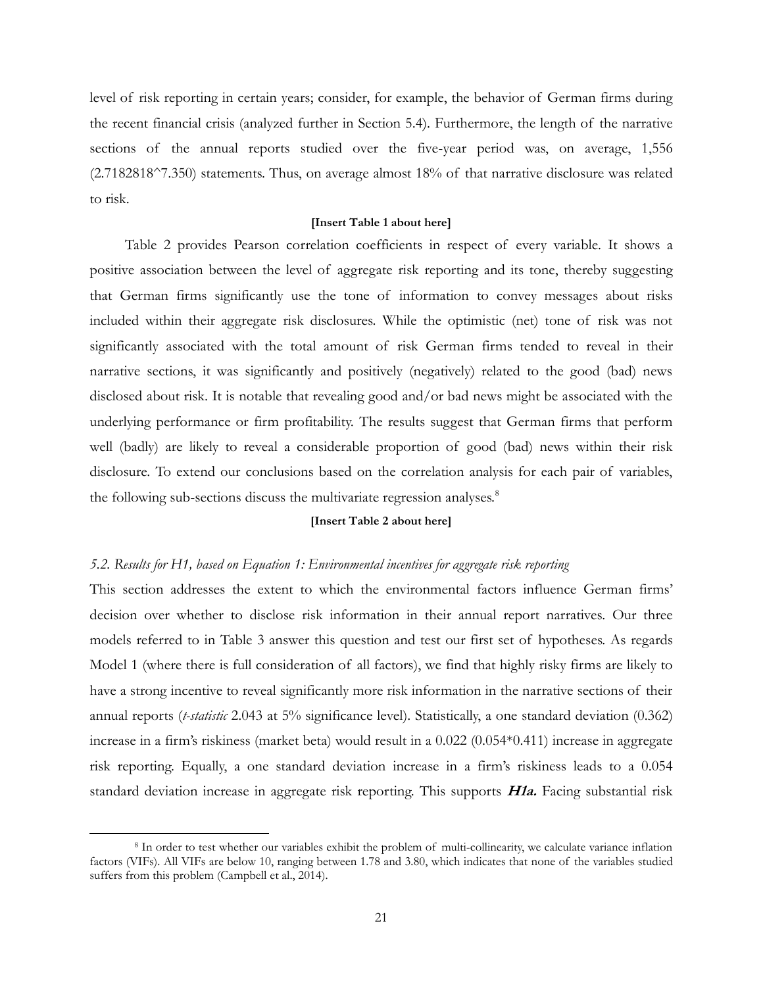level of risk reporting in certain years; consider, for example, the behavior of German firms during the recent financial crisis (analyzed further in Section 5.4). Furthermore, the length of the narrative sections of the annual reports studied over the five-year period was, on average, 1,556 (2.7182818^7.350) statements. Thus, on average almost 18% of that narrative disclosure was related to risk.

## **[Insert Table 1 about here]**

Table 2 provides Pearson correlation coefficients in respect of every variable. It shows a positive association between the level of aggregate risk reporting and its tone, thereby suggesting that German firms significantly use the tone of information to convey messages about risks included within their aggregate risk disclosures. While the optimistic (net) tone of risk was not significantly associated with the total amount of risk German firms tended to reveal in their narrative sections, it was significantly and positively (negatively) related to the good (bad) news disclosed about risk. It is notable that revealing good and/or bad news might be associated with the underlying performance or firm profitability. The results suggest that German firms that perform well (badly) are likely to reveal a considerable proportion of good (bad) news within their risk disclosure. To extend our conclusions based on the correlation analysis for each pair of variables, the following sub-sections discuss the multivariate regression analyses.<sup>8</sup>

## **[Insert Table 2 about here]**

## *5.2. Results for H1, based on Equation 1: Environmental incentives for aggregate risk reporting*

l

This section addresses the extent to which the environmental factors influence German firms' decision over whether to disclose risk information in their annual report narratives. Our three models referred to in Table 3 answer this question and test our first set of hypotheses. As regards Model 1 (where there is full consideration of all factors), we find that highly risky firms are likely to have a strong incentive to reveal significantly more risk information in the narrative sections of their annual reports (*t-statistic* 2.043 at 5% significance level). Statistically, a one standard deviation (0.362) increase in a firm's riskiness (market beta) would result in a 0.022 (0.054\*0.411) increase in aggregate risk reporting. Equally, a one standard deviation increase in a firm's riskiness leads to a 0.054 standard deviation increase in aggregate risk reporting. This supports **H1a.** Facing substantial risk

<sup>&</sup>lt;sup>8</sup> In order to test whether our variables exhibit the problem of multi-collinearity, we calculate variance inflation factors (VIFs). All VIFs are below 10, ranging between 1.78 and 3.80, which indicates that none of the variables studied suffers from this problem (Campbell et al., 2014).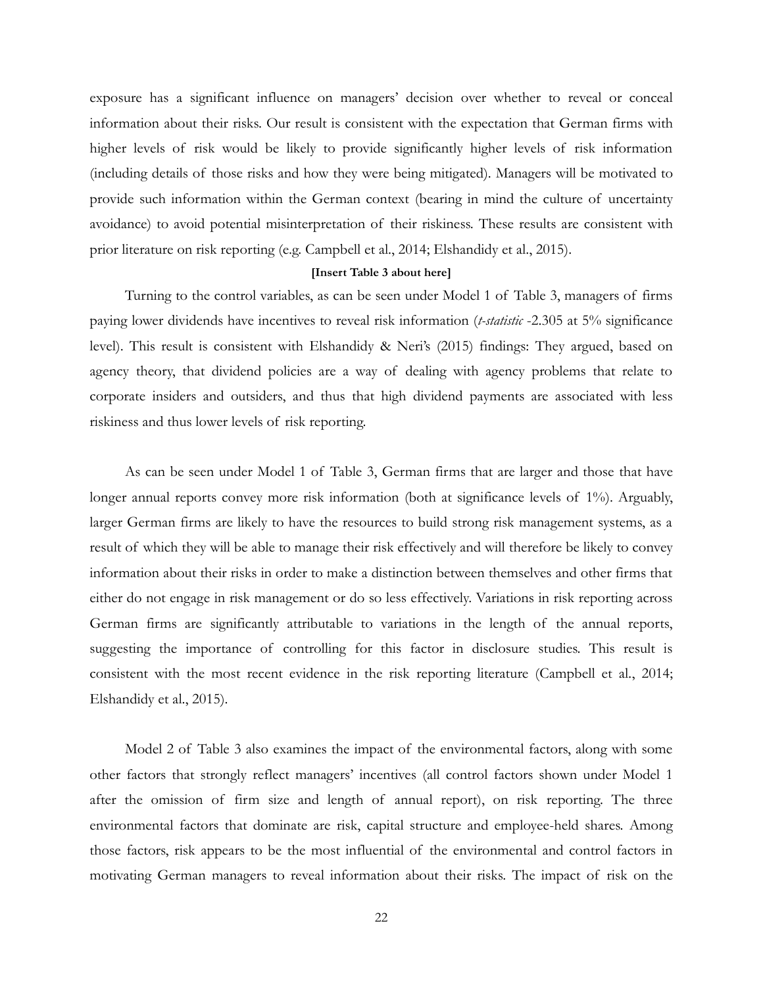exposure has a significant influence on managers' decision over whether to reveal or conceal information about their risks. Our result is consistent with the expectation that German firms with higher levels of risk would be likely to provide significantly higher levels of risk information (including details of those risks and how they were being mitigated). Managers will be motivated to provide such information within the German context (bearing in mind the culture of uncertainty avoidance) to avoid potential misinterpretation of their riskiness. These results are consistent with prior literature on risk reporting (e.g. Campbell et al., 2014; Elshandidy et al., 2015).

## **[Insert Table 3 about here]**

Turning to the control variables, as can be seen under Model 1 of Table 3, managers of firms paying lower dividends have incentives to reveal risk information (*t-statistic* -2.305 at 5% significance level). This result is consistent with Elshandidy & Neri's (2015) findings: They argued, based on agency theory, that dividend policies are a way of dealing with agency problems that relate to corporate insiders and outsiders, and thus that high dividend payments are associated with less riskiness and thus lower levels of risk reporting.

As can be seen under Model 1 of Table 3, German firms that are larger and those that have longer annual reports convey more risk information (both at significance levels of 1%). Arguably, larger German firms are likely to have the resources to build strong risk management systems, as a result of which they will be able to manage their risk effectively and will therefore be likely to convey information about their risks in order to make a distinction between themselves and other firms that either do not engage in risk management or do so less effectively. Variations in risk reporting across German firms are significantly attributable to variations in the length of the annual reports, suggesting the importance of controlling for this factor in disclosure studies. This result is consistent with the most recent evidence in the risk reporting literature (Campbell et al*.*, 2014; Elshandidy et al., 2015).

Model 2 of Table 3 also examines the impact of the environmental factors, along with some other factors that strongly reflect managers' incentives (all control factors shown under Model 1 after the omission of firm size and length of annual report), on risk reporting. The three environmental factors that dominate are risk, capital structure and employee-held shares. Among those factors, risk appears to be the most influential of the environmental and control factors in motivating German managers to reveal information about their risks. The impact of risk on the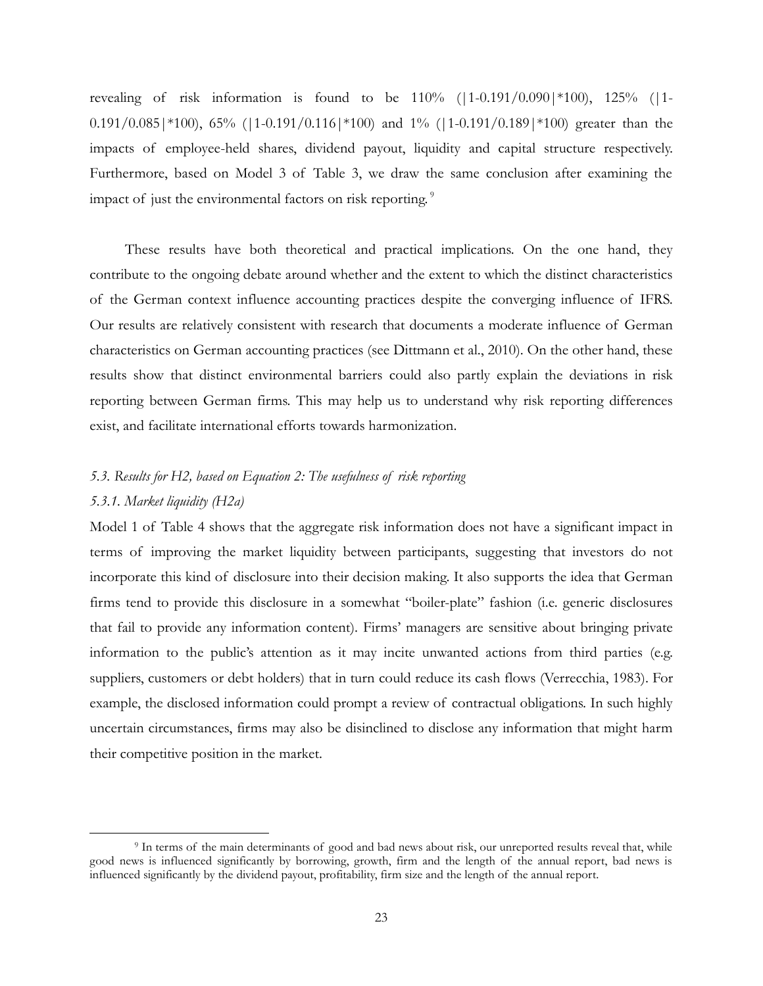revealing of risk information is found to be 110% (|1-0.191/0.090|\*100), 125% (|1- 0.191/0.085|\*100), 65% (11-0.191/0.116|\*100) and 1% (11-0.191/0.189|\*100) greater than the impacts of employee-held shares, dividend payout, liquidity and capital structure respectively. Furthermore, based on Model 3 of Table 3, we draw the same conclusion after examining the impact of just the environmental factors on risk reporting.<sup>9</sup>

These results have both theoretical and practical implications. On the one hand, they contribute to the ongoing debate around whether and the extent to which the distinct characteristics of the German context influence accounting practices despite the converging influence of IFRS. Our results are relatively consistent with research that documents a moderate influence of German characteristics on German accounting practices (see Dittmann et al., 2010). On the other hand, these results show that distinct environmental barriers could also partly explain the deviations in risk reporting between German firms. This may help us to understand why risk reporting differences exist, and facilitate international efforts towards harmonization.

## *5.3. Results for H2, based on Equation 2: The usefulness of risk reporting 5.3.1. Market liquidity (H2a)*

l

Model 1 of Table 4 shows that the aggregate risk information does not have a significant impact in terms of improving the market liquidity between participants, suggesting that investors do not incorporate this kind of disclosure into their decision making. It also supports the idea that German firms tend to provide this disclosure in a somewhat "boiler-plate" fashion (i.e. generic disclosures that fail to provide any information content). Firms' managers are sensitive about bringing private information to the public's attention as it may incite unwanted actions from third parties (e.g. suppliers, customers or debt holders) that in turn could reduce its cash flows (Verrecchia, 1983). For example, the disclosed information could prompt a review of contractual obligations. In such highly uncertain circumstances, firms may also be disinclined to disclose any information that might harm their competitive position in the market.

<sup>9</sup> In terms of the main determinants of good and bad news about risk, our unreported results reveal that, while good news is influenced significantly by borrowing, growth, firm and the length of the annual report, bad news is influenced significantly by the dividend payout, profitability, firm size and the length of the annual report.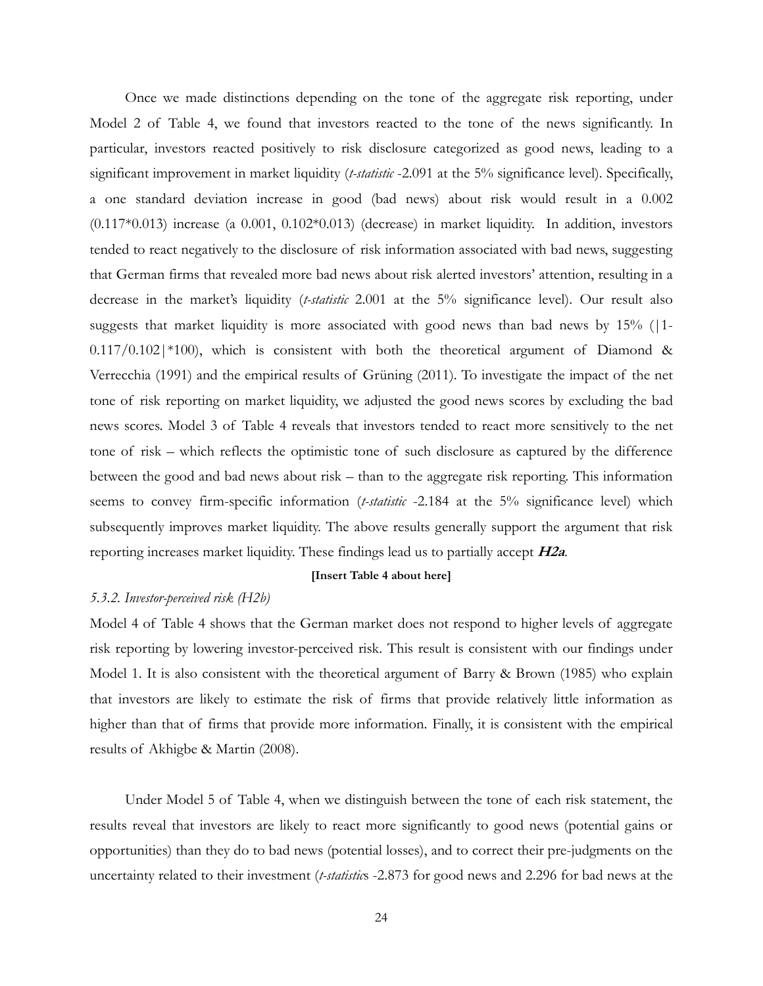Once we made distinctions depending on the tone of the aggregate risk reporting, under Model 2 of Table 4, we found that investors reacted to the tone of the news significantly. In particular, investors reacted positively to risk disclosure categorized as good news, leading to a significant improvement in market liquidity (*t-statistic* -2.091 at the 5% significance level). Specifically, a one standard deviation increase in good (bad news) about risk would result in a 0.002 (0.117\*0.013) increase (a 0.001, 0.102\*0.013) (decrease) in market liquidity. In addition, investors tended to react negatively to the disclosure of risk information associated with bad news, suggesting that German firms that revealed more bad news about risk alerted investors' attention, resulting in a decrease in the market's liquidity (*t-statistic* 2.001 at the 5% significance level). Our result also suggests that market liquidity is more associated with good news than bad news by 15% (|1-  $0.117/0.102$ |\*100), which is consistent with both the theoretical argument of Diamond & Verrecchia (1991) and the empirical results of Grüning (2011). To investigate the impact of the net tone of risk reporting on market liquidity, we adjusted the good news scores by excluding the bad news scores. Model 3 of Table 4 reveals that investors tended to react more sensitively to the net tone of risk – which reflects the optimistic tone of such disclosure as captured by the difference between the good and bad news about risk – than to the aggregate risk reporting. This information seems to convey firm-specific information (*t-statistic* -2.184 at the 5% significance level) which subsequently improves market liquidity. The above results generally support the argument that risk reporting increases market liquidity. These findings lead us to partially accept **H2a**.

## **[Insert Table 4 about here]**

## *5.3.2. Investor-perceived risk (H2b)*

Model 4 of Table 4 shows that the German market does not respond to higher levels of aggregate risk reporting by lowering investor-perceived risk. This result is consistent with our findings under Model 1. It is also consistent with the theoretical argument of Barry & Brown (1985) who explain that investors are likely to estimate the risk of firms that provide relatively little information as higher than that of firms that provide more information. Finally, it is consistent with the empirical results of Akhigbe & Martin (2008).

Under Model 5 of Table 4, when we distinguish between the tone of each risk statement, the results reveal that investors are likely to react more significantly to good news (potential gains or opportunities) than they do to bad news (potential losses), and to correct their pre-judgments on the uncertainty related to their investment (*t-statistic*s -2.873 for good news and 2.296 for bad news at the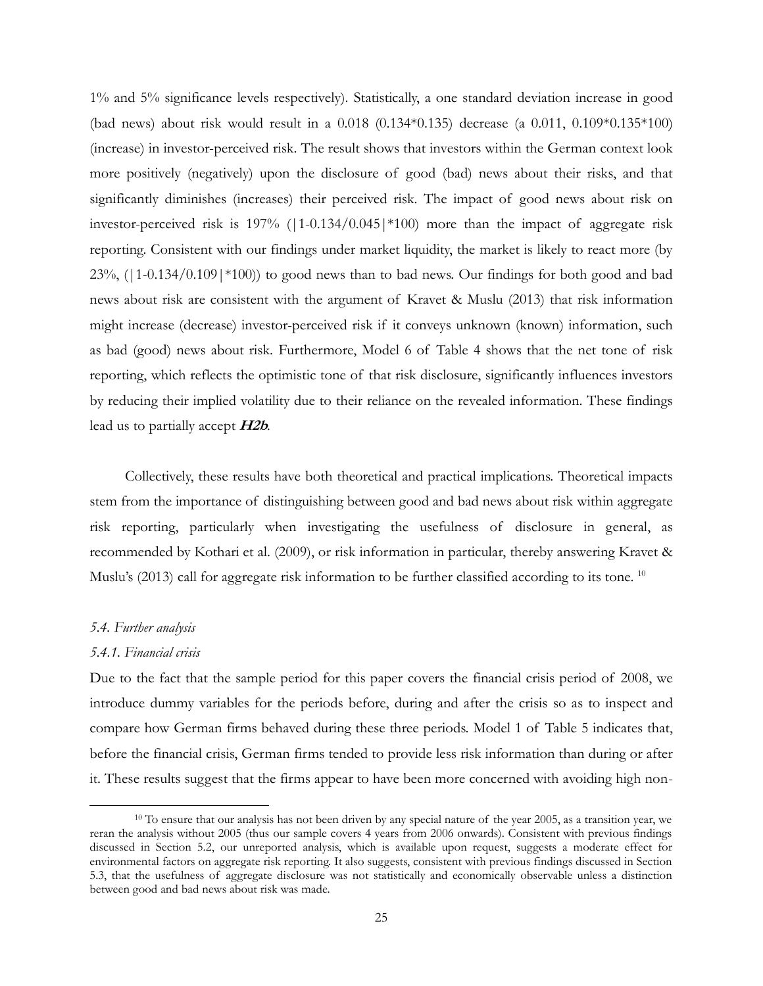1% and 5% significance levels respectively). Statistically, a one standard deviation increase in good (bad news) about risk would result in a 0.018 (0.134\*0.135) decrease (a 0.011, 0.109\*0.135\*100) (increase) in investor-perceived risk. The result shows that investors within the German context look more positively (negatively) upon the disclosure of good (bad) news about their risks, and that significantly diminishes (increases) their perceived risk. The impact of good news about risk on investor-perceived risk is 197% (|1-0.134/0.045|\*100) more than the impact of aggregate risk reporting. Consistent with our findings under market liquidity, the market is likely to react more (by 23%, (|1-0.134/0.109|\*100)) to good news than to bad news. Our findings for both good and bad news about risk are consistent with the argument of Kravet & Muslu (2013) that risk information might increase (decrease) investor-perceived risk if it conveys unknown (known) information, such as bad (good) news about risk. Furthermore, Model 6 of Table 4 shows that the net tone of risk reporting, which reflects the optimistic tone of that risk disclosure, significantly influences investors by reducing their implied volatility due to their reliance on the revealed information. These findings lead us to partially accept **H2b***.*

Collectively, these results have both theoretical and practical implications. Theoretical impacts stem from the importance of distinguishing between good and bad news about risk within aggregate risk reporting, particularly when investigating the usefulness of disclosure in general, as recommended by Kothari et al. (2009), or risk information in particular, thereby answering Kravet & Muslu's (2013) call for aggregate risk information to be further classified according to its tone.  $^{10}$ 

#### *5.4. Further analysis*

#### *5.4.1. Financial crisis*

l

Due to the fact that the sample period for this paper covers the financial crisis period of 2008, we introduce dummy variables for the periods before, during and after the crisis so as to inspect and compare how German firms behaved during these three periods. Model 1 of Table 5 indicates that, before the financial crisis, German firms tended to provide less risk information than during or after it. These results suggest that the firms appear to have been more concerned with avoiding high non-

<sup>&</sup>lt;sup>10</sup> To ensure that our analysis has not been driven by any special nature of the year 2005, as a transition year, we reran the analysis without 2005 (thus our sample covers 4 years from 2006 onwards). Consistent with previous findings discussed in Section 5.2, our unreported analysis, which is available upon request, suggests a moderate effect for environmental factors on aggregate risk reporting. It also suggests, consistent with previous findings discussed in Section 5.3, that the usefulness of aggregate disclosure was not statistically and economically observable unless a distinction between good and bad news about risk was made.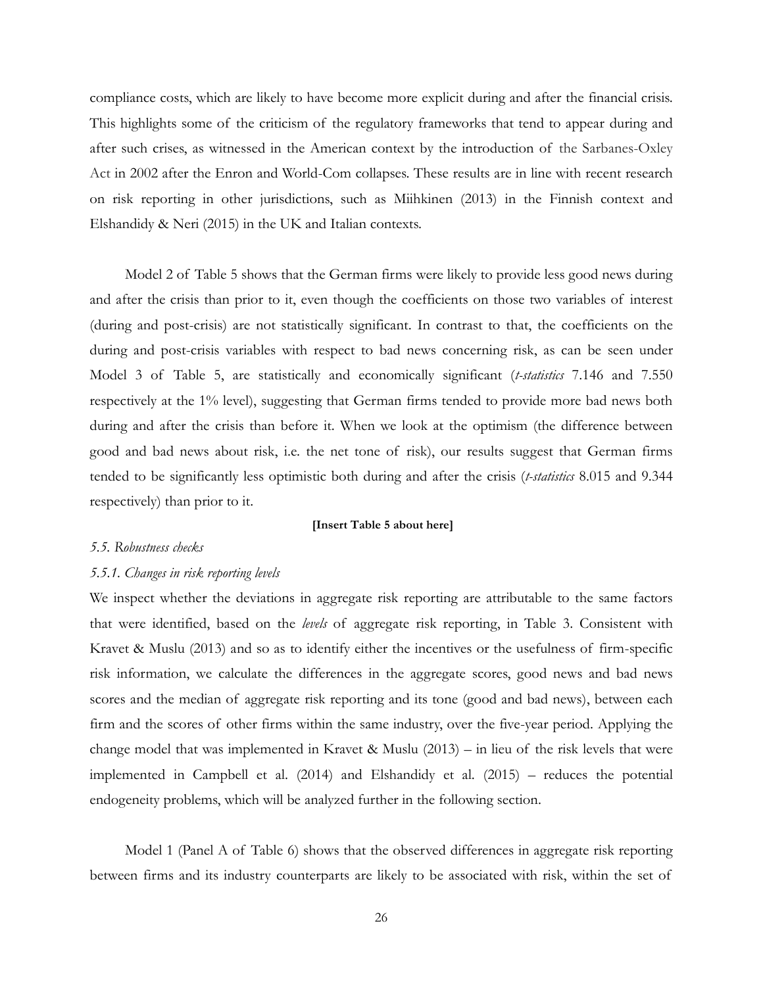compliance costs, which are likely to have become more explicit during and after the financial crisis. This highlights some of the criticism of the regulatory frameworks that tend to appear during and after such crises, as witnessed in the American context by the introduction of the Sarbanes-Oxley Act in 2002 after the Enron and World-Com collapses. These results are in line with recent research on risk reporting in other jurisdictions, such as Miihkinen (2013) in the Finnish context and Elshandidy & Neri (2015) in the UK and Italian contexts.

Model 2 of Table 5 shows that the German firms were likely to provide less good news during and after the crisis than prior to it, even though the coefficients on those two variables of interest (during and post-crisis) are not statistically significant. In contrast to that, the coefficients on the during and post-crisis variables with respect to bad news concerning risk, as can be seen under Model 3 of Table 5, are statistically and economically significant (*t-statistics* 7.146 and 7.550 respectively at the 1% level), suggesting that German firms tended to provide more bad news both during and after the crisis than before it. When we look at the optimism (the difference between good and bad news about risk, i.e. the net tone of risk), our results suggest that German firms tended to be significantly less optimistic both during and after the crisis (*t-statistics* 8.015 and 9.344 respectively) than prior to it.

## **[Insert Table 5 about here]**

## *5.5. Robustness checks*

## *5.5.1. Changes in risk reporting levels*

We inspect whether the deviations in aggregate risk reporting are attributable to the same factors that were identified, based on the *levels* of aggregate risk reporting, in Table 3. Consistent with Kravet & Muslu (2013) and so as to identify either the incentives or the usefulness of firm-specific risk information, we calculate the differences in the aggregate scores, good news and bad news scores and the median of aggregate risk reporting and its tone (good and bad news), between each firm and the scores of other firms within the same industry, over the five-year period. Applying the change model that was implemented in Kravet & Muslu  $(2013)$  – in lieu of the risk levels that were implemented in Campbell et al. (2014) and Elshandidy et al. (2015) – reduces the potential endogeneity problems, which will be analyzed further in the following section.

Model 1 (Panel A of Table 6) shows that the observed differences in aggregate risk reporting between firms and its industry counterparts are likely to be associated with risk, within the set of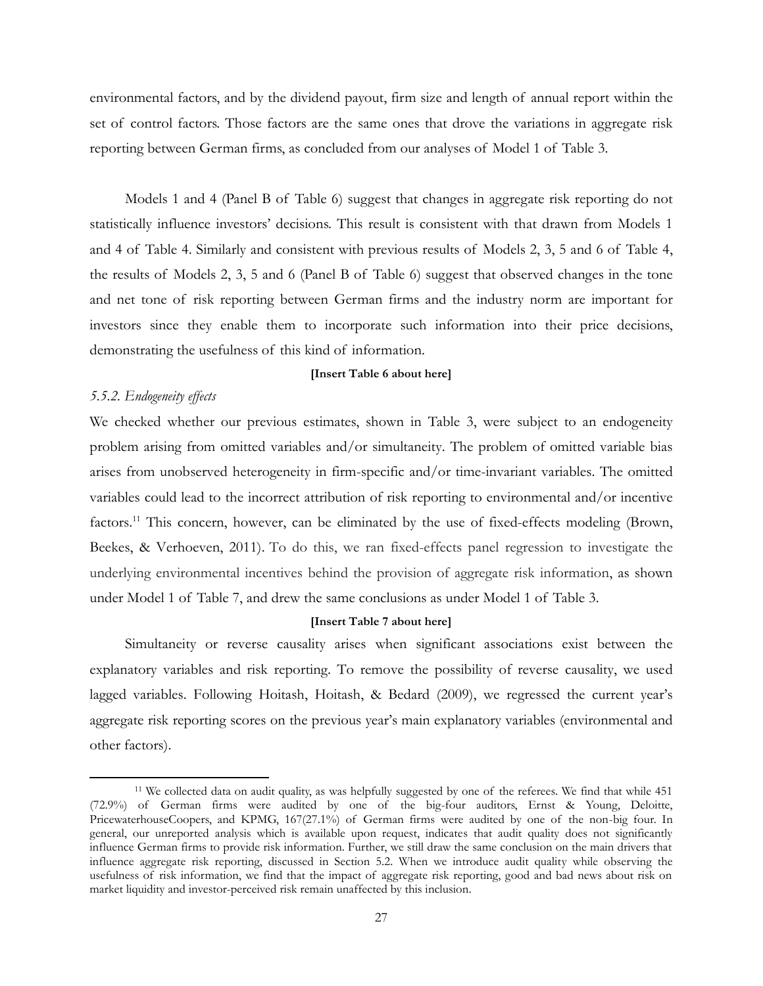environmental factors, and by the dividend payout, firm size and length of annual report within the set of control factors. Those factors are the same ones that drove the variations in aggregate risk reporting between German firms, as concluded from our analyses of Model 1 of Table 3.

Models 1 and 4 (Panel B of Table 6) suggest that changes in aggregate risk reporting do not statistically influence investors' decisions. This result is consistent with that drawn from Models 1 and 4 of Table 4. Similarly and consistent with previous results of Models 2, 3, 5 and 6 of Table 4, the results of Models 2, 3, 5 and 6 (Panel B of Table 6) suggest that observed changes in the tone and net tone of risk reporting between German firms and the industry norm are important for investors since they enable them to incorporate such information into their price decisions, demonstrating the usefulness of this kind of information.

## **[Insert Table 6 about here]**

## *5.5.2. Endogeneity effects*

l

We checked whether our previous estimates, shown in Table 3, were subject to an endogeneity problem arising from omitted variables and/or simultaneity. The problem of omitted variable bias arises from unobserved heterogeneity in firm-specific and/or time-invariant variables. The omitted variables could lead to the incorrect attribution of risk reporting to environmental and/or incentive factors.<sup>11</sup> This concern, however, can be eliminated by the use of fixed-effects modeling (Brown, Beekes, & Verhoeven, 2011). To do this, we ran fixed-effects panel regression to investigate the underlying environmental incentives behind the provision of aggregate risk information, as shown under Model 1 of Table 7, and drew the same conclusions as under Model 1 of Table 3.

#### **[Insert Table 7 about here]**

Simultaneity or reverse causality arises when significant associations exist between the explanatory variables and risk reporting. To remove the possibility of reverse causality, we used lagged variables. Following Hoitash, Hoitash, & Bedard (2009), we regressed the current year's aggregate risk reporting scores on the previous year's main explanatory variables (environmental and other factors).

<sup>11</sup> We collected data on audit quality, as was helpfully suggested by one of the referees. We find that while 451 (72.9%) of German firms were audited by one of the big-four auditors, Ernst & Young, Deloitte, PricewaterhouseCoopers, and KPMG, 167(27.1%) of German firms were audited by one of the non-big four. In general, our unreported analysis which is available upon request, indicates that audit quality does not significantly influence German firms to provide risk information. Further, we still draw the same conclusion on the main drivers that influence aggregate risk reporting, discussed in Section 5.2. When we introduce audit quality while observing the usefulness of risk information, we find that the impact of aggregate risk reporting, good and bad news about risk on market liquidity and investor-perceived risk remain unaffected by this inclusion.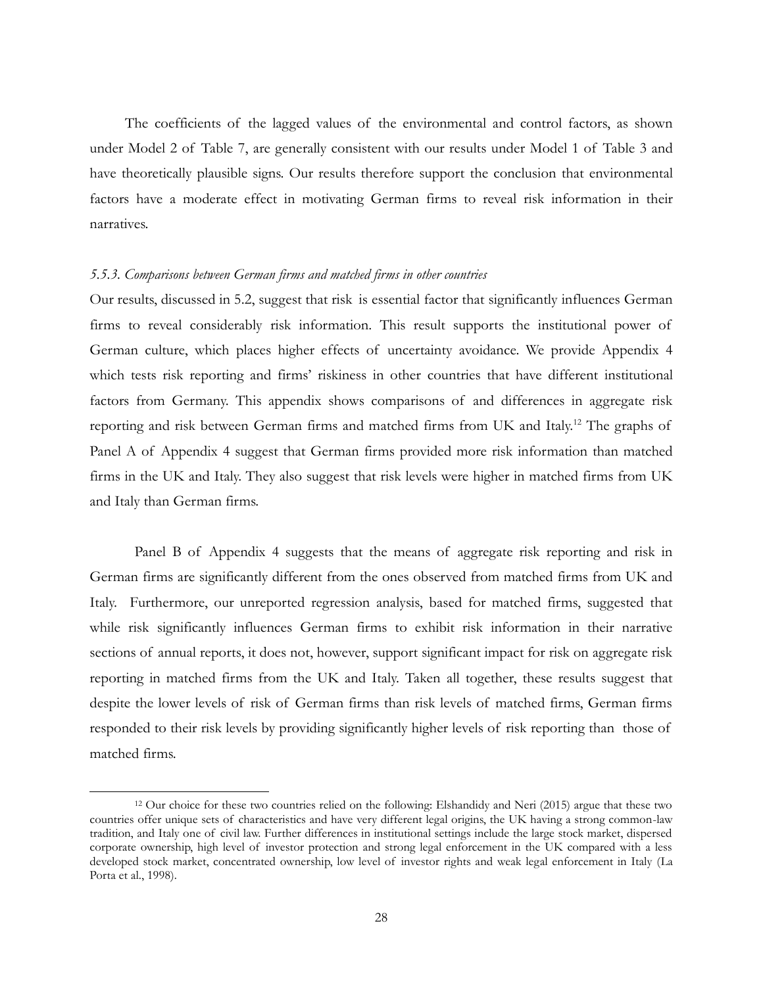The coefficients of the lagged values of the environmental and control factors, as shown under Model 2 of Table 7, are generally consistent with our results under Model 1 of Table 3 and have theoretically plausible signs. Our results therefore support the conclusion that environmental factors have a moderate effect in motivating German firms to reveal risk information in their narratives.

## *5.5.3. Comparisons between German firms and matched firms in other countries*

l

Our results, discussed in 5.2, suggest that risk is essential factor that significantly influences German firms to reveal considerably risk information. This result supports the institutional power of German culture, which places higher effects of uncertainty avoidance. We provide Appendix 4 which tests risk reporting and firms' riskiness in other countries that have different institutional factors from Germany. This appendix shows comparisons of and differences in aggregate risk reporting and risk between German firms and matched firms from UK and Italy.<sup>12</sup> The graphs of Panel A of Appendix 4 suggest that German firms provided more risk information than matched firms in the UK and Italy. They also suggest that risk levels were higher in matched firms from UK and Italy than German firms.

Panel B of Appendix 4 suggests that the means of aggregate risk reporting and risk in German firms are significantly different from the ones observed from matched firms from UK and Italy. Furthermore, our unreported regression analysis, based for matched firms, suggested that while risk significantly influences German firms to exhibit risk information in their narrative sections of annual reports, it does not, however, support significant impact for risk on aggregate risk reporting in matched firms from the UK and Italy. Taken all together, these results suggest that despite the lower levels of risk of German firms than risk levels of matched firms, German firms responded to their risk levels by providing significantly higher levels of risk reporting than those of matched firms.

<sup>12</sup> Our choice for these two countries relied on the following: Elshandidy and Neri (2015) argue that these two countries offer unique sets of characteristics and have very different legal origins, the UK having a strong common-law tradition, and Italy one of civil law. Further differences in institutional settings include the large stock market, dispersed corporate ownership, high level of investor protection and strong legal enforcement in the UK compared with a less developed stock market, concentrated ownership, low level of investor rights and weak legal enforcement in Italy (La Porta et al., 1998).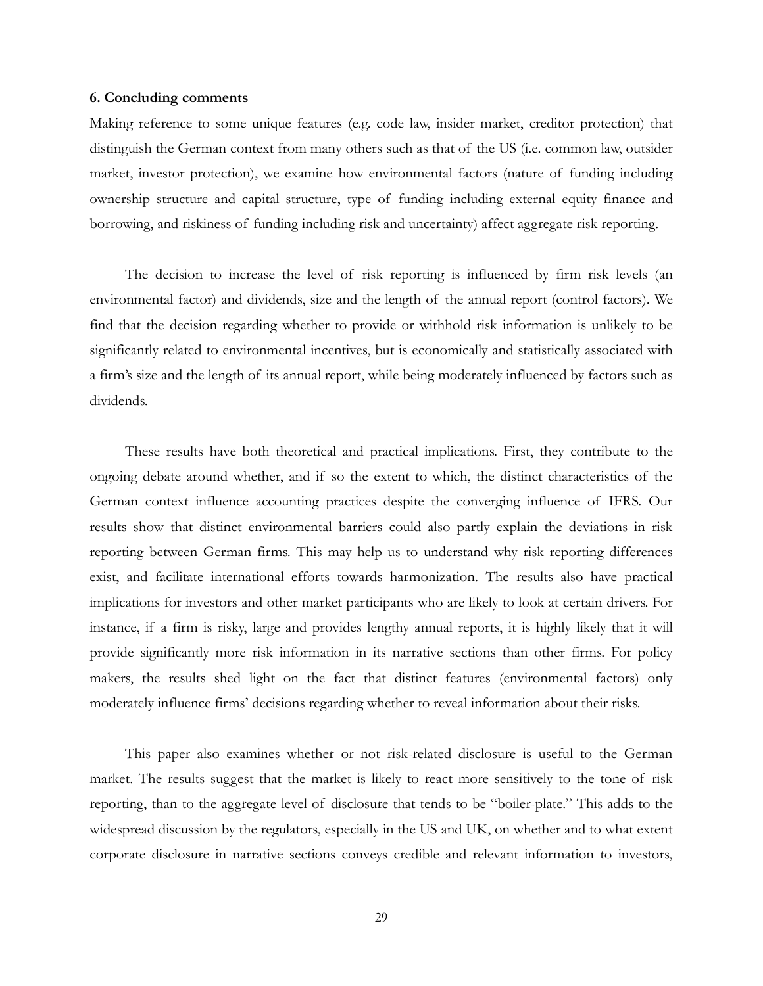#### **6. Concluding comments**

Making reference to some unique features (e.g. code law, insider market, creditor protection) that distinguish the German context from many others such as that of the US (i.e. common law, outsider market, investor protection), we examine how environmental factors (nature of funding including ownership structure and capital structure, type of funding including external equity finance and borrowing, and riskiness of funding including risk and uncertainty) affect aggregate risk reporting.

The decision to increase the level of risk reporting is influenced by firm risk levels (an environmental factor) and dividends, size and the length of the annual report (control factors). We find that the decision regarding whether to provide or withhold risk information is unlikely to be significantly related to environmental incentives, but is economically and statistically associated with a firm's size and the length of its annual report, while being moderately influenced by factors such as dividends.

These results have both theoretical and practical implications. First, they contribute to the ongoing debate around whether, and if so the extent to which, the distinct characteristics of the German context influence accounting practices despite the converging influence of IFRS. Our results show that distinct environmental barriers could also partly explain the deviations in risk reporting between German firms. This may help us to understand why risk reporting differences exist, and facilitate international efforts towards harmonization. The results also have practical implications for investors and other market participants who are likely to look at certain drivers. For instance, if a firm is risky, large and provides lengthy annual reports, it is highly likely that it will provide significantly more risk information in its narrative sections than other firms. For policy makers, the results shed light on the fact that distinct features (environmental factors) only moderately influence firms' decisions regarding whether to reveal information about their risks.

This paper also examines whether or not risk-related disclosure is useful to the German market. The results suggest that the market is likely to react more sensitively to the tone of risk reporting, than to the aggregate level of disclosure that tends to be "boiler-plate." This adds to the widespread discussion by the regulators, especially in the US and UK, on whether and to what extent corporate disclosure in narrative sections conveys credible and relevant information to investors,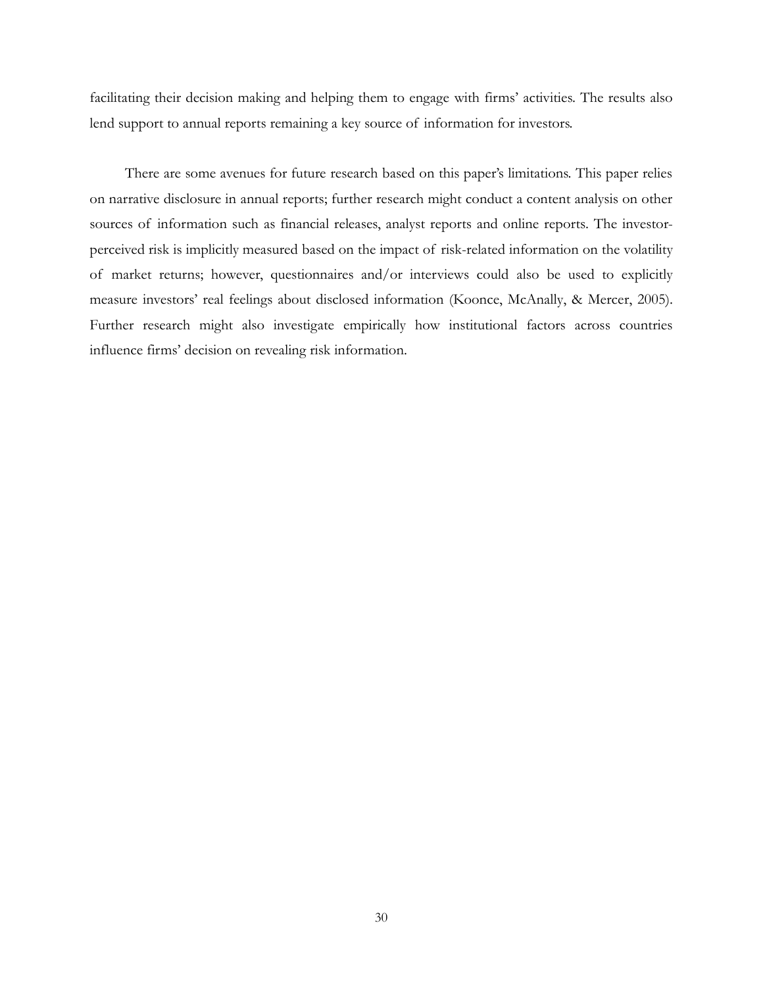facilitating their decision making and helping them to engage with firms' activities. The results also lend support to annual reports remaining a key source of information for investors.

There are some avenues for future research based on this paper's limitations. This paper relies on narrative disclosure in annual reports; further research might conduct a content analysis on other sources of information such as financial releases, analyst reports and online reports. The investorperceived risk is implicitly measured based on the impact of risk-related information on the volatility of market returns; however, questionnaires and/or interviews could also be used to explicitly measure investors' real feelings about disclosed information (Koonce, McAnally, & Mercer, 2005). Further research might also investigate empirically how institutional factors across countries influence firms' decision on revealing risk information.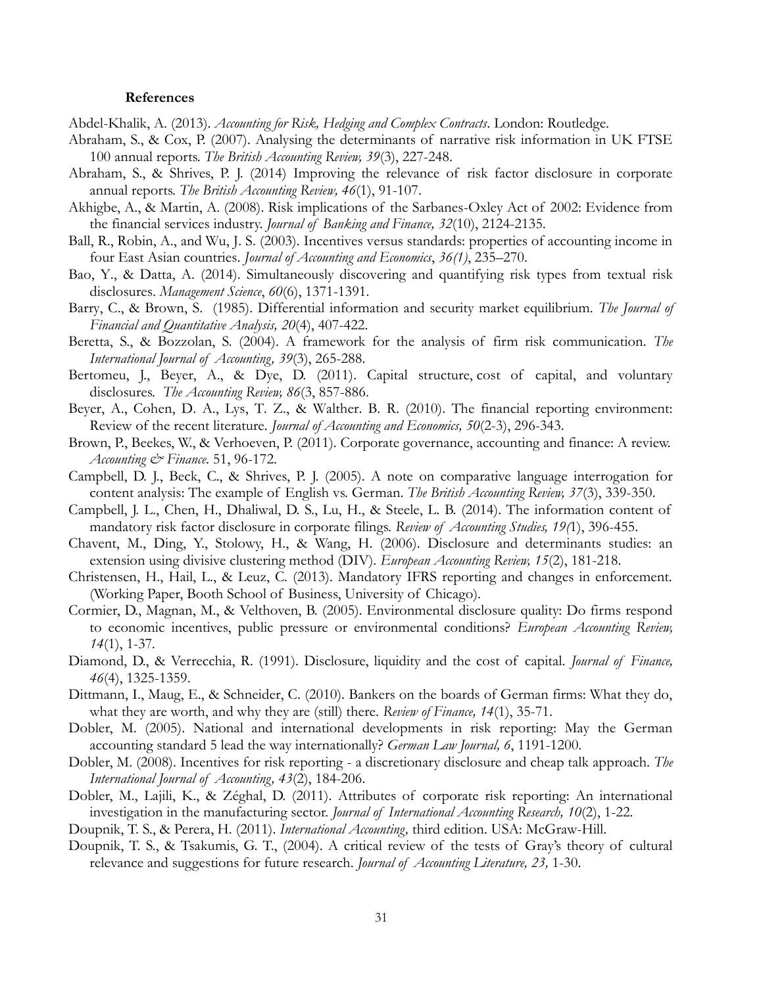#### **References**

Abdel-Khalik, A. (2013). *Accounting for Risk, Hedging and Complex Contracts*. London: Routledge.

- Abraham, S., & Cox, P. (2007). Analysing the determinants of narrative risk information in UK FTSE 100 annual reports. *The British Accounting Review, 39*(3), 227-248.
- Abraham, S., & Shrives, P. J. (2014) Improving the relevance of risk factor disclosure in corporate annual reports. *The British Accounting Review, 46*(1), 91-107.
- Akhigbe, A., & Martin, A. (2008). Risk implications of the Sarbanes-Oxley Act of 2002: Evidence from the financial services industry. *Journal of Banking and Finance, 32*(10), 2124-2135.
- Ball, R., Robin, A., and Wu, J. S. (2003). Incentives versus standards: properties of accounting income in four East Asian countries. *Journal of Accounting and Economics*, *36(1)*, 235–270.
- Bao, Y., & Datta, A. (2014). Simultaneously discovering and quantifying risk types from textual risk disclosures. *Management Science*, *60*(6), 1371-1391.
- Barry, C., & Brown, S. (1985). Differential information and security market equilibrium. *The Journal of Financial and Quantitative Analysis, 20*(4), 407-422.
- Beretta, S., & Bozzolan, S. (2004). A framework for the analysis of firm risk communication. *The International Journal of Accounting, 39*(3), 265-288.
- Bertomeu, J., Beyer, A., & Dye, D. (2011). Capital structure, cost of capital, and voluntary disclosures. *The Accounting Review, 86*(3, 857-886.
- Beyer, A., Cohen, D. A., Lys, T. Z., & Walther. B. R. (2010). The financial reporting environment: Review of the recent literature. *Journal of Accounting and Economics, 50*(2-3), 296-343.
- Brown, P., Beekes, W., & Verhoeven, P. (2011). Corporate governance, accounting and finance: A review. *Accounting & Finance*. 51, 96-172.
- Campbell, D. J., Beck, C., & Shrives, P. J. (2005). A note on comparative language interrogation for content analysis: The example of English vs. German. *The British Accounting Review, 37*(3), 339-350.
- Campbell, J. L., Chen, H., Dhaliwal, D. S., Lu, H., & Steele, L. B. (2014). The information content of mandatory risk factor disclosure in corporate filings. *Review of Accounting Studies, 19(*1), 396-455.
- Chavent, M., Ding, Y., Stolowy, H., & Wang, H. (2006). Disclosure and determinants studies: an extension using divisive clustering method (DIV). *European Accounting Review, 15*(2), 181-218.
- Christensen, H., Hail, L., & Leuz, C. (2013). Mandatory IFRS reporting and changes in enforcement. (Working Paper, Booth School of Business, University of Chicago).
- Cormier, D., Magnan, M., & Velthoven, B. (2005). Environmental disclosure quality: Do firms respond to economic incentives, public pressure or environmental conditions? *European Accounting Review, 14*(1), 1-37*.*
- Diamond, D., & Verrecchia, R. (1991). Disclosure, liquidity and the cost of capital. *Journal of Finance, 46*(4), 1325-1359.
- Dittmann, I., Maug, E., & Schneider, C. (2010). Bankers on the boards of German firms: What they do, what they are worth, and why they are (still) there. *Review of Finance, 14*(1), 35-71.
- Dobler, M. (2005). National and international developments in risk reporting: May the German accounting standard 5 lead the way internationally? *German Law Journal, 6*, 1191-1200.
- Dobler, M. (2008). Incentives for risk reporting a discretionary disclosure and cheap talk approach. *The International Journal of Accounting, 43*(2), 184-206.
- Dobler, M., Lajili, K., & Zéghal, D. (2011). Attributes of corporate risk reporting: An international investigation in the manufacturing sector. *Journal of International Accounting Research, 10*(2), 1-22.
- Doupnik, T. S., & Perera, H. (2011). *International Accounting,* third edition. USA: McGraw-Hill.
- Doupnik, T. S., & Tsakumis, G. T., (2004). A critical review of the tests of Gray's theory of cultural relevance and suggestions for future research. *Journal of Accounting Literature, 23,* 1-30.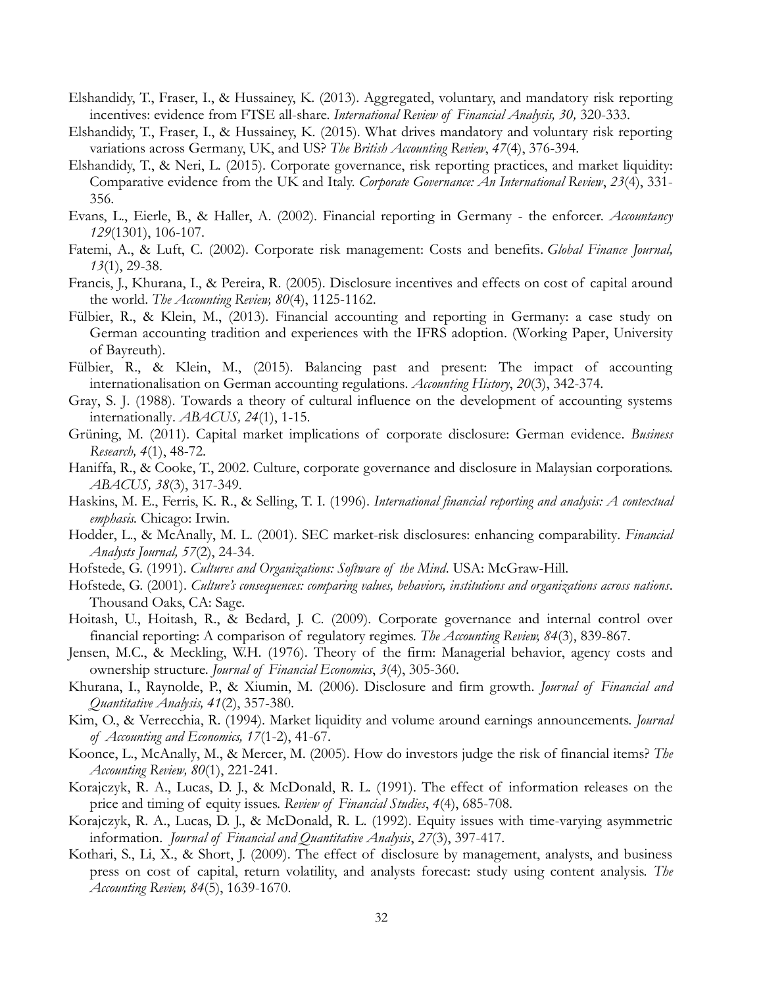- Elshandidy, T., Fraser, I., & Hussainey, K. (2013). Aggregated, voluntary, and mandatory risk reporting incentives: evidence from FTSE all-share. *International Review of Financial Analysis, 30,* 320-333.
- Elshandidy, T., Fraser, I., & Hussainey, K. (2015). What drives mandatory and voluntary risk reporting variations across Germany, UK, and US? *The British Accounting Review*, *47*(4), 376-394.
- Elshandidy, T., & Neri, L. (2015). Corporate governance, risk reporting practices, and market liquidity: Comparative evidence from the UK and Italy. *Corporate Governance: An International Review*, *23*(4), 331- 356.
- Evans, L., Eierle, B., & Haller, A. (2002). Financial reporting in Germany the enforcer. *Accountancy 129*(1301), 106-107.
- Fatemi, A., & Luft, C. (2002). Corporate risk management: Costs and benefits. *Global Finance Journal, 13*(1), 29-38.
- Francis, J., Khurana, I., & Pereira, R. (2005). Disclosure incentives and effects on cost of capital around the world. *The Accounting Review, 80*(4), 1125-1162.
- Fülbier, R., & Klein, M., (2013). Financial accounting and reporting in Germany: a case study on German accounting tradition and experiences with the IFRS adoption. (Working Paper, University of Bayreuth).
- Fülbier, R., & Klein, M., (2015). Balancing past and present: The impact of accounting internationalisation on German accounting regulations. *Accounting History*, *20*(3), 342-374.
- Gray, S. J. (1988). Towards a theory of cultural influence on the development of accounting systems internationally. *ABACUS, 24*(1), 1-15.
- Grüning, M. (2011). Capital market implications of corporate disclosure: German evidence. *Business Research, 4*(1), 48-72.
- Haniffa, R., & Cooke, T., 2002. Culture, corporate governance and disclosure in Malaysian corporations. *ABACUS, 38*(3), 317-349.
- Haskins, M. E., Ferris, K. R., & Selling, T. I. (1996). *International financial reporting and analysis: A contextual emphasis.* Chicago: Irwin.
- Hodder, L., & McAnally, M. L. (2001). SEC market-risk disclosures: enhancing comparability. *Financial Analysts Journal, 57*(2), 24-34.
- Hofstede, G. (1991). *Cultures and Organizations: Software of the Mind*. USA: McGraw-Hill.
- Hofstede, G. (2001). *Culture's consequences: comparing values, behaviors, institutions and organizations across nations*. Thousand Oaks, CA: Sage.
- Hoitash, U., Hoitash, R., & Bedard, J. C. (2009). Corporate governance and internal control over financial reporting: A comparison of regulatory regimes. *The Accounting Review, 84*(3), 839-867.
- Jensen, M.C., & Meckling, W.H. (1976). Theory of the firm: Managerial behavior, agency costs and ownership structure. *Journal of Financial Economics*, *3*(4), 305-360.
- Khurana, I., Raynolde, P., & Xiumin, M. (2006). Disclosure and firm growth. *Journal of Financial and Quantitative Analysis, 41*(2), 357-380.
- Kim, O., & Verrecchia, R. (1994). Market liquidity and volume around earnings announcements. *Journal of Accounting and Economics, 17*(1-2), 41-67.
- Koonce, L., McAnally, M., & Mercer, M. (2005). How do investors judge the risk of financial items? *The Accounting Review, 80*(1), 221-241.
- Korajczyk, R. A., Lucas, D. J., & McDonald, R. L. (1991). The effect of information releases on the price and timing of equity issues. *Review of Financial Studies*, *4*(4), 685-708.
- Korajczyk, R. A., Lucas, D. J., & McDonald, R. L. (1992). Equity issues with time-varying asymmetric information. *Journal of Financial and Quantitative Analysis*, *27*(3), 397-417.
- Kothari, S., Li, X., & Short, J. (2009). The effect of disclosure by management, analysts, and business press on cost of capital, return volatility, and analysts forecast: study using content analysis. *The Accounting Review, 84*(5), 1639-1670.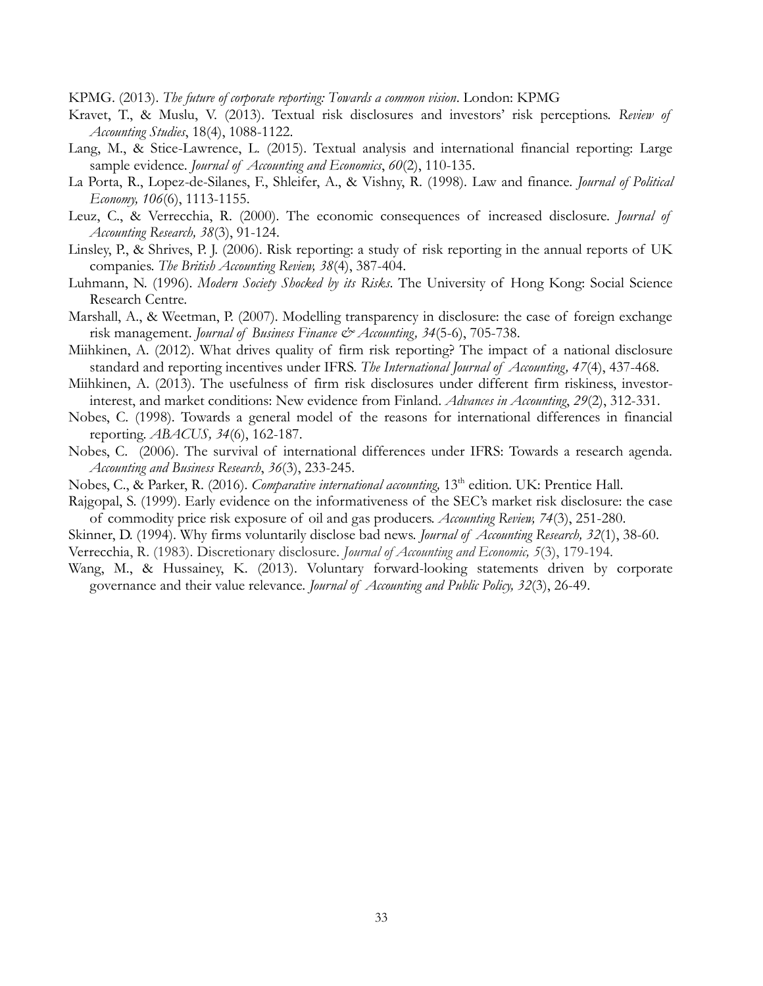KPMG. (2013). *The future of corporate reporting: Towards a common vision*. London: KPMG

- Kravet, T., & Muslu, V. (2013). Textual risk disclosures and investors' risk perceptions. *Review of Accounting Studies*, 18(4), 1088-1122.
- Lang, M., & Stice-Lawrence, L. (2015). Textual analysis and international financial reporting: Large sample evidence. *Journal of Accounting and Economics*, *60*(2), 110-135.
- La Porta, R., Lopez-de-Silanes, F., Shleifer, A., & Vishny, R. (1998). Law and finance. *Journal of Political Economy, 106*(6), 1113-1155.
- Leuz, C., & Verrecchia, R. (2000). The economic consequences of increased disclosure. *Journal of Accounting Research, 38*(3), 91-124.
- Linsley, P., & Shrives, P. J. (2006). Risk reporting: a study of risk reporting in the annual reports of UK companies. *The British Accounting Review, 38*(4), 387-404.
- Luhmann, N. (1996). *Modern Society Shocked by its Risks*. The University of Hong Kong: Social Science Research Centre.
- Marshall, A., & Weetman, P. (2007). Modelling transparency in disclosure: the case of foreign exchange risk management. *Journal of Business Finance & Accounting, 34*(5-6), 705-738.
- Miihkinen, A. (2012). What drives quality of firm risk reporting? The impact of a national disclosure standard and reporting incentives under IFRS. *The International Journal of Accounting, 47*(4), 437-468.
- Miihkinen, A. (2013). The usefulness of firm risk disclosures under different firm riskiness, investorinterest, and market conditions: New evidence from Finland. *Advances in Accounting*, *29*(2), 312-331.
- Nobes, C. (1998). Towards a general model of the reasons for international differences in financial reporting. *ABACUS, 34*(6), 162-187.
- Nobes, C. (2006). The survival of international differences under IFRS: Towards a research agenda. *Accounting and Business Research*, *36*(3), 233-245.
- Nobes, C., & Parker, R. (2016). *Comparative international accounting*, 13<sup>th</sup> edition. UK: Prentice Hall.
- Rajgopal, S. (1999). Early evidence on the informativeness of the SEC's market risk disclosure: the case of commodity price risk exposure of oil and gas producers. *Accounting Review, 74*(3), 251-280.
- Skinner, D. (1994). Why firms voluntarily disclose bad news. *Journal of Accounting Research, 32*(1), 38-60.
- Verrecchia, R. (1983). Discretionary disclosure. *Journal of Accounting and Economic, 5*(3), 179-194.
- Wang, M., & Hussainey, K. (2013). Voluntary forward-looking statements driven by corporate governance and their value relevance. *Journal of Accounting and Public Policy, 32*(3), 26-49.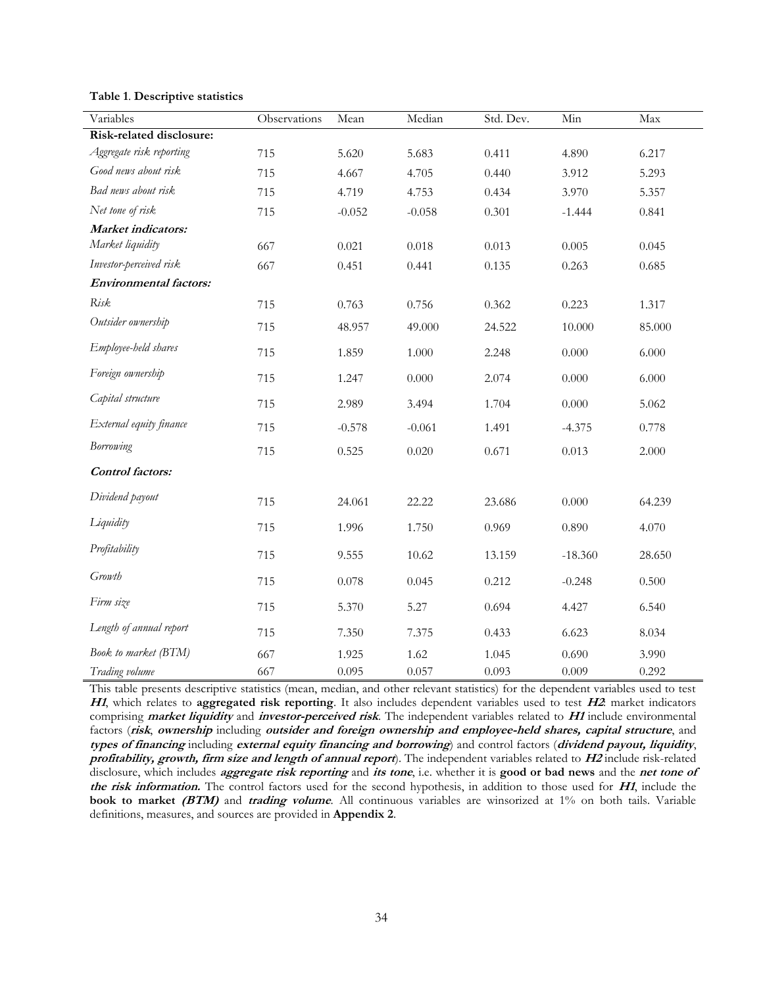| Variables                     | Observations | Mean     | Median   | Std. Dev. | Min       | Max    |
|-------------------------------|--------------|----------|----------|-----------|-----------|--------|
| Risk-related disclosure:      |              |          |          |           |           |        |
| Aggregate risk reporting      | 715          | 5.620    | 5.683    | 0.411     | 4.890     | 6.217  |
| Good news about risk          | 715          | 4.667    | 4.705    | 0.440     | 3.912     | 5.293  |
| Bad news about risk           | 715          | 4.719    | 4.753    | 0.434     | 3.970     | 5.357  |
| Net tone of risk              | 715          | $-0.052$ | $-0.058$ | 0.301     | $-1.444$  | 0.841  |
| Market indicators:            |              |          |          |           |           |        |
| Market liquidity              | 667          | 0.021    | 0.018    | 0.013     | 0.005     | 0.045  |
| Investor-perceived risk       | 667          | 0.451    | 0.441    | 0.135     | 0.263     | 0.685  |
| <b>Environmental factors:</b> |              |          |          |           |           |        |
| Risk                          | 715          | 0.763    | 0.756    | 0.362     | 0.223     | 1.317  |
| Outsider ownership            | 715          | 48.957   | 49.000   | 24.522    | 10.000    | 85.000 |
| Employee-held shares          | 715          | 1.859    | 1.000    | 2.248     | 0.000     | 6.000  |
| Foreign ownership             | 715          | 1.247    | 0.000    | 2.074     | 0.000     | 6.000  |
| Capital structure             | 715          | 2.989    | 3.494    | 1.704     | 0.000     | 5.062  |
| External equity finance       | 715          | $-0.578$ | $-0.061$ | 1.491     | $-4.375$  | 0.778  |
| Borrowing                     | 715          | 0.525    | 0.020    | 0.671     | 0.013     | 2.000  |
| Control factors:              |              |          |          |           |           |        |
| Dividend payout               | 715          | 24.061   | 22.22    | 23.686    | 0.000     | 64.239 |
| Liquidity                     | 715          | 1.996    | 1.750    | 0.969     | 0.890     | 4.070  |
| Profitability                 | 715          | 9.555    | 10.62    | 13.159    | $-18.360$ | 28.650 |
| Growth                        | 715          | 0.078    | 0.045    | 0.212     | $-0.248$  | 0.500  |
| Firm size                     | 715          | 5.370    | 5.27     | 0.694     | 4.427     | 6.540  |
| Length of annual report       | 715          | 7.350    | 7.375    | 0.433     | 6.623     | 8.034  |
| Book to market (BTM)          | 667          | 1.925    | 1.62     | 1.045     | 0.690     | 3.990  |
| Trading volume                | 667          | 0.095    | 0.057    | 0.093     | 0.009     | 0.292  |

This table presents descriptive statistics (mean, median, and other relevant statistics) for the dependent variables used to test **H1**, which relates to **aggregated risk reporting**. It also includes dependent variables used to test **H2**: market indicators comprising **market liquidity** and **investor-perceived risk**. The independent variables related to **H1** include environmental factors (**risk**, **ownership** including **outsider and foreign ownership and employee-held shares, capital structure**, and **types of financing** including **external equity financing and borrowing**) and control factors (**dividend payout, liquidity**, **profitability, growth, firm size and length of annual report**). The independent variables related to **H2** include risk-related disclosure, which includes **aggregate risk reporting** and **its tone**, i.e. whether it is **good or bad news** and the **net tone of the risk information.** The control factors used for the second hypothesis, in addition to those used for **H1**, include the **book to market (BTM)** and **trading volume**. All continuous variables are winsorized at 1% on both tails. Variable definitions, measures, and sources are provided in **Appendix 2**.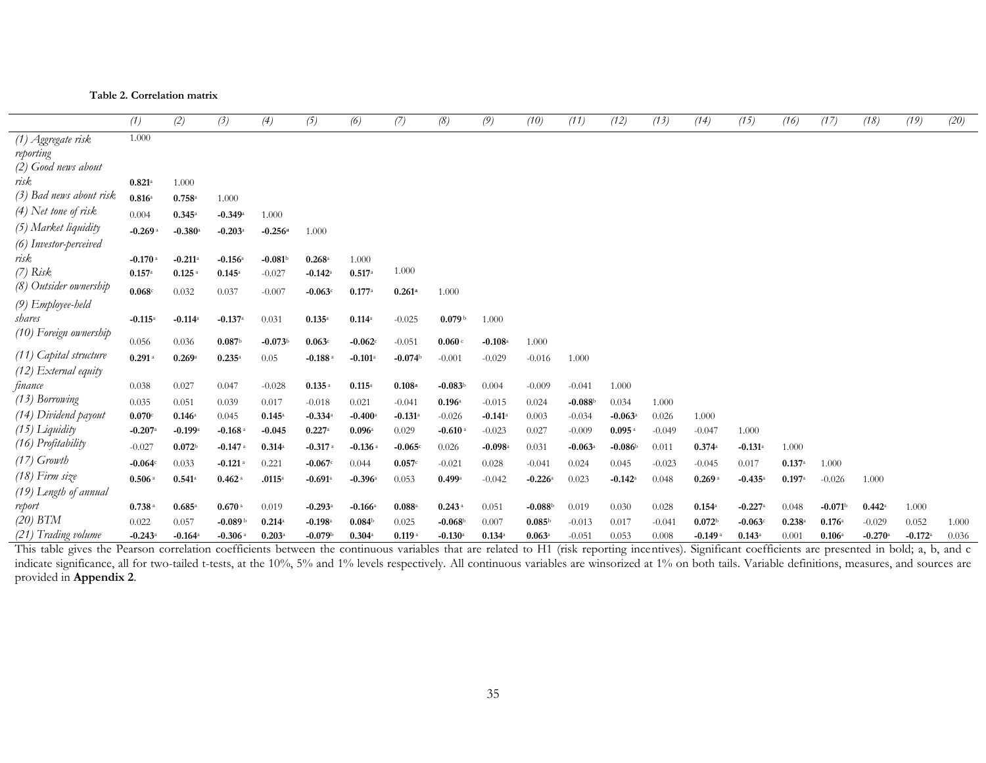#### **Table 2. Correlation matrix**

|                         | (1)                   | (2)                   | (3)                   | (4)                  | $(5)$                 | (6)                   | (7)                   | (8)                   | (9)                   | (10)                  | (11)      | (12)                  | (13)     | (14)                 | (15)                  | (16)            | (17)     | (18)                  | (19)                  | (20)  |
|-------------------------|-----------------------|-----------------------|-----------------------|----------------------|-----------------------|-----------------------|-----------------------|-----------------------|-----------------------|-----------------------|-----------|-----------------------|----------|----------------------|-----------------------|-----------------|----------|-----------------------|-----------------------|-------|
| (1) Aggregate risk      | 1.000                 |                       |                       |                      |                       |                       |                       |                       |                       |                       |           |                       |          |                      |                       |                 |          |                       |                       |       |
| reporting               |                       |                       |                       |                      |                       |                       |                       |                       |                       |                       |           |                       |          |                      |                       |                 |          |                       |                       |       |
| (2) Good news about     |                       |                       |                       |                      |                       |                       |                       |                       |                       |                       |           |                       |          |                      |                       |                 |          |                       |                       |       |
| risk                    | $0.821$ <sup>a</sup>  | 1.000                 |                       |                      |                       |                       |                       |                       |                       |                       |           |                       |          |                      |                       |                 |          |                       |                       |       |
| (3) Bad news about risk | $0.816^{\mathrm{a}}$  | 0.758                 | 1.000                 |                      |                       |                       |                       |                       |                       |                       |           |                       |          |                      |                       |                 |          |                       |                       |       |
| $(4)$ Net tone of risk  | 0.004                 | $0.345^{\circ}$       | $-0.349$ <sup>a</sup> | 1.000                |                       |                       |                       |                       |                       |                       |           |                       |          |                      |                       |                 |          |                       |                       |       |
| (5) Market liquidity    | $-0.269$ <sup>a</sup> | $-0.380$ a            | $-0.203$ <sup>a</sup> | $-0.256a$            | 1.000                 |                       |                       |                       |                       |                       |           |                       |          |                      |                       |                 |          |                       |                       |       |
| (6) Investor-perceived  |                       |                       |                       |                      |                       |                       |                       |                       |                       |                       |           |                       |          |                      |                       |                 |          |                       |                       |       |
| risk                    | $-0.170$ <sup>a</sup> | $-0.211$ <sup>a</sup> | $-0.156$ <sup>a</sup> | $-0.081$             | $0.268$ <sup>a</sup>  | 1.000                 |                       |                       |                       |                       |           |                       |          |                      |                       |                 |          |                       |                       |       |
| $(7)$ Risk              | 0.157a                | $0.125$ <sup>a</sup>  | $0.145^{\circ}$       | $-0.027$             | $-0.142$ <sup>a</sup> | 0.517a                | 1.000                 |                       |                       |                       |           |                       |          |                      |                       |                 |          |                       |                       |       |
| (8) Outsider ownership  | 0.068c                | 0.032                 | 0.037                 | $-0.007$             | $-0.063c$             | 0.177a                | $0.261$ <sup>a</sup>  | 1.000                 |                       |                       |           |                       |          |                      |                       |                 |          |                       |                       |       |
| $(9)$ Employee-held     |                       |                       |                       |                      |                       |                       |                       |                       |                       |                       |           |                       |          |                      |                       |                 |          |                       |                       |       |
| shares                  | $-0.115$ <sup>a</sup> | $-0.114$ <sup>a</sup> | $-0.137$ <sup>a</sup> | 0.031                | 0.135a                | $0.114$ <sup>a</sup>  | $-0.025$              | 0.079 b               | 1.000                 |                       |           |                       |          |                      |                       |                 |          |                       |                       |       |
| (10) Foreign ownership  | 0.056                 | 0.036                 | 0.087 <sup>b</sup>    | $-0.073$             | 0.063c                | $-0.062c$             | $-0.051$              | 0.060C                | $-0.108$ <sup>a</sup> | 1.000                 |           |                       |          |                      |                       |                 |          |                       |                       |       |
| (11) Capital structure  | 0.291                 | $0.269$ <sup>a</sup>  | $0.235^{\circ}$       | 0.05                 | $-0.188$              | $-0.101$ <sup>a</sup> | $-0.074b$             | $-0.001$              | $-0.029$              | $-0.016$              | 1.000     |                       |          |                      |                       |                 |          |                       |                       |       |
| $(12)$ External equity  |                       |                       |                       |                      |                       |                       |                       |                       |                       |                       |           |                       |          |                      |                       |                 |          |                       |                       |       |
| finance                 | 0.038                 | 0.027                 | 0.047                 | $-0.028$             | $0.135$ <sup>a</sup>  | $0.115^{\rm a}$       | 0.108a                | $-0.083b$             | 0.004                 | $-0.009$              | $-0.041$  | 1.000                 |          |                      |                       |                 |          |                       |                       |       |
| (13) Borrowing          | 0.035                 | 0.051                 | 0.039                 | 0.017                | $-0.018$              | 0.021                 | $-0.041$              | 0.196a                | $-0.015$              | 0.024                 | $-0.088b$ | 0.034                 | 1.000    |                      |                       |                 |          |                       |                       |       |
| (14) Dividend payout    | 0.070c                | 0.146a                | 0.045                 | $0.145^{\mathrm{a}}$ | $-0.334$ <sup>a</sup> | $-0.400$ <sup>a</sup> | $-0.131$ <sup>a</sup> | $-0.026$              | $-0.141$ <sup>a</sup> | 0.003                 | $-0.034$  | $-0.063a$             | 0.026    | 1.000                |                       |                 |          |                       |                       |       |
| $(15)$ <i>Liquidity</i> | $-0.207$ <sup>a</sup> | $-0.199a$             | $-0.168$ <sup>a</sup> | $-0.045$             | 0.227a                | 0.096a                | 0.029                 | $-0.610$ a            | $-0.023$              | 0.027                 | $-0.009$  | $0.095$ <sup>a</sup>  | $-0.049$ | $-0.047$             | 1.000                 |                 |          |                       |                       |       |
| (16) Profitability      | $-0.027$              | 0.072 <sup>b</sup>    | $-0.147$ a            | $0.314$ <sup>a</sup> | $-0.317$              | $-0.136$ a            | $-0.065$              | 0.026                 | $-0.098$ <sup>a</sup> | 0.031                 | $-0.063a$ | $-0.086b$             | 0.011    | 0.374a               | $-0.131$ <sup>a</sup> | 1.000           |          |                       |                       |       |
| $(17)$ Growth           | $-0.064c$             | 0.033                 | $-0.121$              | 0.221                | $-0.067c$             | 0.044                 | 0.057c                | $-0.021$              | 0.028                 | $-0.041$              | 0.024     | 0.045                 | $-0.023$ | $-0.045$             | 0.017                 | 0.137a          | 1.000    |                       |                       |       |
| $(18)$ Firm size        | $0.506$ <sup>a</sup>  | $0.541$ <sup>a</sup>  | $0.462$ <sup>a</sup>  | $.0115$ <sup>a</sup> | $-0.691$ <sup>a</sup> | $-0.396$ <sup>a</sup> | 0.053                 | 0.499a                | $-0.042$              | $-0.226$ <sup>a</sup> | 0.023     | $-0.142$ <sup>a</sup> | 0.048    | $0.269$ <sup>a</sup> | $-0.435$ <sup>a</sup> | $0.197^{\circ}$ | $-0.026$ | 1.000                 |                       |       |
| (19) Length of annual   |                       |                       |                       |                      |                       |                       |                       |                       |                       |                       |           |                       |          |                      |                       |                 |          |                       |                       |       |
| report                  | 0.738                 | $0.685$ <sup>a</sup>  | 0.670a                | 0.019                | $-0.293$ <sup>a</sup> | $-0.166a$             | 0.088a                | $0.243$ <sup>a</sup>  | 0.051                 | $-0.088$              | 0.019     | 0.030                 | 0.028    | $0.154$ <sup>a</sup> | $-0.227$ <sup>a</sup> | 0.048           | $-0.071$ | $0.442$ <sup>a</sup>  | 1.000                 |       |
| $(20)$ BTM              | 0.022                 | 0.057                 | $-0.089$              | $0.214$ <sup>a</sup> | $-0.198$ <sup>a</sup> | 0.084 <sup>b</sup>    | 0.025                 | $-0.068$              | 0.007                 | 0.085 <sup>b</sup>    | $-0.013$  | 0.017                 | $-0.041$ | 0.072 <sup>b</sup>   | $-0.063c$             | 0.238           | 0.176a   | $-0.029$              | 0.052                 | 1.000 |
| (21) Trading volume     | $-0.243$ <sup>a</sup> | $-0.164$ <sup>a</sup> | $-0.306$ a            | $0.203$ <sup>a</sup> | $-0.079$              | 0.304                 | 0.119a                | $-0.130$ <sup>a</sup> | $0.134$ <sup>a</sup>  | 0.063a                | $-0.051$  | 0.053                 | 0.008    | $-0.149$             | 0.143a                | 0.001           | 0.106a   | $-0.270$ <sup>a</sup> | $-0.172$ <sup>a</sup> | 0.036 |

This table gives the Pearson correlation coefficients between the continuous variables that are related to H1 (risk reporting incentives). Significant coefficients are presented in bold; a, b, and c indicate significance, all for two-tailed t-tests, at the 10%, 5% and 1% levels respectively. All continuous variables are winsorized at 1% on both tails. Variable definitions, measures, and sources are provided in **Appendix 2**.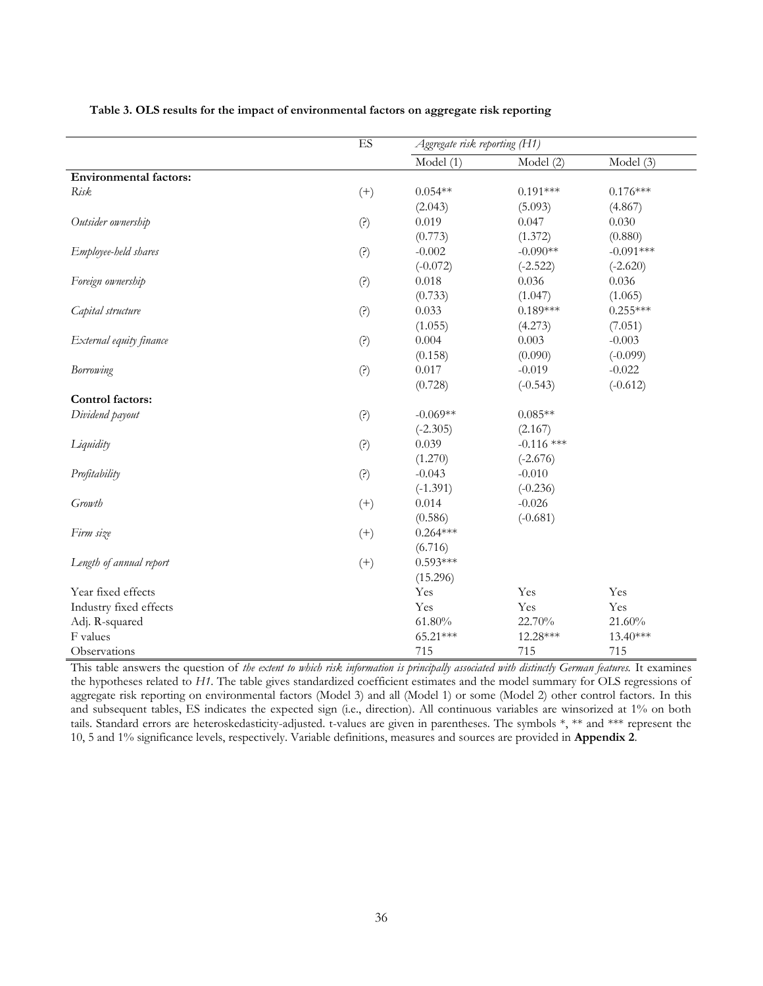|                               | ES       | Aggregate risk reporting (H1) |              |             |
|-------------------------------|----------|-------------------------------|--------------|-------------|
|                               |          | Model (1)                     | Model (2)    | Model (3)   |
| <b>Environmental factors:</b> |          |                               |              |             |
| Risk                          | $^{(+)}$ | $0.054**$                     | $0.191***$   | $0.176***$  |
|                               |          | (2.043)                       | (5.093)      | (4.867)     |
| Outsider ownership            | (3)      | 0.019                         | 0.047        | 0.030       |
|                               |          | (0.773)                       | (1.372)      | (0.880)     |
| Employee-held shares          | (3)      | $-0.002$                      | $-0.090**$   | $-0.091***$ |
|                               |          | $(-0.072)$                    | $(-2.522)$   | $(-2.620)$  |
| Foreign ownership             | (3)      | 0.018                         | 0.036        | 0.036       |
|                               |          | (0.733)                       | (1.047)      | (1.065)     |
| Capital structure             | (3)      | 0.033                         | $0.189***$   | $0.255***$  |
|                               |          | (1.055)                       | (4.273)      | (7.051)     |
| External equity finance       | (3)      | 0.004                         | 0.003        | $-0.003$    |
|                               |          | (0.158)                       | (0.090)      | $(-0.099)$  |
| Borrowing                     | (3)      | 0.017                         | $-0.019$     | $-0.022$    |
|                               |          | (0.728)                       | $(-0.543)$   | $(-0.612)$  |
| Control factors:              |          |                               |              |             |
| Dividend payout               | (3)      | $-0.069**$                    | $0.085**$    |             |
|                               |          | $(-2.305)$                    | (2.167)      |             |
| Liquidity                     | (3)      | 0.039                         | $-0.116$ *** |             |
|                               |          | (1.270)                       | $(-2.676)$   |             |
| Profitability                 | (?)      | $-0.043$                      | $-0.010$     |             |
|                               |          | $(-1.391)$                    | $(-0.236)$   |             |
| Growth                        | $^{(+)}$ | 0.014                         | $-0.026$     |             |
|                               |          | (0.586)                       | $(-0.681)$   |             |
| Firm size                     | $^{(+)}$ | $0.264***$                    |              |             |
|                               |          | (6.716)                       |              |             |
| Length of annual report       | $(+)$    | $0.593***$                    |              |             |
|                               |          | (15.296)                      |              |             |
| Year fixed effects            |          | Yes                           | Yes          | Yes         |
| Industry fixed effects        |          | Yes                           | Yes          | Yes         |
| Adj. R-squared                |          | $61.80\%$                     | 22.70%       | 21.60%      |
| F values                      |          | 65.21***                      | 12.28***     | $13.40***$  |
| Observations                  |          | 715                           | 715          | 715         |

## **Table 3. OLS results for the impact of environmental factors on aggregate risk reporting**

This table answers the question of *the extent to which risk information is principally associated with distinctly German features*. It examines the hypotheses related to *H1*. The table gives standardized coefficient estimates and the model summary for OLS regressions of aggregate risk reporting on environmental factors (Model 3) and all (Model 1) or some (Model 2) other control factors. In this and subsequent tables, ES indicates the expected sign (i.e., direction). All continuous variables are winsorized at 1% on both tails. Standard errors are heteroskedasticity-adjusted. t-values are given in parentheses. The symbols \*, \*\* and \*\*\* represent the 10, 5 and 1% significance levels, respectively. Variable definitions, measures and sources are provided in **Appendix 2**.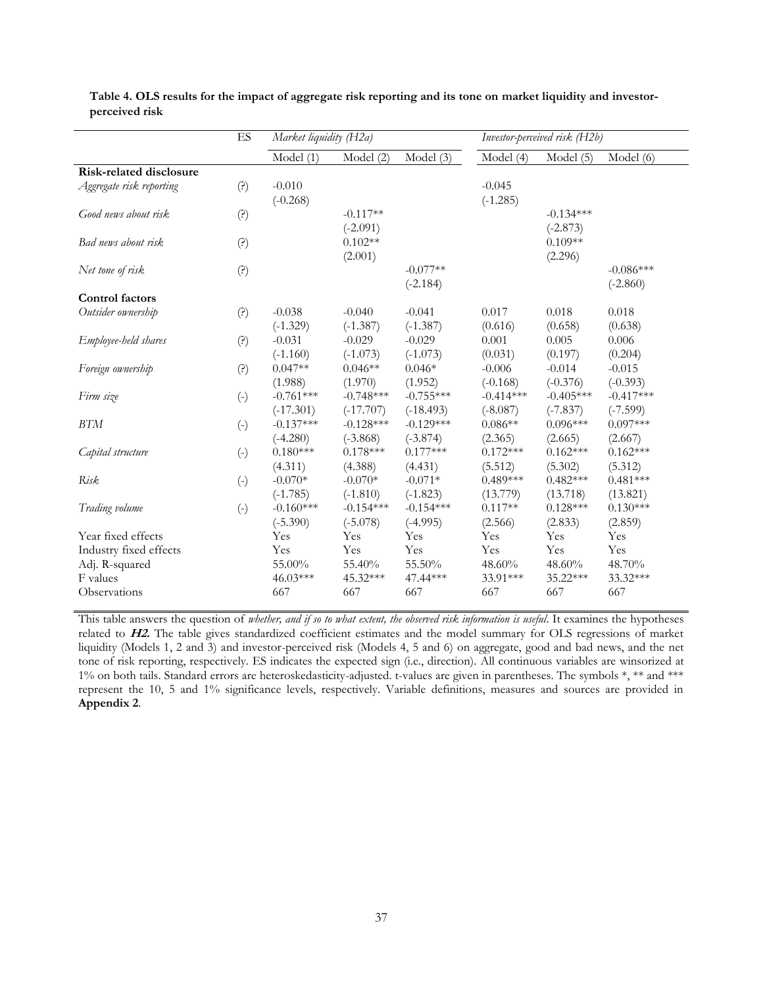|                                                                                            | ES              | Market liquidity (H2a)                  |                                         |                                         | Investor-perceived risk (H2b)           |                                         |                                         |  |
|--------------------------------------------------------------------------------------------|-----------------|-----------------------------------------|-----------------------------------------|-----------------------------------------|-----------------------------------------|-----------------------------------------|-----------------------------------------|--|
|                                                                                            |                 | Model(1)                                | Model (2)                               | Model (3)                               | Model (4)                               | Model(5)                                | Model (6)                               |  |
| Risk-related disclosure                                                                    |                 |                                         |                                         |                                         |                                         |                                         |                                         |  |
| Aggregate risk reporting                                                                   | (?)             | $-0.010$<br>$(-0.268)$                  |                                         |                                         | $-0.045$<br>$(-1.285)$                  |                                         |                                         |  |
| Good news about risk                                                                       | (?)             |                                         | $-0.117**$<br>$(-2.091)$                |                                         |                                         | $-0.134***$<br>$(-2.873)$               |                                         |  |
| Bad news about risk                                                                        | (?)             |                                         | $0.102**$<br>(2.001)                    |                                         |                                         | $0.109**$<br>(2.296)                    |                                         |  |
| Net tone of risk                                                                           | (?)             |                                         |                                         | $-0.077**$<br>$(-2.184)$                |                                         |                                         | $-0.086***$<br>$(-2.860)$               |  |
| Control factors                                                                            |                 |                                         |                                         |                                         |                                         |                                         |                                         |  |
| Outsider ownership                                                                         | $(\hat{\cdot})$ | $-0.038$<br>$(-1.329)$                  | $-0.040$<br>$(-1.387)$                  | $-0.041$<br>$(-1.387)$                  | 0.017<br>(0.616)                        | 0.018<br>(0.658)                        | 0.018<br>(0.638)                        |  |
| Employee-held shares                                                                       | (3)             | $-0.031$<br>$(-1.160)$                  | $-0.029$<br>$(-1.073)$                  | $-0.029$<br>$(-1.073)$                  | 0.001<br>(0.031)                        | 0.005<br>(0.197)                        | 0.006<br>(0.204)                        |  |
| Foreign ownership                                                                          | (?)             | $0.047**$<br>(1.988)                    | $0.046**$<br>(1.970)                    | $0.046*$<br>(1.952)                     | $-0.006$<br>$(-0.168)$                  | $-0.014$<br>$(-0.376)$                  | $-0.015$<br>$(-0.393)$                  |  |
| Firm size                                                                                  | $(\text{-})$    | $-0.761***$<br>$(-17.301)$              | $-0.748***$<br>$(-17.707)$              | $-0.755***$<br>$(-18.493)$              | $-0.414***$<br>$(-8.087)$               | $-0.405***$<br>$(-7.837)$               | $-0.417***$<br>$(-7.599)$               |  |
| <b>BTM</b>                                                                                 | $(\text{-})$    | $-0.137***$<br>$(-4.280)$               | $-0.128***$<br>$(-3.868)$               | $-0.129***$<br>$(-3.874)$               | $0.086**$<br>(2.365)                    | $0.096***$<br>(2.665)                   | $0.097***$<br>(2.667)                   |  |
| Capital structure                                                                          | $(\text{-})$    | $0.180***$<br>(4.311)                   | $0.178***$<br>(4.388)                   | $0.177***$<br>(4.431)                   | $0.172***$<br>(5.512)                   | $0.162***$<br>(5.302)                   | $0.162***$<br>(5.312)                   |  |
| Risk                                                                                       | $(\text{-})$    | $-0.070*$<br>$(-1.785)$                 | $-0.070*$<br>$(-1.810)$                 | $-0.071*$<br>$(-1.823)$                 | $0.489***$<br>(13.779)                  | $0.482***$<br>(13.718)                  | $0.481***$<br>(13.821)                  |  |
| Trading volume                                                                             | $(\text{-})$    | $-0.160***$<br>$(-5.390)$               | $-0.154***$<br>$(-5.078)$               | $-0.154***$<br>$(-4.995)$               | $0.117**$<br>(2.566)                    | $0.128***$<br>(2.833)                   | $0.130***$<br>(2.859)                   |  |
| Year fixed effects<br>Industry fixed effects<br>Adj. R-squared<br>F values<br>Observations |                 | Yes<br>Yes<br>55.00%<br>46.03***<br>667 | Yes<br>Yes<br>55.40%<br>45.32***<br>667 | Yes<br>Yes<br>55.50%<br>47.44***<br>667 | Yes<br>Yes<br>48.60%<br>33.91***<br>667 | Yes<br>Yes<br>48.60%<br>35.22***<br>667 | Yes<br>Yes<br>48.70%<br>33.32***<br>667 |  |

**Table 4. OLS results for the impact of aggregate risk reporting and its tone on market liquidity and investorperceived risk** 

This table answers the question of *whether, and if so to what extent, the observed risk information is useful*. It examines the hypotheses related to **H2.** The table gives standardized coefficient estimates and the model summary for OLS regressions of market liquidity (Models 1, 2 and 3) and investor-perceived risk (Models 4, 5 and 6) on aggregate, good and bad news, and the net tone of risk reporting, respectively. ES indicates the expected sign (i.e., direction). All continuous variables are winsorized at 1% on both tails. Standard errors are heteroskedasticity-adjusted. t-values are given in parentheses. The symbols \*, \*\* and \*\*\* represent the 10, 5 and 1% significance levels, respectively. Variable definitions, measures and sources are provided in **Appendix 2**.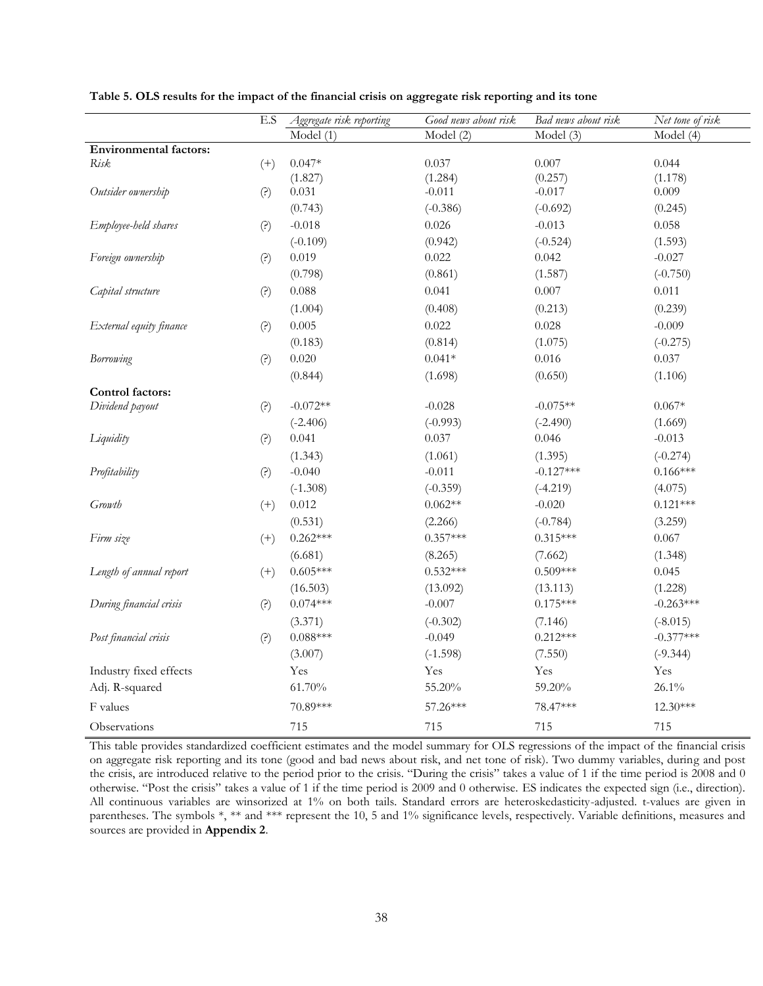|                               | E.S      | Aggregate risk reporting | Good news about risk | Bad news about risk | Net tone of risk |
|-------------------------------|----------|--------------------------|----------------------|---------------------|------------------|
|                               |          | Model $(1)$              | Model (2)            | Model $(3)$         | Model (4)        |
| <b>Environmental factors:</b> |          |                          |                      |                     |                  |
| Risk                          | $^{(+)}$ | $0.047*$                 | 0.037                | 0.007               | 0.044            |
|                               |          | (1.827)                  | (1.284)              | (0.257)             | (1.178)          |
| Outsider ownership            | (?)      | 0.031                    | $-0.011$             | $-0.017$            | 0.009            |
|                               |          | (0.743)                  | $(-0.386)$           | $(-0.692)$          | (0.245)          |
| Employee-held shares          | (?)      | $-0.018$                 | 0.026                | $-0.013$            | 0.058            |
|                               |          | $(-0.109)$               | (0.942)              | $(-0.524)$          | (1.593)          |
| Foreign ownership             | (?)      | 0.019                    | 0.022                | 0.042               | $-0.027$         |
|                               |          | (0.798)                  | (0.861)              | (1.587)             | $(-0.750)$       |
| Capital structure             | (?)      | 0.088                    | 0.041                | $0.007\,$           | 0.011            |
|                               |          | (1.004)                  | (0.408)              | (0.213)             | (0.239)          |
| External equity finance       | (?)      | 0.005                    | 0.022                | 0.028               | $-0.009$         |
|                               |          | (0.183)                  | (0.814)              | (1.075)             | $(-0.275)$       |
| Borrowing                     | (?)      | 0.020                    | $0.041*$             | $0.016\,$           | 0.037            |
|                               |          | (0.844)                  | (1.698)              | (0.650)             | (1.106)          |
| Control factors:              |          |                          |                      |                     |                  |
| Dividend payout               | (?)      | $-0.072**$               | $-0.028$             | $-0.075**$          | $0.067*$         |
|                               |          | $(-2.406)$               | $(-0.993)$           | $(-2.490)$          | (1.669)          |
| Liquidity                     | (?)      | 0.041                    | 0.037                | 0.046               | $-0.013$         |
|                               |          | (1.343)                  | (1.061)              | (1.395)             | $(-0.274)$       |
| Profitability                 | (?)      | $-0.040$                 | $-0.011$             | $-0.127***$         | $0.166***$       |
|                               |          | $(-1.308)$               | $(-0.359)$           | $(-4.219)$          | (4.075)          |
| Growth                        | $^{(+)}$ | 0.012                    | $0.062**$            | $-0.020$            | $0.121***$       |
|                               |          | (0.531)                  | (2.266)              | $(-0.784)$          | (3.259)          |
| Firm size                     | $^{(+)}$ | $0.262***$               | $0.357***$           | $0.315***$          | 0.067            |
|                               |          | (6.681)                  | (8.265)              | (7.662)             | (1.348)          |
| Length of annual report       | $^{(+)}$ | $0.605***$               | $0.532***$           | $0.509***$          | 0.045            |
|                               |          | (16.503)                 | (13.092)             | (13.113)            | (1.228)          |
| During financial crisis       | (?)      | $0.074***$               | $-0.007$             | $0.175***$          | $-0.263***$      |
|                               |          | (3.371)                  | $(-0.302)$           | (7.146)             | $(-8.015)$       |
| Post financial crisis         | (?)      | $0.088***$               | $-0.049$             | $0.212***$          | $-0.377***$      |
|                               |          | (3.007)                  | $(-1.598)$           | (7.550)             | $(-9.344)$       |
| Industry fixed effects        |          | Yes                      | Yes                  | Yes                 | Yes              |
| Adj. R-squared                |          | $61.70\%$                | $55.20\%$            | 59.20%              | $26.1\%$         |
|                               |          |                          |                      |                     |                  |
| F values                      |          | 70.89***                 | 57.26***             | 78.47***            | 12.30***         |
| Observations                  |          | 715                      | 715                  | 715                 | 715              |

**Table 5. OLS results for the impact of the financial crisis on aggregate risk reporting and its tone**

This table provides standardized coefficient estimates and the model summary for OLS regressions of the impact of the financial crisis on aggregate risk reporting and its tone (good and bad news about risk, and net tone of risk). Two dummy variables, during and post the crisis, are introduced relative to the period prior to the crisis. "During the crisis" takes a value of 1 if the time period is 2008 and 0 otherwise. "Post the crisis" takes a value of 1 if the time period is 2009 and 0 otherwise. ES indicates the expected sign (i.e., direction). All continuous variables are winsorized at 1% on both tails. Standard errors are heteroskedasticity-adjusted. t-values are given in parentheses. The symbols \*, \*\* and \*\*\* represent the 10, 5 and 1% significance levels, respectively. Variable definitions, measures and sources are provided in **Appendix 2**.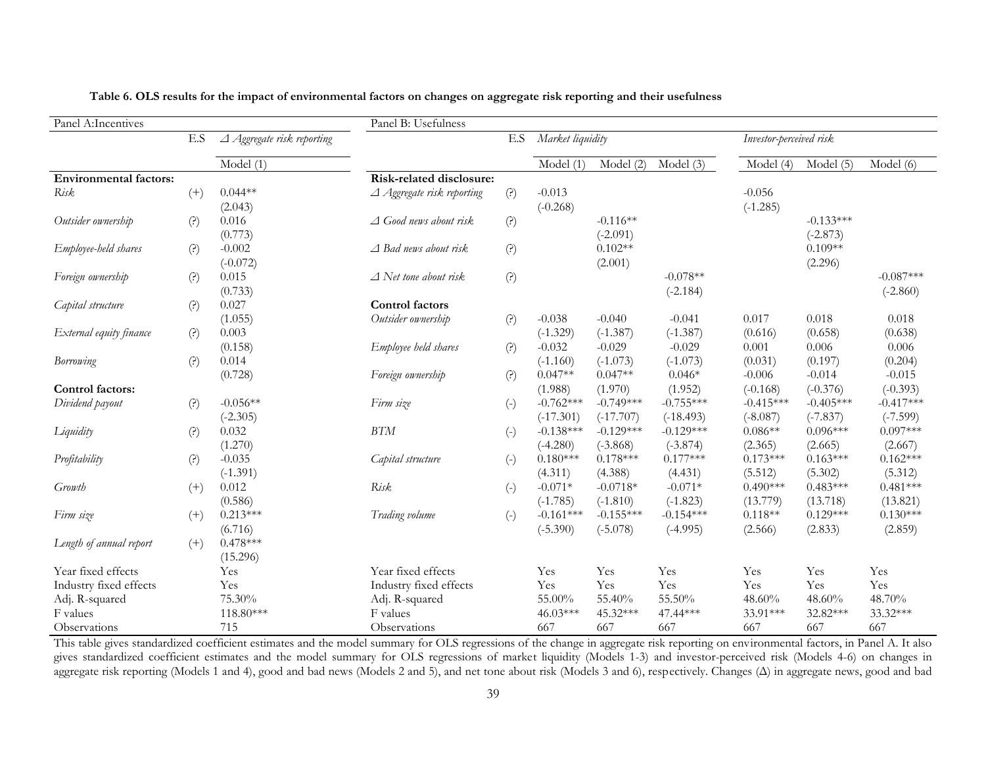| Panel A:Incentives            |          |                                      | Panel B: Usefulness                  |              |                  |             |             |                         |             |             |  |  |
|-------------------------------|----------|--------------------------------------|--------------------------------------|--------------|------------------|-------------|-------------|-------------------------|-------------|-------------|--|--|
|                               | E.S      | $\triangle$ Aggregate risk reporting |                                      | E.S          | Market liquidity |             |             | Investor-perceived risk |             |             |  |  |
|                               |          | Model (1)                            |                                      |              | Model (1)        | Model (2)   | Model (3)   | Model (4)               | Model(5)    | Model (6)   |  |  |
| <b>Environmental factors:</b> |          |                                      | Risk-related disclosure:             |              |                  |             |             |                         |             |             |  |  |
| Risk                          | $^{(+)}$ | $0.044**$                            | $\triangle$ Aggregate risk reporting | (3)          | $-0.013$         |             |             | $-0.056$                |             |             |  |  |
|                               |          | (2.043)                              |                                      |              | $(-0.268)$       |             |             | $(-1.285)$              |             |             |  |  |
| Outsider ownership            | (?)      | 0.016                                | $\triangle$ Good news about risk     | (3)          |                  | $-0.116**$  |             |                         | $-0.133***$ |             |  |  |
|                               |          | (0.773)                              |                                      |              |                  | $(-2.091)$  |             |                         | $(-2.873)$  |             |  |  |
| Employee-held shares          | (?)      | $-0.002$                             | $\triangle$ Bad news about risk      | (?)          |                  | $0.102**$   |             |                         | $0.109**$   |             |  |  |
|                               |          | $(-0.072)$                           |                                      |              |                  | (2.001)     |             |                         | (2.296)     |             |  |  |
| Foreign ownership             | (?)      | 0.015                                | $\triangle$ Net tone about risk      | (?)          |                  |             | $-0.078**$  |                         |             | $-0.087***$ |  |  |
|                               |          | (0.733)                              |                                      |              |                  |             | $(-2.184)$  |                         |             | $(-2.860)$  |  |  |
| Capital structure             | (?)      | 0.027                                | <b>Control factors</b>               |              |                  |             |             |                         |             |             |  |  |
|                               |          | (1.055)                              | Outsider ownership                   | (?)          | $-0.038$         | $-0.040$    | $-0.041$    | 0.017                   | 0.018       | 0.018       |  |  |
| External equity finance       | (?)      | 0.003                                |                                      |              | $(-1.329)$       | $(-1.387)$  | $(-1.387)$  | (0.616)                 | (0.658)     | (0.638)     |  |  |
|                               |          | (0.158)                              | Employee held shares                 | (?)          | $-0.032$         | $-0.029$    | $-0.029$    | 0.001                   | 0.006       | 0.006       |  |  |
| Borrowing                     | (?)      | 0.014                                |                                      |              | $(-1.160)$       | $(-1.073)$  | $(-1.073)$  | (0.031)                 | (0.197)     | (0.204)     |  |  |
|                               |          | (0.728)                              | Foreign ownership                    | (?)          | $0.047**$        | $0.047**$   | $0.046*$    | $-0.006$                | $-0.014$    | $-0.015$    |  |  |
| Control factors:              |          |                                      |                                      |              | (1.988)          | (1.970)     | (1.952)     | $(-0.168)$              | $(-0.376)$  | $(-0.393)$  |  |  |
| Dividend payout               | (?)      | $-0.056**$                           | Firm size                            | $(\text{-})$ | $-0.762***$      | $-0.749***$ | $-0.755***$ | $-0.415***$             | $-0.405***$ | $-0.417***$ |  |  |
|                               |          | $(-2.305)$                           |                                      |              | $(-17.301)$      | $(-17.707)$ | $(-18.493)$ | $(-8.087)$              | $(-7.837)$  | $(-7.599)$  |  |  |
| Liquidity                     | (?)      | 0.032                                | <b>BTM</b>                           | $(\text{-})$ | $-0.138***$      | $-0.129***$ | $-0.129***$ | $0.086**$               | $0.096***$  | $0.097***$  |  |  |
|                               |          | (1.270)                              |                                      |              | $(-4.280)$       | $(-3.868)$  | $(-3.874)$  | (2.365)                 | (2.665)     | (2.667)     |  |  |
| Profitability                 | (?)      | $-0.035$                             | Capital structure                    | $(\text{-})$ | $0.180***$       | $0.178***$  | $0.177***$  | $0.173***$              | $0.163***$  | $0.162***$  |  |  |
|                               |          | $(-1.391)$                           |                                      |              | (4.311)          | (4.388)     | (4.431)     | (5.512)                 | (5.302)     | (5.312)     |  |  |
| Growth                        | $(+)$    | 0.012                                | Risk                                 | $(\text{-})$ | $-0.071*$        | $-0.0718*$  | $-0.071*$   | $0.490***$              | $0.483***$  | $0.481***$  |  |  |
|                               |          | (0.586)                              |                                      |              | $(-1.785)$       | $(-1.810)$  | $(-1.823)$  | (13.779)                | (13.718)    | (13.821)    |  |  |
| Firm size                     | $^{(+)}$ | $0.213***$                           | Trading volume                       | $(\text{-})$ | $-0.161***$      | $-0.155***$ | $-0.154***$ | $0.118**$               | $0.129***$  | $0.130***$  |  |  |
|                               |          | (6.716)                              |                                      |              | $(-5.390)$       | $(-5.078)$  | $(-4.995)$  | (2.566)                 | (2.833)     | (2.859)     |  |  |
| Length of annual report       | $^{(+)}$ | $0.478***$                           |                                      |              |                  |             |             |                         |             |             |  |  |
|                               |          | (15.296)                             |                                      |              |                  |             |             |                         |             |             |  |  |
| Year fixed effects            |          | Yes                                  | Year fixed effects                   |              | Yes              | Yes         | Yes         | Yes                     | Yes         | Yes         |  |  |
| Industry fixed effects        |          | Yes                                  | Industry fixed effects               |              | Yes              | Yes         | Yes         | Yes                     | Yes         | Yes         |  |  |
| Adj. R-squared                |          | 75.30%                               | Adj. R-squared                       |              | 55.00%           | 55.40%      | 55.50%      | 48.60%                  | 48.60%      | 48.70%      |  |  |
| F values                      |          | 118.80***                            | F values                             |              | $46.03***$       | 45.32***    | 47.44***    | 33.91***                | 32.82***    | 33.32***    |  |  |
| Observations                  |          | 715                                  | Observations                         |              | 667              | 667         | 667         | 667                     | 667         | 667         |  |  |

## **Table 6. OLS results for the impact of environmental factors on changes on aggregate risk reporting and their usefulness**

This table gives standardized coefficient estimates and the model summary for OLS regressions of the change in aggregate risk reporting on environmental factors, in Panel A. It also gives standardized coefficient estimates and the model summary for OLS regressions of market liquidity (Models 1-3) and investor-perceived risk (Models 4-6) on changes in aggregate risk reporting (Models 1 and 4), good and bad news (Models 2 and 5), and net tone about risk (Models 3 and 6), respectively. Changes (Δ) in aggregate news, good and bad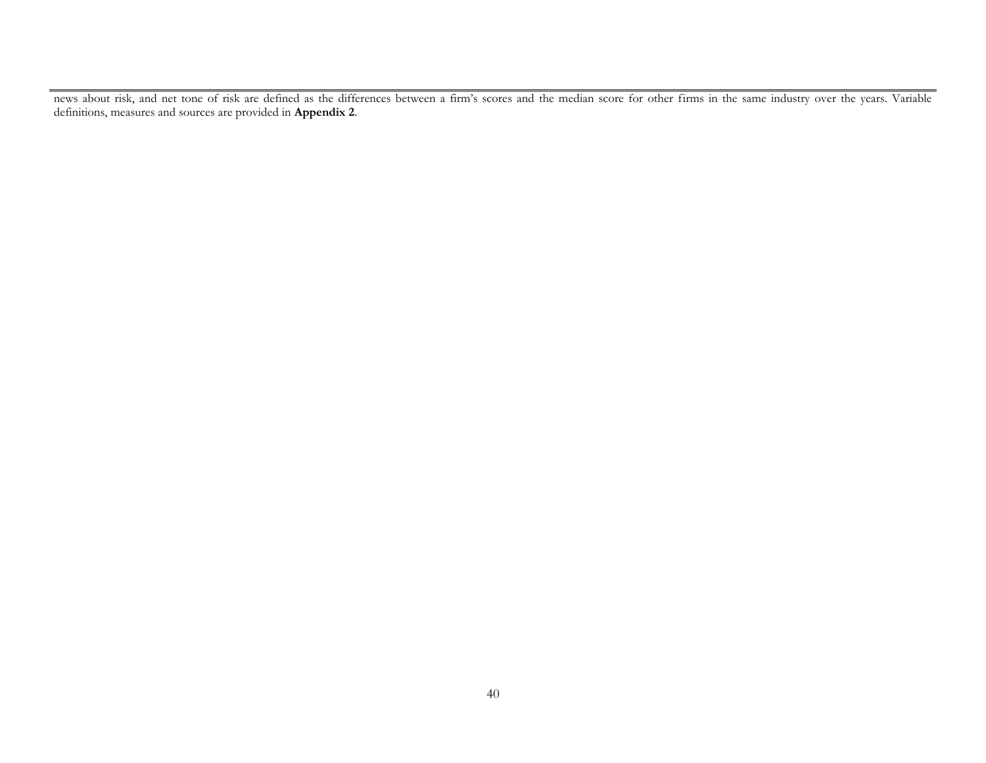news about risk, and net tone of risk are defined as the differences between a firm's scores and the median score for other firms in the same industry over the years. Variable definitions, measures and sources are provided in **Appendix 2**.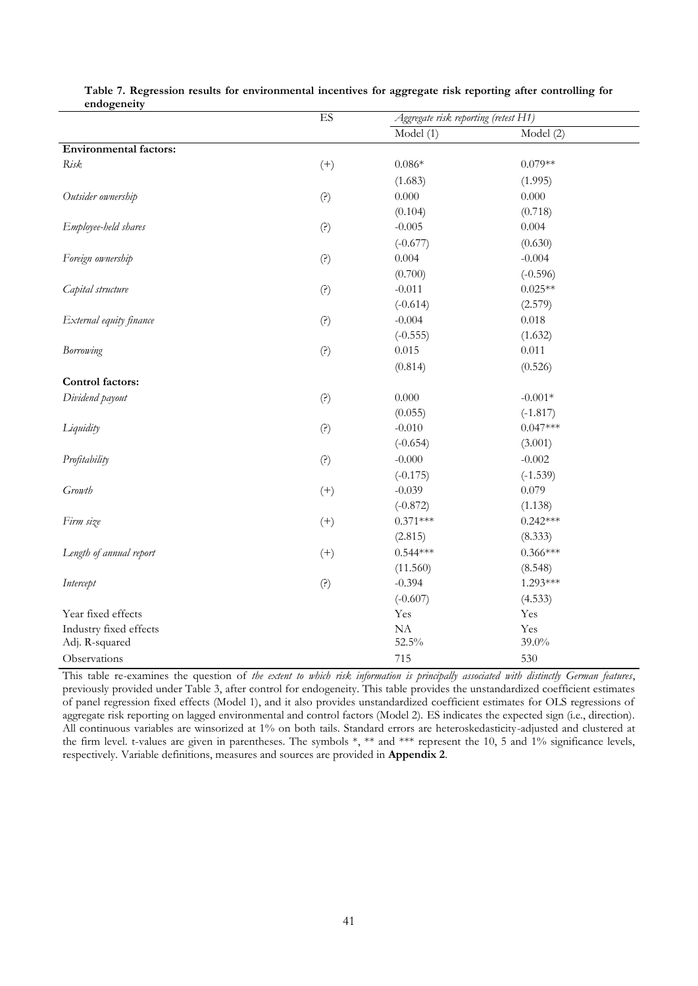|                               | ES              | Aggregate risk reporting (retest H1) |            |  |
|-------------------------------|-----------------|--------------------------------------|------------|--|
|                               |                 | $\overline{\text{Model}}(1)$         | Model (2)  |  |
| <b>Environmental factors:</b> |                 |                                      |            |  |
| Risk                          | $^{(+)}$        | $0.086*$                             | $0.079**$  |  |
|                               |                 | (1.683)                              | (1.995)    |  |
| Outsider ownership            | (?)             | 0.000                                | $0.000\,$  |  |
|                               |                 | (0.104)                              | (0.718)    |  |
| Employee-held shares          | (?)             | $-0.005$                             | 0.004      |  |
|                               |                 | $(-0.677)$                           | (0.630)    |  |
| Foreign ownership             | (?)             | 0.004                                | $-0.004$   |  |
|                               |                 | (0.700)                              | $(-0.596)$ |  |
| Capital structure             | (3)             | $-0.011$                             | $0.025**$  |  |
|                               |                 | $(-0.614)$                           | (2.579)    |  |
| External equity finance       | (?)             | $-0.004$                             | 0.018      |  |
|                               |                 | $(-0.555)$                           | (1.632)    |  |
| Borrowing                     | $(\hat{\cdot})$ | 0.015                                | $0.011\,$  |  |
|                               |                 | (0.814)                              | (0.526)    |  |
| Control factors:              |                 |                                      |            |  |
| Dividend payout               | (3)             | 0.000                                | $-0.001*$  |  |
|                               |                 | (0.055)                              | $(-1.817)$ |  |
| Liquidity                     | (3)             | $-0.010$                             | $0.047***$ |  |
|                               |                 | $(-0.654)$                           | (3.001)    |  |
| Profitability                 | $(\cdot)$       | $-0.000$                             | $-0.002$   |  |
|                               |                 | $(-0.175)$                           | $(-1.539)$ |  |
| Growth                        | $^{(+)}$        | $-0.039$                             | 0.079      |  |
|                               |                 | $(-0.872)$                           | (1.138)    |  |
| Firm size                     | $^{(+)}$        | $0.371***$                           | $0.242***$ |  |
|                               |                 | (2.815)                              | (8.333)    |  |
| Length of annual report       | $(+)$           | $0.544***$                           | $0.366***$ |  |
|                               |                 | (11.560)                             | (8.548)    |  |
| Intercept                     | (3)             | $-0.394$                             | 1.293***   |  |
|                               |                 | $(-0.607)$                           | (4.533)    |  |
| Year fixed effects            |                 | Yes                                  | Yes        |  |
| Industry fixed effects        |                 | NA                                   | Yes        |  |
| Adj. R-squared                |                 | 52.5%                                | 39.0%      |  |
| Observations                  |                 | 715                                  | 530        |  |

## **Table 7. Regression results for environmental incentives for aggregate risk reporting after controlling for endogeneity**

This table re-examines the question of *the extent to which risk information is principally associated with distinctly German features*, previously provided under Table 3, after control for endogeneity. This table provides the unstandardized coefficient estimates of panel regression fixed effects (Model 1), and it also provides unstandardized coefficient estimates for OLS regressions of aggregate risk reporting on lagged environmental and control factors (Model 2). ES indicates the expected sign (i.e., direction). All continuous variables are winsorized at 1% on both tails. Standard errors are heteroskedasticity-adjusted and clustered at the firm level. t-values are given in parentheses. The symbols \*, \*\* and \*\*\* represent the 10, 5 and 1% significance levels, respectively. Variable definitions, measures and sources are provided in **Appendix 2**.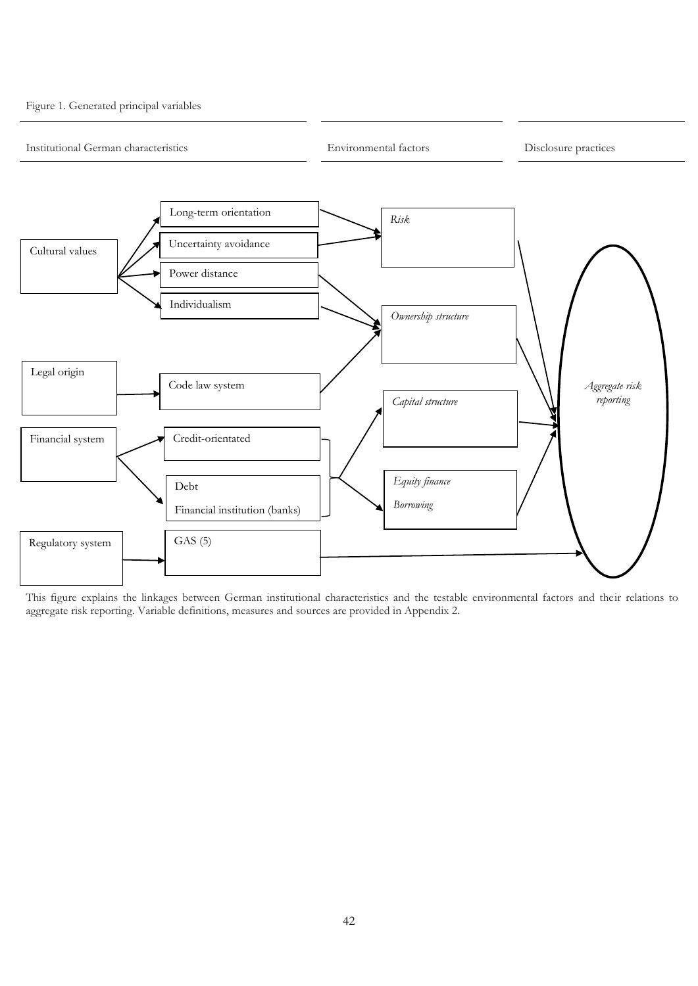



This figure explains the linkages between German institutional characteristics and the testable environmental factors and their relations to aggregate risk reporting. Variable definitions, measures and sources are provided in Appendix 2.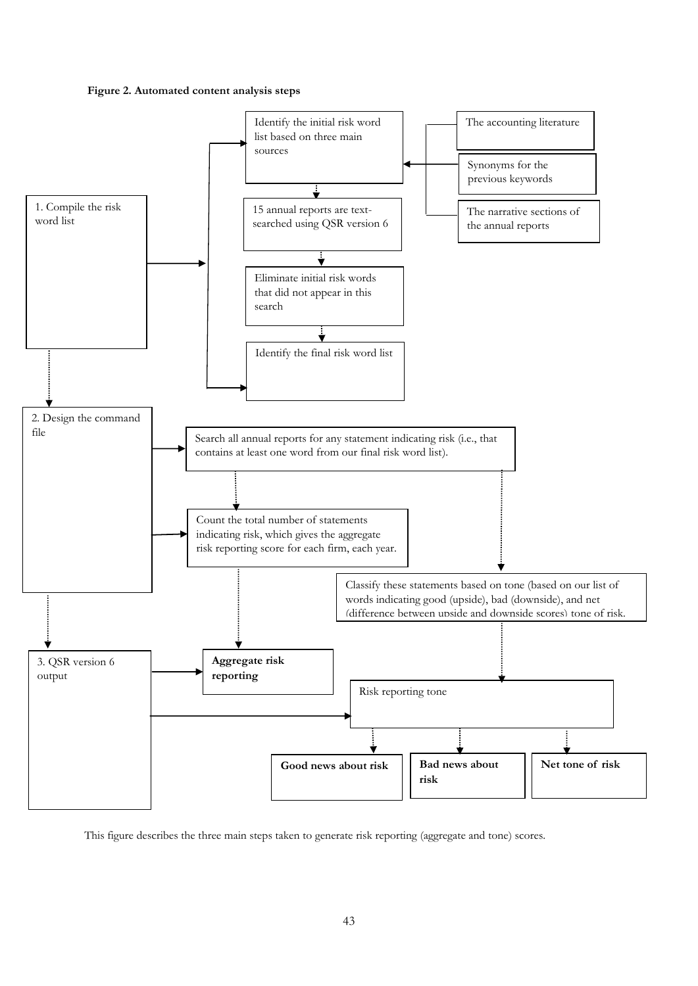## **Figure 2. Automated content analysis steps**



This figure describes the three main steps taken to generate risk reporting (aggregate and tone) scores.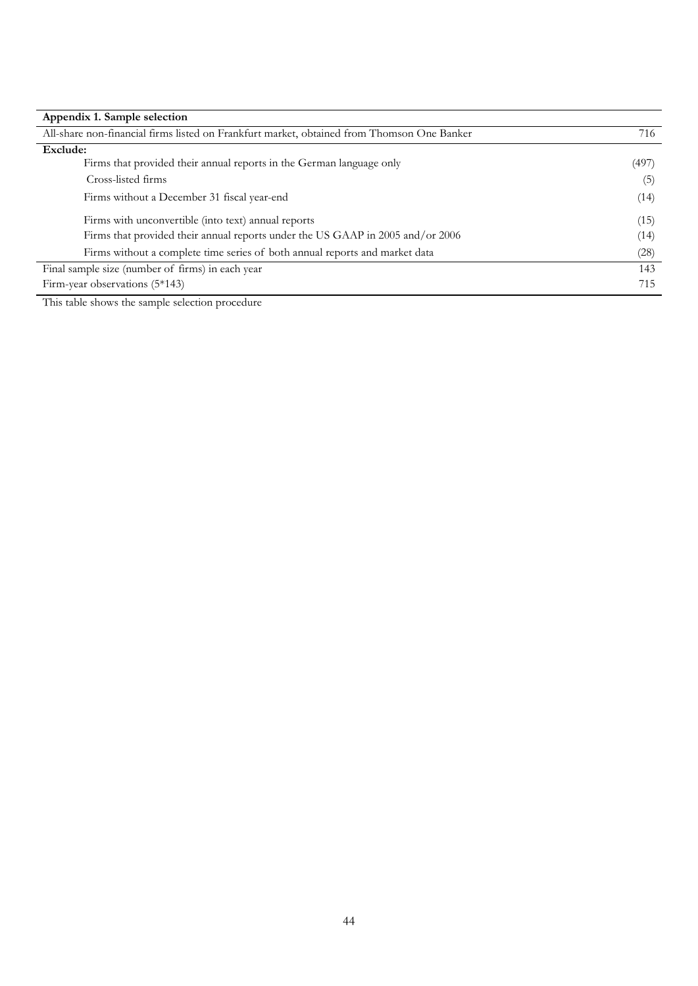| Appendix 1. Sample selection                                                               |       |  |  |
|--------------------------------------------------------------------------------------------|-------|--|--|
| All-share non-financial firms listed on Frankfurt market, obtained from Thomson One Banker | 716   |  |  |
| Exclude:                                                                                   |       |  |  |
| Firms that provided their annual reports in the German language only                       | (497) |  |  |
| Cross-listed firms                                                                         | (၁)   |  |  |
| Firms without a December 31 fiscal year-end                                                | (14)  |  |  |
| Firms with unconvertible (into text) annual reports                                        | (15)  |  |  |
| Firms that provided their annual reports under the US GAAP in 2005 and/or 2006             | (14)  |  |  |
| Firms without a complete time series of both annual reports and market data                | (28)  |  |  |
| Final sample size (number of firms) in each year                                           | 143   |  |  |
| Firm-year observations (5*143)<br>715                                                      |       |  |  |

This table shows the sample selection procedure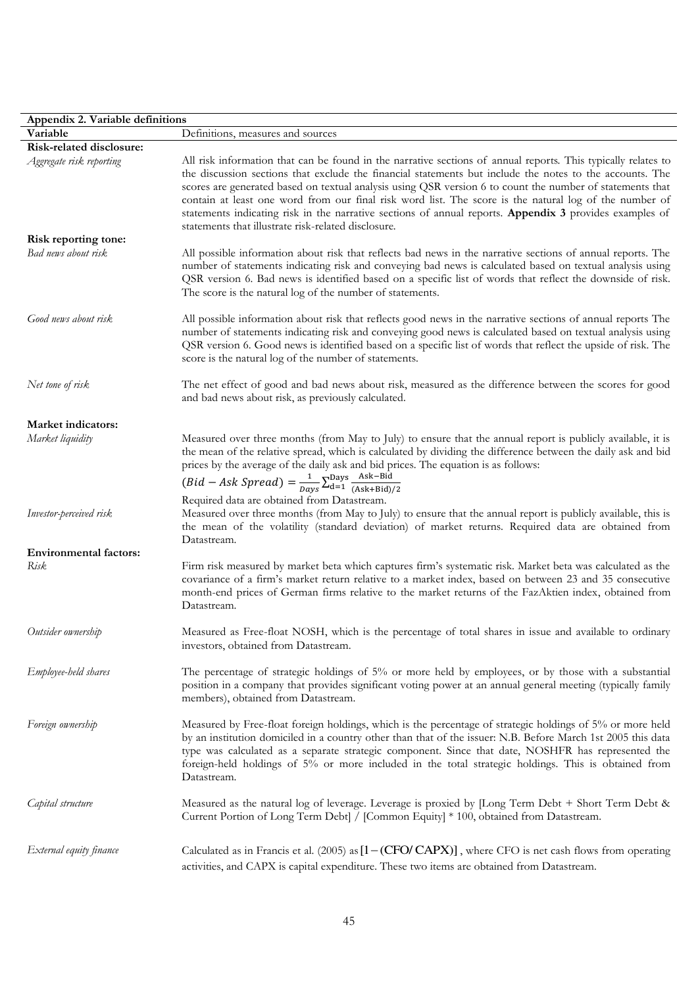| Appendix 2. Variable definitions                 |                                                                                                                                                                                                                                                                                                                                                                                                                                                                                                                                                                                                                    |
|--------------------------------------------------|--------------------------------------------------------------------------------------------------------------------------------------------------------------------------------------------------------------------------------------------------------------------------------------------------------------------------------------------------------------------------------------------------------------------------------------------------------------------------------------------------------------------------------------------------------------------------------------------------------------------|
| Variable                                         | Definitions, measures and sources                                                                                                                                                                                                                                                                                                                                                                                                                                                                                                                                                                                  |
| Risk-related disclosure:                         |                                                                                                                                                                                                                                                                                                                                                                                                                                                                                                                                                                                                                    |
| Aggregate risk reporting<br>Risk reporting tone: | All risk information that can be found in the narrative sections of annual reports. This typically relates to<br>the discussion sections that exclude the financial statements but include the notes to the accounts. The<br>scores are generated based on textual analysis using QSR version 6 to count the number of statements that<br>contain at least one word from our final risk word list. The score is the natural log of the number of<br>statements indicating risk in the narrative sections of annual reports. Appendix 3 provides examples of<br>statements that illustrate risk-related disclosure. |
| Bad news about risk                              | All possible information about risk that reflects bad news in the narrative sections of annual reports. The<br>number of statements indicating risk and conveying bad news is calculated based on textual analysis using<br>QSR version 6. Bad news is identified based on a specific list of words that reflect the downside of risk.<br>The score is the natural log of the number of statements.                                                                                                                                                                                                                |
| Good news about risk                             | All possible information about risk that reflects good news in the narrative sections of annual reports The<br>number of statements indicating risk and conveying good news is calculated based on textual analysis using<br>QSR version 6. Good news is identified based on a specific list of words that reflect the upside of risk. The<br>score is the natural log of the number of statements.                                                                                                                                                                                                                |
| Net tone of risk                                 | The net effect of good and bad news about risk, measured as the difference between the scores for good<br>and bad news about risk, as previously calculated.                                                                                                                                                                                                                                                                                                                                                                                                                                                       |
| Market indicators:                               |                                                                                                                                                                                                                                                                                                                                                                                                                                                                                                                                                                                                                    |
| Market liquidity                                 | Measured over three months (from May to July) to ensure that the annual report is publicly available, it is<br>the mean of the relative spread, which is calculated by dividing the difference between the daily ask and bid<br>prices by the average of the daily ask and bid prices. The equation is as follows:<br>$(Bid - Ask\; Spread) = \frac{1}{days}\sum_{d=1}^{Days} \frac{Ask-Bid}{(Ask+Bid)/2}$                                                                                                                                                                                                         |
| Investor-perceived risk                          | Required data are obtained from Datastream.<br>Measured over three months (from May to July) to ensure that the annual report is publicly available, this is<br>the mean of the volatility (standard deviation) of market returns. Required data are obtained from<br>Datastream.                                                                                                                                                                                                                                                                                                                                  |
| <b>Environmental factors:</b><br>Risk            | Firm risk measured by market beta which captures firm's systematic risk. Market beta was calculated as the<br>covariance of a firm's market return relative to a market index, based on between 23 and 35 consecutive<br>month-end prices of German firms relative to the market returns of the FazAktien index, obtained from<br>Datastream.                                                                                                                                                                                                                                                                      |
| Outsider ownership                               | Measured as Free-float NOSH, which is the percentage of total shares in issue and available to ordinary<br>investors, obtained from Datastream.                                                                                                                                                                                                                                                                                                                                                                                                                                                                    |
| Employee-held shares                             | The percentage of strategic holdings of 5% or more held by employees, or by those with a substantial<br>position in a company that provides significant voting power at an annual general meeting (typically family<br>members), obtained from Datastream.                                                                                                                                                                                                                                                                                                                                                         |
| Foreign ownership                                | Measured by Free-float foreign holdings, which is the percentage of strategic holdings of 5% or more held<br>by an institution domiciled in a country other than that of the issuer: N.B. Before March 1st 2005 this data<br>type was calculated as a separate strategic component. Since that date, NOSHFR has represented the<br>foreign-held holdings of 5% or more included in the total strategic holdings. This is obtained from<br>Datastream.                                                                                                                                                              |
| Capital structure                                | Measured as the natural log of leverage. Leverage is proxied by [Long Term Debt + Short Term Debt &<br>Current Portion of Long Term Debt  / [Common Equity] * 100, obtained from Datastream.                                                                                                                                                                                                                                                                                                                                                                                                                       |
| External equity finance                          | Calculated as in Francis et al. (2005) as $[1 - (CFO/CAPX)]$ , where CFO is net cash flows from operating<br>activities, and CAPX is capital expenditure. These two items are obtained from Datastream.                                                                                                                                                                                                                                                                                                                                                                                                            |

l,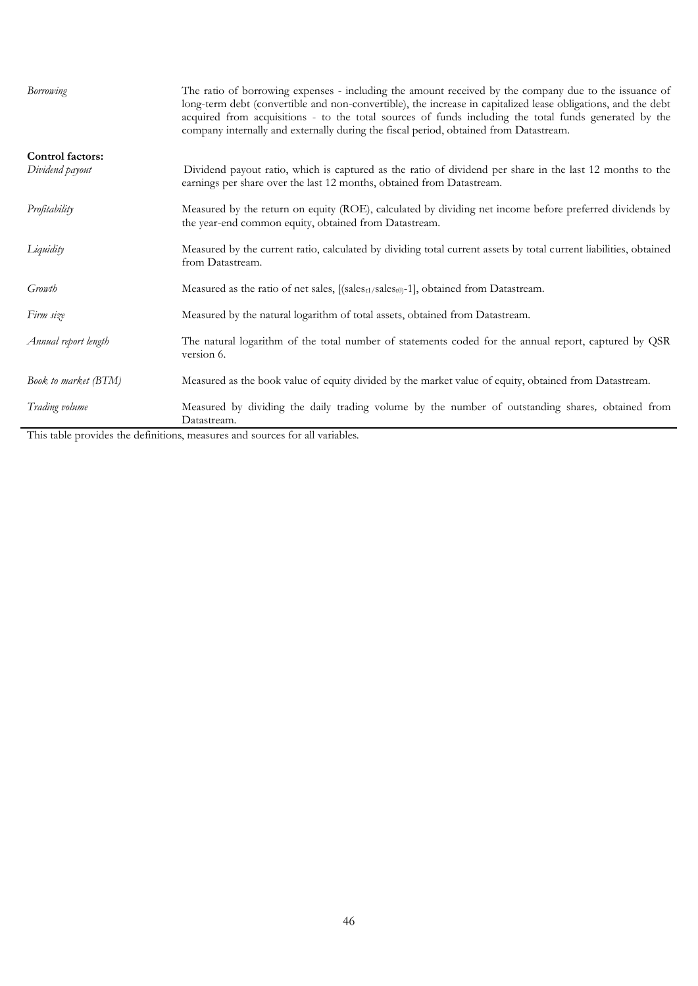| <b>Borrowing</b>                    | The ratio of borrowing expenses - including the amount received by the company due to the issuance of<br>long-term debt (convertible and non-convertible), the increase in capitalized lease obligations, and the debt<br>acquired from acquisitions - to the total sources of funds including the total funds generated by the<br>company internally and externally during the fiscal period, obtained from Datastream. |
|-------------------------------------|--------------------------------------------------------------------------------------------------------------------------------------------------------------------------------------------------------------------------------------------------------------------------------------------------------------------------------------------------------------------------------------------------------------------------|
| Control factors:<br>Dividend payout | Dividend payout ratio, which is captured as the ratio of dividend per share in the last 12 months to the<br>earnings per share over the last 12 months, obtained from Datastream.                                                                                                                                                                                                                                        |
| Profitability                       | Measured by the return on equity (ROE), calculated by dividing net income before preferred dividends by<br>the year-end common equity, obtained from Datastream.                                                                                                                                                                                                                                                         |
| Liquidity                           | Measured by the current ratio, calculated by dividing total current assets by total current liabilities, obtained<br>from Datastream.                                                                                                                                                                                                                                                                                    |
| Growth                              | Measured as the ratio of net sales, $[(salest1/salest0)-1]$ , obtained from Datastream.                                                                                                                                                                                                                                                                                                                                  |
| Firm size                           | Measured by the natural logarithm of total assets, obtained from Datastream.                                                                                                                                                                                                                                                                                                                                             |
| Annual report length                | The natural logarithm of the total number of statements coded for the annual report, captured by QSR<br>version 6.                                                                                                                                                                                                                                                                                                       |
| Book to market (BTM)                | Measured as the book value of equity divided by the market value of equity, obtained from Datastream.                                                                                                                                                                                                                                                                                                                    |
| Trading volume                      | Measured by dividing the daily trading volume by the number of outstanding shares, obtained from<br>Datastream.                                                                                                                                                                                                                                                                                                          |

This table provides the definitions, measures and sources for all variables.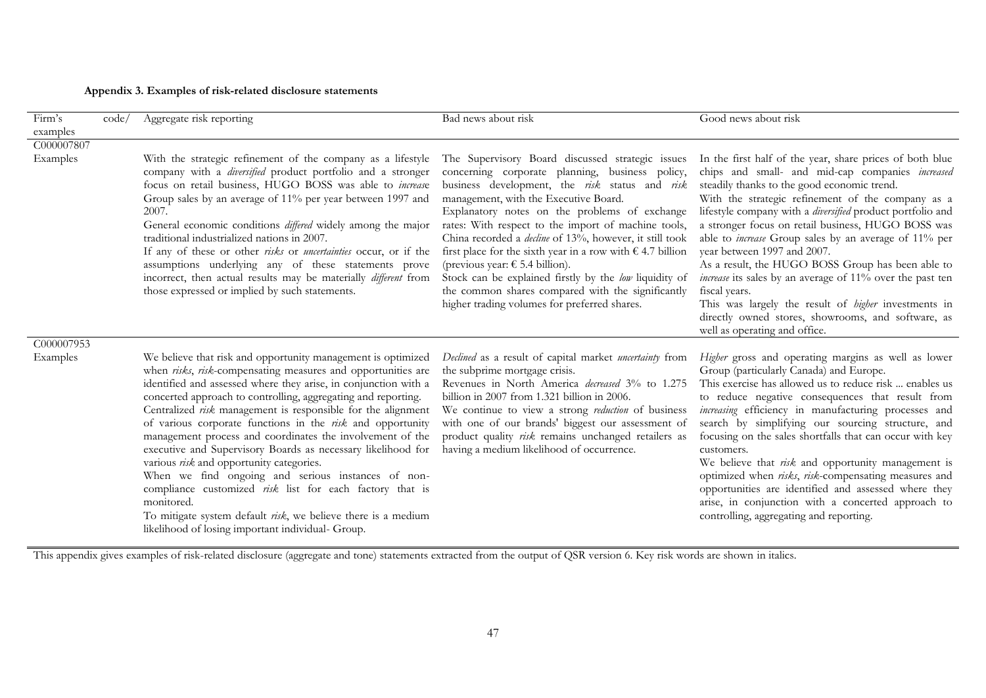| Firm's<br>examples     | code/ | Aggregate risk reporting                                                                                                                                                                                                                                                                                                                                                                                                                                                                                                                                                                                                                                                                                                                                                                                                      | Bad news about risk                                                                                                                                                                                                                                                                                                                                                                                                                                                                                                                                                                                                                                        | Good news about risk                                                                                                                                                                                                                                                                                                                                                                                                                                                                                                                                                                                                                                                                               |
|------------------------|-------|-------------------------------------------------------------------------------------------------------------------------------------------------------------------------------------------------------------------------------------------------------------------------------------------------------------------------------------------------------------------------------------------------------------------------------------------------------------------------------------------------------------------------------------------------------------------------------------------------------------------------------------------------------------------------------------------------------------------------------------------------------------------------------------------------------------------------------|------------------------------------------------------------------------------------------------------------------------------------------------------------------------------------------------------------------------------------------------------------------------------------------------------------------------------------------------------------------------------------------------------------------------------------------------------------------------------------------------------------------------------------------------------------------------------------------------------------------------------------------------------------|----------------------------------------------------------------------------------------------------------------------------------------------------------------------------------------------------------------------------------------------------------------------------------------------------------------------------------------------------------------------------------------------------------------------------------------------------------------------------------------------------------------------------------------------------------------------------------------------------------------------------------------------------------------------------------------------------|
| C000007807<br>Examples |       | With the strategic refinement of the company as a lifestyle<br>company with a <i>diversified</i> product portfolio and a stronger<br>focus on retail business, HUGO BOSS was able to increase<br>Group sales by an average of 11% per year between 1997 and<br>2007.<br>General economic conditions <i>differed</i> widely among the major<br>traditional industrialized nations in 2007.<br>If any of these or other risks or uncertainties occur, or if the<br>assumptions underlying any of these statements prove<br>incorrect, then actual results may be materially different from<br>those expressed or implied by such statements.                                                                                                                                                                                    | The Supervisory Board discussed strategic issues<br>concerning corporate planning, business policy,<br>business development, the risk status and risk<br>management, with the Executive Board.<br>Explanatory notes on the problems of exchange<br>rates: With respect to the import of machine tools,<br>China recorded a <i>decline</i> of 13%, however, it still took<br>first place for the sixth year in a row with $\epsilon$ 4.7 billion<br>(previous year: $\epsilon$ 5.4 billion).<br>Stock can be explained firstly by the low liquidity of<br>the common shares compared with the significantly<br>higher trading volumes for preferred shares. | In the first half of the year, share prices of both blue<br>chips and small- and mid-cap companies increased<br>steadily thanks to the good economic trend.<br>With the strategic refinement of the company as a<br>lifestyle company with a <i>diversified</i> product portfolio and<br>a stronger focus on retail business, HUGO BOSS was<br>able to <i>increase</i> Group sales by an average of 11% per<br>year between 1997 and 2007.<br>As a result, the HUGO BOSS Group has been able to<br>increase its sales by an average of 11% over the past ten<br>fiscal years.<br>This was largely the result of <i>higher</i> investments in<br>directly owned stores, showrooms, and software, as |
| C000007953             |       |                                                                                                                                                                                                                                                                                                                                                                                                                                                                                                                                                                                                                                                                                                                                                                                                                               |                                                                                                                                                                                                                                                                                                                                                                                                                                                                                                                                                                                                                                                            | well as operating and office.                                                                                                                                                                                                                                                                                                                                                                                                                                                                                                                                                                                                                                                                      |
| Examples               |       | We believe that risk and opportunity management is optimized<br>when risks, risk-compensating measures and opportunities are<br>identified and assessed where they arise, in conjunction with a<br>concerted approach to controlling, aggregating and reporting.<br>Centralized risk management is responsible for the alignment<br>of various corporate functions in the risk and opportunity<br>management process and coordinates the involvement of the<br>executive and Supervisory Boards as necessary likelihood for<br>various risk and opportunity categories.<br>When we find ongoing and serious instances of non-<br>compliance customized risk list for each factory that is<br>monitored.<br>To mitigate system default risk, we believe there is a medium<br>likelihood of losing important individual- Group. | Declined as a result of capital market uncertainty from<br>the subprime mortgage crisis.<br>Revenues in North America <i>decreased</i> 3% to 1.275<br>billion in 2007 from 1.321 billion in 2006.<br>We continue to view a strong reduction of business<br>with one of our brands' biggest our assessment of<br>product quality risk remains unchanged retailers as<br>having a medium likelihood of occurrence.                                                                                                                                                                                                                                           | Higher gross and operating margins as well as lower<br>Group (particularly Canada) and Europe.<br>This exercise has allowed us to reduce risk  enables us<br>to reduce negative consequences that result from<br>increasing efficiency in manufacturing processes and<br>search by simplifying our sourcing structure, and<br>focusing on the sales shortfalls that can occur with key<br>customers.<br>We believe that <i>risk</i> and opportunity management is<br>optimized when risks, risk-compensating measures and<br>opportunities are identified and assessed where they<br>arise, in conjunction with a concerted approach to<br>controlling, aggregating and reporting.                 |

**Appendix 3. Examples of risk-related disclosure statements** 

This appendix gives examples of risk-related disclosure (aggregate and tone) statements extracted from the output of QSR version 6. Key risk words are shown in italics.